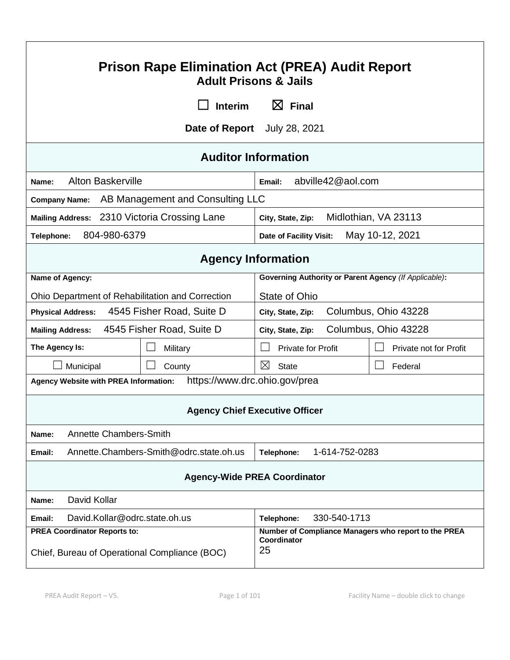| <b>Prison Rape Elimination Act (PREA) Audit Report</b><br><b>Adult Prisons &amp; Jails</b>                                                                        |                                                       |  |  |
|-------------------------------------------------------------------------------------------------------------------------------------------------------------------|-------------------------------------------------------|--|--|
| $\boxtimes$ Final<br><b>Interim</b>                                                                                                                               |                                                       |  |  |
|                                                                                                                                                                   | Date of Report July 28, 2021                          |  |  |
| <b>Auditor Information</b>                                                                                                                                        |                                                       |  |  |
| <b>Alton Baskerville</b><br>Name:                                                                                                                                 | abville42@aol.com<br>Email:                           |  |  |
| AB Management and Consulting LLC<br><b>Company Name:</b>                                                                                                          |                                                       |  |  |
| Mailing Address: 2310 Victoria Crossing Lane                                                                                                                      | Midlothian, VA 23113<br>City, State, Zip:             |  |  |
| 804-980-6379<br>Telephone:                                                                                                                                        | May 10-12, 2021<br><b>Date of Facility Visit:</b>     |  |  |
| <b>Agency Information</b>                                                                                                                                         |                                                       |  |  |
| Name of Agency:                                                                                                                                                   | Governing Authority or Parent Agency (If Applicable): |  |  |
| Ohio Department of Rehabilitation and Correction                                                                                                                  | State of Ohio                                         |  |  |
| Columbus, Ohio 43228<br>4545 Fisher Road, Suite D<br><b>Physical Address:</b><br>City, State, Zip:                                                                |                                                       |  |  |
| 4545 Fisher Road, Suite D<br>Columbus, Ohio 43228<br><b>Mailing Address:</b><br>City, State, Zip:                                                                 |                                                       |  |  |
| The Agency Is:<br>Military                                                                                                                                        | <b>Private for Profit</b><br>Private not for Profit   |  |  |
| Municipal<br>County                                                                                                                                               | ⊠<br><b>State</b><br>Federal                          |  |  |
| https://www.drc.ohio.gov/prea<br><b>Agency Website with PREA Information:</b>                                                                                     |                                                       |  |  |
| <b>Agency Chief Executive Officer</b>                                                                                                                             |                                                       |  |  |
| <b>Annette Chambers-Smith</b><br>Name:                                                                                                                            |                                                       |  |  |
| Annette.Chambers-Smith@odrc.state.oh.us<br>Email:                                                                                                                 | 1-614-752-0283<br>Telephone:                          |  |  |
| <b>Agency-Wide PREA Coordinator</b>                                                                                                                               |                                                       |  |  |
| David Kollar<br>Name:                                                                                                                                             |                                                       |  |  |
| David.Kollar@odrc.state.oh.us<br>Email:                                                                                                                           | 330-540-1713<br>Telephone:                            |  |  |
| <b>PREA Coordinator Reports to:</b><br>Number of Compliance Managers who report to the PREA<br>Coordinator<br>25<br>Chief, Bureau of Operational Compliance (BOC) |                                                       |  |  |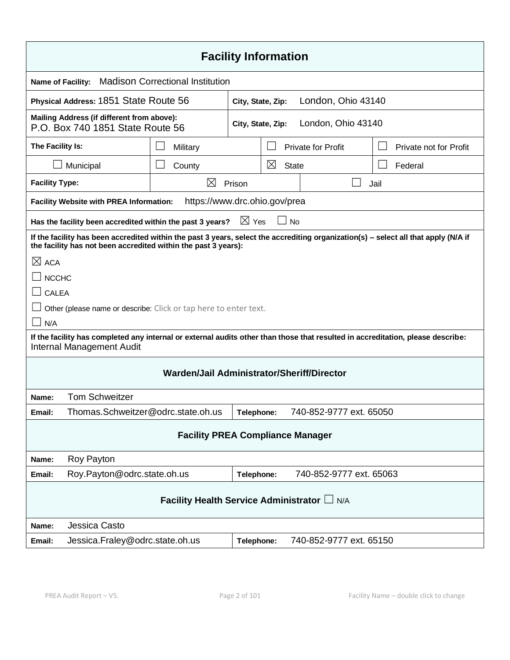| <b>Facility Information</b>                                                                                                                                                                           |                                                                                                                           |                 |          |                           |                        |
|-------------------------------------------------------------------------------------------------------------------------------------------------------------------------------------------------------|---------------------------------------------------------------------------------------------------------------------------|-----------------|----------|---------------------------|------------------------|
| <b>Madison Correctional Institution</b><br><b>Name of Facility:</b>                                                                                                                                   |                                                                                                                           |                 |          |                           |                        |
|                                                                                                                                                                                                       | Physical Address: 1851 State Route 56<br>London, Ohio 43140<br>City, State, Zip:                                          |                 |          |                           |                        |
|                                                                                                                                                                                                       | Mailing Address (if different from above):<br>London, Ohio 43140<br>City, State, Zip:<br>P.O. Box 740 1851 State Route 56 |                 |          |                           |                        |
| The Facility Is:                                                                                                                                                                                      | Military                                                                                                                  |                 |          | <b>Private for Profit</b> | Private not for Profit |
| Municipal                                                                                                                                                                                             | County                                                                                                                    |                 | $\times$ | <b>State</b>              | Federal                |
| <b>Facility Type:</b>                                                                                                                                                                                 | $\times$                                                                                                                  | Prison          |          |                           | Jail                   |
| <b>Facility Website with PREA Information:</b>                                                                                                                                                        | https://www.drc.ohio.gov/prea                                                                                             |                 |          |                           |                        |
| Has the facility been accredited within the past 3 years?                                                                                                                                             |                                                                                                                           | $\boxtimes$ Yes |          | <b>No</b>                 |                        |
| If the facility has been accredited within the past 3 years, select the accrediting organization(s) - select all that apply (N/A if<br>the facility has not been accredited within the past 3 years): |                                                                                                                           |                 |          |                           |                        |
| $\boxtimes$ ACA                                                                                                                                                                                       |                                                                                                                           |                 |          |                           |                        |
| $\lrcorner$ мсснс                                                                                                                                                                                     |                                                                                                                           |                 |          |                           |                        |
| $\Box$ CALEA                                                                                                                                                                                          |                                                                                                                           |                 |          |                           |                        |
| Other (please name or describe: Click or tap here to enter text.                                                                                                                                      |                                                                                                                           |                 |          |                           |                        |
| N/A                                                                                                                                                                                                   |                                                                                                                           |                 |          |                           |                        |
| If the facility has completed any internal or external audits other than those that resulted in accreditation, please describe:<br>Internal Management Audit                                          |                                                                                                                           |                 |          |                           |                        |
| Warden/Jail Administrator/Sheriff/Director                                                                                                                                                            |                                                                                                                           |                 |          |                           |                        |
| <b>Tom Schweitzer</b><br>Name:                                                                                                                                                                        |                                                                                                                           |                 |          |                           |                        |
| Thomas.Schweitzer@odrc.state.oh.us<br>Email:                                                                                                                                                          |                                                                                                                           | Telephone:      |          | 740-852-9777 ext. 65050   |                        |
| <b>Facility PREA Compliance Manager</b>                                                                                                                                                               |                                                                                                                           |                 |          |                           |                        |
| Roy Payton<br>Name:                                                                                                                                                                                   |                                                                                                                           |                 |          |                           |                        |
| Roy.Payton@odrc.state.oh.us<br>Email:                                                                                                                                                                 |                                                                                                                           | Telephone:      |          | 740-852-9777 ext. 65063   |                        |
| Facility Health Service Administrator L N/A                                                                                                                                                           |                                                                                                                           |                 |          |                           |                        |
| Jessica Casto<br>Name:                                                                                                                                                                                |                                                                                                                           |                 |          |                           |                        |
| Jessica.Fraley@odrc.state.oh.us<br>Email:                                                                                                                                                             |                                                                                                                           | Telephone:      |          | 740-852-9777 ext. 65150   |                        |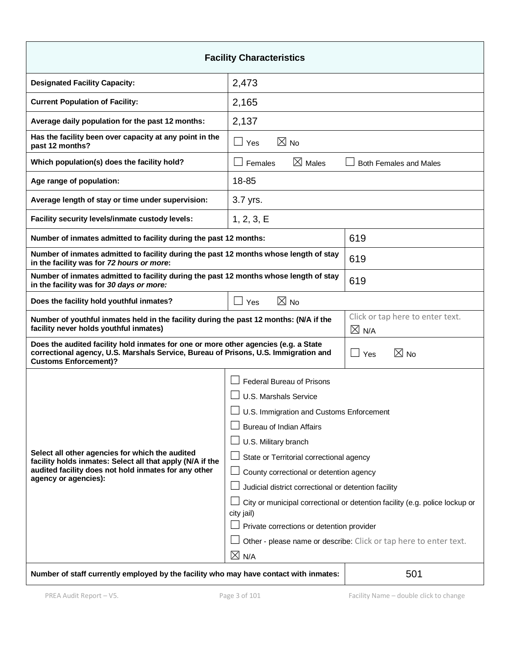| <b>Facility Characteristics</b>                                                                                                                                                                            |                                                                                           |                                  |  |
|------------------------------------------------------------------------------------------------------------------------------------------------------------------------------------------------------------|-------------------------------------------------------------------------------------------|----------------------------------|--|
| <b>Designated Facility Capacity:</b>                                                                                                                                                                       | 2,473                                                                                     |                                  |  |
| <b>Current Population of Facility:</b>                                                                                                                                                                     | 2,165                                                                                     |                                  |  |
| Average daily population for the past 12 months:                                                                                                                                                           | 2,137                                                                                     |                                  |  |
| Has the facility been over capacity at any point in the<br>past 12 months?                                                                                                                                 | $\boxtimes$ No<br>$\Box$ Yes                                                              |                                  |  |
| Which population(s) does the facility hold?                                                                                                                                                                | $\boxtimes$ Males<br>$\Box$ Females<br><b>Both Females and Males</b>                      |                                  |  |
| Age range of population:                                                                                                                                                                                   | 18-85                                                                                     |                                  |  |
| Average length of stay or time under supervision:                                                                                                                                                          | 3.7 yrs.                                                                                  |                                  |  |
| Facility security levels/inmate custody levels:                                                                                                                                                            | 1, 2, 3, E                                                                                |                                  |  |
| Number of inmates admitted to facility during the past 12 months:                                                                                                                                          |                                                                                           | 619                              |  |
| Number of inmates admitted to facility during the past 12 months whose length of stay<br>in the facility was for 72 hours or more:                                                                         |                                                                                           | 619                              |  |
| Number of inmates admitted to facility during the past 12 months whose length of stay<br>in the facility was for 30 days or more:                                                                          |                                                                                           | 619                              |  |
| Does the facility hold youthful inmates?                                                                                                                                                                   | $\boxtimes$ No<br>$\Box$ Yes                                                              |                                  |  |
| Number of youthful inmates held in the facility during the past 12 months: (N/A if the<br>facility never holds youthful inmates)<br>$\boxtimes$ N/A                                                        |                                                                                           | Click or tap here to enter text. |  |
| Does the audited facility hold inmates for one or more other agencies (e.g. a State<br>correctional agency, U.S. Marshals Service, Bureau of Prisons, U.S. Immigration and<br><b>Customs Enforcement)?</b> |                                                                                           | $\boxtimes$ No<br>$\Box$<br>Yes  |  |
|                                                                                                                                                                                                            | <b>Federal Bureau of Prisons</b>                                                          |                                  |  |
|                                                                                                                                                                                                            | U.S. Marshals Service                                                                     |                                  |  |
|                                                                                                                                                                                                            | □ U.S. Immigration and Customs Enforcement                                                |                                  |  |
|                                                                                                                                                                                                            | <b>Bureau of Indian Affairs</b>                                                           |                                  |  |
| Select all other agencies for which the audited                                                                                                                                                            | U.S. Military branch                                                                      |                                  |  |
| facility holds inmates: Select all that apply (N/A if the                                                                                                                                                  | State or Territorial correctional agency                                                  |                                  |  |
| audited facility does not hold inmates for any other<br>agency or agencies):                                                                                                                               | County correctional or detention agency                                                   |                                  |  |
|                                                                                                                                                                                                            | Judicial district correctional or detention facility                                      |                                  |  |
|                                                                                                                                                                                                            | City or municipal correctional or detention facility (e.g. police lockup or<br>city jail) |                                  |  |
|                                                                                                                                                                                                            | Private corrections or detention provider                                                 |                                  |  |
|                                                                                                                                                                                                            | Other - please name or describe: Click or tap here to enter text.                         |                                  |  |
|                                                                                                                                                                                                            | $\boxtimes$ N/A                                                                           |                                  |  |
| 501<br>Number of staff currently employed by the facility who may have contact with inmates:                                                                                                               |                                                                                           |                                  |  |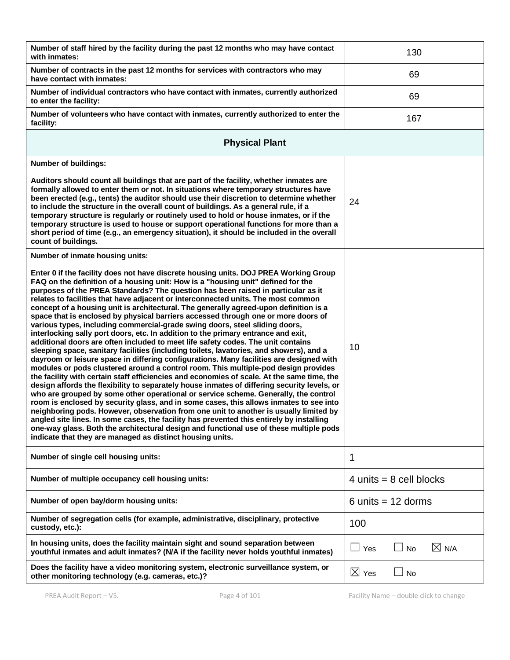| Number of staff hired by the facility during the past 12 months who may have contact<br>with inmates:                                                                                                                                                                                                                                                                                                                                                                                                                                                                                                                                                                                                                                                                                                                                                                                                                                                                                                                                                                                                                                                                                                                                                                                                                                                                                                                                                                                                                                                                                                                                                                                                                                                                                         | 130                          |
|-----------------------------------------------------------------------------------------------------------------------------------------------------------------------------------------------------------------------------------------------------------------------------------------------------------------------------------------------------------------------------------------------------------------------------------------------------------------------------------------------------------------------------------------------------------------------------------------------------------------------------------------------------------------------------------------------------------------------------------------------------------------------------------------------------------------------------------------------------------------------------------------------------------------------------------------------------------------------------------------------------------------------------------------------------------------------------------------------------------------------------------------------------------------------------------------------------------------------------------------------------------------------------------------------------------------------------------------------------------------------------------------------------------------------------------------------------------------------------------------------------------------------------------------------------------------------------------------------------------------------------------------------------------------------------------------------------------------------------------------------------------------------------------------------|------------------------------|
| Number of contracts in the past 12 months for services with contractors who may<br>have contact with inmates:                                                                                                                                                                                                                                                                                                                                                                                                                                                                                                                                                                                                                                                                                                                                                                                                                                                                                                                                                                                                                                                                                                                                                                                                                                                                                                                                                                                                                                                                                                                                                                                                                                                                                 | 69                           |
| Number of individual contractors who have contact with inmates, currently authorized<br>to enter the facility:                                                                                                                                                                                                                                                                                                                                                                                                                                                                                                                                                                                                                                                                                                                                                                                                                                                                                                                                                                                                                                                                                                                                                                                                                                                                                                                                                                                                                                                                                                                                                                                                                                                                                | 69                           |
| Number of volunteers who have contact with inmates, currently authorized to enter the<br>facility:                                                                                                                                                                                                                                                                                                                                                                                                                                                                                                                                                                                                                                                                                                                                                                                                                                                                                                                                                                                                                                                                                                                                                                                                                                                                                                                                                                                                                                                                                                                                                                                                                                                                                            | 167                          |
| <b>Physical Plant</b>                                                                                                                                                                                                                                                                                                                                                                                                                                                                                                                                                                                                                                                                                                                                                                                                                                                                                                                                                                                                                                                                                                                                                                                                                                                                                                                                                                                                                                                                                                                                                                                                                                                                                                                                                                         |                              |
| Number of buildings:                                                                                                                                                                                                                                                                                                                                                                                                                                                                                                                                                                                                                                                                                                                                                                                                                                                                                                                                                                                                                                                                                                                                                                                                                                                                                                                                                                                                                                                                                                                                                                                                                                                                                                                                                                          |                              |
| Auditors should count all buildings that are part of the facility, whether inmates are<br>formally allowed to enter them or not. In situations where temporary structures have<br>been erected (e.g., tents) the auditor should use their discretion to determine whether<br>to include the structure in the overall count of buildings. As a general rule, if a<br>temporary structure is regularly or routinely used to hold or house inmates, or if the<br>temporary structure is used to house or support operational functions for more than a<br>short period of time (e.g., an emergency situation), it should be included in the overall<br>count of buildings.                                                                                                                                                                                                                                                                                                                                                                                                                                                                                                                                                                                                                                                                                                                                                                                                                                                                                                                                                                                                                                                                                                                       | 24                           |
| Number of inmate housing units:                                                                                                                                                                                                                                                                                                                                                                                                                                                                                                                                                                                                                                                                                                                                                                                                                                                                                                                                                                                                                                                                                                                                                                                                                                                                                                                                                                                                                                                                                                                                                                                                                                                                                                                                                               |                              |
| Enter 0 if the facility does not have discrete housing units. DOJ PREA Working Group<br>FAQ on the definition of a housing unit: How is a "housing unit" defined for the<br>purposes of the PREA Standards? The question has been raised in particular as it<br>relates to facilities that have adjacent or interconnected units. The most common<br>concept of a housing unit is architectural. The generally agreed-upon definition is a<br>space that is enclosed by physical barriers accessed through one or more doors of<br>various types, including commercial-grade swing doors, steel sliding doors,<br>interlocking sally port doors, etc. In addition to the primary entrance and exit,<br>additional doors are often included to meet life safety codes. The unit contains<br>sleeping space, sanitary facilities (including toilets, lavatories, and showers), and a<br>dayroom or leisure space in differing configurations. Many facilities are designed with<br>modules or pods clustered around a control room. This multiple-pod design provides<br>the facility with certain staff efficiencies and economies of scale. At the same time, the<br>design affords the flexibility to separately house inmates of differing security levels, or<br>who are grouped by some other operational or service scheme. Generally, the control<br>room is enclosed by security glass, and in some cases, this allows inmates to see into<br>neighboring pods. However, observation from one unit to another is usually limited by<br>angled site lines. In some cases, the facility has prevented this entirely by installing<br>one-way glass. Both the architectural design and functional use of these multiple pods<br>indicate that they are managed as distinct housing units. | 10                           |
| Number of single cell housing units:                                                                                                                                                                                                                                                                                                                                                                                                                                                                                                                                                                                                                                                                                                                                                                                                                                                                                                                                                                                                                                                                                                                                                                                                                                                                                                                                                                                                                                                                                                                                                                                                                                                                                                                                                          | 1                            |
| Number of multiple occupancy cell housing units:                                                                                                                                                                                                                                                                                                                                                                                                                                                                                                                                                                                                                                                                                                                                                                                                                                                                                                                                                                                                                                                                                                                                                                                                                                                                                                                                                                                                                                                                                                                                                                                                                                                                                                                                              | 4 units $= 8$ cell blocks    |
| Number of open bay/dorm housing units:                                                                                                                                                                                                                                                                                                                                                                                                                                                                                                                                                                                                                                                                                                                                                                                                                                                                                                                                                                                                                                                                                                                                                                                                                                                                                                                                                                                                                                                                                                                                                                                                                                                                                                                                                        | 6 units $= 12$ dorms         |
| Number of segregation cells (for example, administrative, disciplinary, protective<br>custody, etc.):                                                                                                                                                                                                                                                                                                                                                                                                                                                                                                                                                                                                                                                                                                                                                                                                                                                                                                                                                                                                                                                                                                                                                                                                                                                                                                                                                                                                                                                                                                                                                                                                                                                                                         | 100                          |
| In housing units, does the facility maintain sight and sound separation between<br>youthful inmates and adult inmates? (N/A if the facility never holds youthful inmates)                                                                                                                                                                                                                                                                                                                                                                                                                                                                                                                                                                                                                                                                                                                                                                                                                                                                                                                                                                                                                                                                                                                                                                                                                                                                                                                                                                                                                                                                                                                                                                                                                     | $\boxtimes$ N/A<br>Yes<br>No |
| Does the facility have a video monitoring system, electronic surveillance system, or<br>other monitoring technology (e.g. cameras, etc.)?                                                                                                                                                                                                                                                                                                                                                                                                                                                                                                                                                                                                                                                                                                                                                                                                                                                                                                                                                                                                                                                                                                                                                                                                                                                                                                                                                                                                                                                                                                                                                                                                                                                     | $\boxtimes$ Yes<br>No        |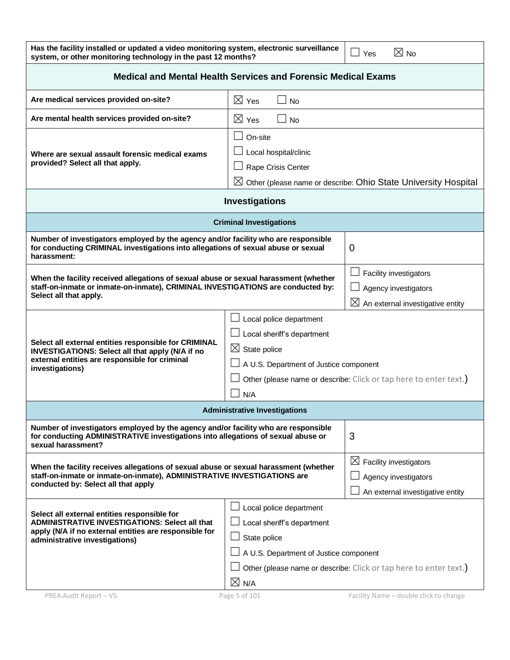| Has the facility installed or updated a video monitoring system, electronic surveillance $\Box$ Yes | $\boxtimes$ No |
|-----------------------------------------------------------------------------------------------------|----------------|
| system, or other monitoring technology in the past 12 months?                                       |                |

| <b>Medical and Mental Health Services and Forensic Medical Exams</b>                                                                                                                                                                                                                                                 |                                                                                                                                    |                                                                                                |
|----------------------------------------------------------------------------------------------------------------------------------------------------------------------------------------------------------------------------------------------------------------------------------------------------------------------|------------------------------------------------------------------------------------------------------------------------------------|------------------------------------------------------------------------------------------------|
| Are medical services provided on-site?                                                                                                                                                                                                                                                                               | $\boxtimes$ Yes<br><b>No</b>                                                                                                       |                                                                                                |
| Are mental health services provided on-site?                                                                                                                                                                                                                                                                         | $\boxtimes$ Yes<br>No                                                                                                              |                                                                                                |
| Where are sexual assault forensic medical exams<br>provided? Select all that apply.                                                                                                                                                                                                                                  | On-site<br>Local hospital/clinic<br>Rape Crisis Center                                                                             | $\boxtimes$ Other (please name or describe: Ohio State University Hospital                     |
|                                                                                                                                                                                                                                                                                                                      | Investigations                                                                                                                     |                                                                                                |
|                                                                                                                                                                                                                                                                                                                      | <b>Criminal Investigations</b>                                                                                                     |                                                                                                |
| Number of investigators employed by the agency and/or facility who are responsible<br>for conducting CRIMINAL investigations into allegations of sexual abuse or sexual<br>harassment:                                                                                                                               |                                                                                                                                    | 0                                                                                              |
| When the facility received allegations of sexual abuse or sexual harassment (whether<br>staff-on-inmate or inmate-on-inmate), CRIMINAL INVESTIGATIONS are conducted by:<br>Select all that apply.                                                                                                                    |                                                                                                                                    | Facility investigators<br>Agency investigators<br>$\boxtimes$ An external investigative entity |
| Local police department<br>Local sheriff's department<br>Select all external entities responsible for CRIMINAL<br>$\boxtimes$ State police<br>INVESTIGATIONS: Select all that apply (N/A if no<br>external entities are responsible for criminal<br>A U.S. Department of Justice component<br>investigations)<br>N/A |                                                                                                                                    | Other (please name or describe: Click or tap here to enter text.)                              |
|                                                                                                                                                                                                                                                                                                                      | <b>Administrative Investigations</b>                                                                                               |                                                                                                |
| Number of investigators employed by the agency and/or facility who are responsible<br>for conducting ADMINISTRATIVE investigations into allegations of sexual abuse or<br>sexual harassment?                                                                                                                         |                                                                                                                                    | 3                                                                                              |
| When the facility receives allegations of sexual abuse or sexual harassment (whether<br>staff-on-inmate or inmate-on-inmate), ADMINISTRATIVE INVESTIGATIONS are<br>conducted by: Select all that apply                                                                                                               |                                                                                                                                    | $\boxtimes$ Facility investigators<br>Agency investigators<br>An external investigative entity |
| Select all external entities responsible for<br>ADMINISTRATIVE INVESTIGATIONS: Select all that<br>apply (N/A if no external entities are responsible for<br>administrative investigations)                                                                                                                           | Local police department<br>Local sheriff's department<br>State police<br>A U.S. Department of Justice component<br>$\boxtimes$ N/A | Other (please name or describe: Click or tap here to enter text.)                              |
| PREA Audit Report - V5.                                                                                                                                                                                                                                                                                              | Page 5 of 101                                                                                                                      | Facility Name - double click to change                                                         |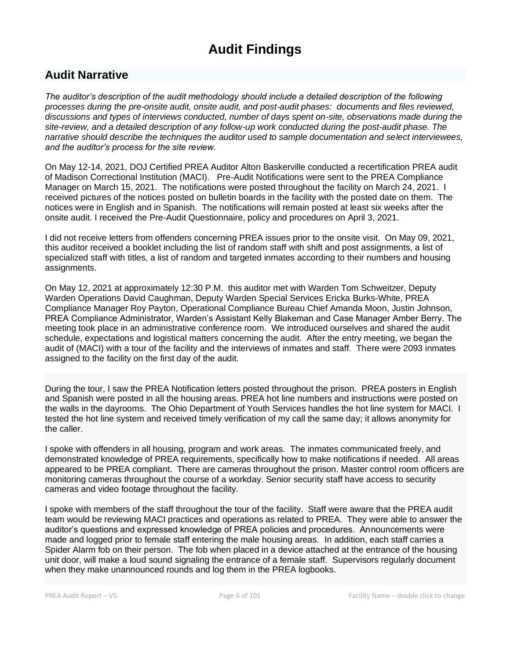# **Audit Findings**

# **Audit Narrative**

*The auditor's description of the audit methodology should include a detailed description of the following processes during the pre-onsite audit, onsite audit, and post-audit phases: documents and files reviewed, discussions and types of interviews conducted, number of days spent on-site, observations made during the site-review, and a detailed description of any follow-up work conducted during the post-audit phase. The narrative should describe the techniques the auditor used to sample documentation and select interviewees, and the auditor's process for the site review.*

On May 12-14, 2021, DOJ Certified PREA Auditor Alton Baskerville conducted a recertification PREA audit of Madison Correctional Institution (MACI). Pre-Audit Notifications were sent to the PREA Compliance Manager on March 15, 2021. The notifications were posted throughout the facility on March 24, 2021. I received pictures of the notices posted on bulletin boards in the facility with the posted date on them. The notices were in English and in Spanish. The notifications will remain posted at least six weeks after the onsite audit. I received the Pre-Audit Questionnaire, policy and procedures on April 3, 2021.

I did not receive letters from offenders concerning PREA issues prior to the onsite visit. On May 09, 2021, this auditor received a booklet including the list of random staff with shift and post assignments, a list of specialized staff with titles, a list of random and targeted inmates according to their numbers and housing assignments.

On May 12, 2021 at approximately 12:30 P.M. this auditor met with Warden Tom Schweitzer, Deputy Warden Operations David Caughman, Deputy Warden Special Services Ericka Burks-White, PREA Compliance Manager Roy Payton, Operational Compliance Bureau Chief Amanda Moon, Justin Johnson, PREA Compliance Administrator, Warden's Assistant Kelly Blakeman and Case Manager Amber Berry. The meeting took place in an administrative conference room. We introduced ourselves and shared the audit schedule, expectations and logistical matters concerning the audit. After the entry meeting, we began the audit of (MACI) with a tour of the facility and the interviews of inmates and staff. There were 2093 inmates assigned to the facility on the first day of the audit.

During the tour, I saw the PREA Notification letters posted throughout the prison. PREA posters in English and Spanish were posted in all the housing areas. PREA hot line numbers and instructions were posted on the walls in the dayrooms. The Ohio Department of Youth Services handles the hot line system for MACI. I tested the hot line system and received timely verification of my call the same day; it allows anonymity for the caller.

I spoke with offenders in all housing, program and work areas. The inmates communicated freely, and demonstrated knowledge of PREA requirements, specifically how to make notifications if needed. All areas appeared to be PREA compliant. There are cameras throughout the prison. Master control room officers are monitoring cameras throughout the course of a workday. Senior security staff have access to security cameras and video footage throughout the facility.

I spoke with members of the staff throughout the tour of the facility. Staff were aware that the PREA audit team would be reviewing MACI practices and operations as related to PREA. They were able to answer the auditor's questions and expressed knowledge of PREA policies and procedures. Announcements were made and logged prior to female staff entering the male housing areas. In addition, each staff carries a Spider Alarm fob on their person. The fob when placed in a device attached at the entrance of the housing unit door, will make a loud sound signaling the entrance of a female staff. Supervisors regularly document when they make unannounced rounds and log them in the PREA logbooks.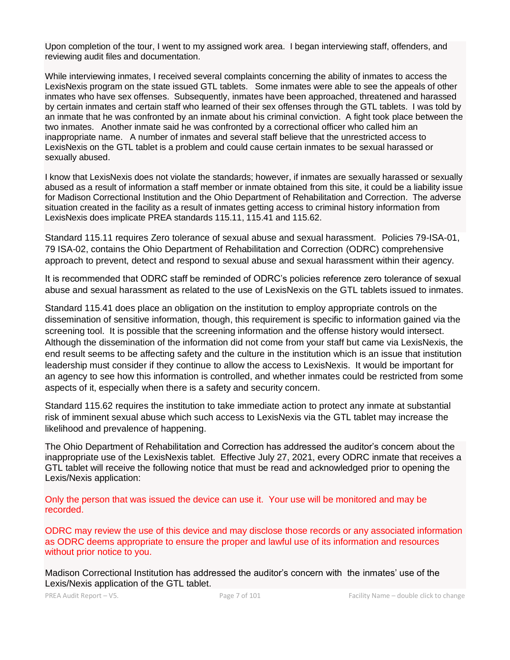Upon completion of the tour, I went to my assigned work area. I began interviewing staff, offenders, and reviewing audit files and documentation.

While interviewing inmates, I received several complaints concerning the ability of inmates to access the LexisNexis program on the state issued GTL tablets. Some inmates were able to see the appeals of other inmates who have sex offenses. Subsequently, inmates have been approached, threatened and harassed by certain inmates and certain staff who learned of their sex offenses through the GTL tablets. I was told by an inmate that he was confronted by an inmate about his criminal conviction. A fight took place between the two inmates. Another inmate said he was confronted by a correctional officer who called him an inappropriate name. A number of inmates and several staff believe that the unrestricted access to LexisNexis on the GTL tablet is a problem and could cause certain inmates to be sexual harassed or sexually abused.

I know that LexisNexis does not violate the standards; however, if inmates are sexually harassed or sexually abused as a result of information a staff member or inmate obtained from this site, it could be a liability issue for Madison Correctional Institution and the Ohio Department of Rehabilitation and Correction. The adverse situation created in the facility as a result of inmates getting access to criminal history information from LexisNexis does implicate PREA standards 115.11, 115.41 and 115.62.

Standard 115.11 requires Zero tolerance of sexual abuse and sexual harassment. Policies 79-ISA-01, 79 ISA-02, contains the Ohio Department of Rehabilitation and Correction (ODRC) comprehensive approach to prevent, detect and respond to sexual abuse and sexual harassment within their agency.

It is recommended that ODRC staff be reminded of ODRC's policies reference zero tolerance of sexual abuse and sexual harassment as related to the use of LexisNexis on the GTL tablets issued to inmates.

Standard 115.41 does place an obligation on the institution to employ appropriate controls on the dissemination of sensitive information, though, this requirement is specific to information gained via the screening tool. It is possible that the screening information and the offense history would intersect. Although the dissemination of the information did not come from your staff but came via LexisNexis, the end result seems to be affecting safety and the culture in the institution which is an issue that institution leadership must consider if they continue to allow the access to LexisNexis. It would be important for an agency to see how this information is controlled, and whether inmates could be restricted from some aspects of it, especially when there is a safety and security concern.

Standard 115.62 requires the institution to take immediate action to protect any inmate at substantial risk of imminent sexual abuse which such access to LexisNexis via the GTL tablet may increase the likelihood and prevalence of happening.

The Ohio Department of Rehabilitation and Correction has addressed the auditor's concern about the inappropriate use of the LexisNexis tablet. Effective July 27, 2021, every ODRC inmate that receives a GTL tablet will receive the following notice that must be read and acknowledged prior to opening the Lexis/Nexis application:

Only the person that was issued the device can use it. Your use will be monitored and may be recorded.

ODRC may review the use of this device and may disclose those records or any associated information as ODRC deems appropriate to ensure the proper and lawful use of its information and resources without prior notice to you.

Madison Correctional Institution has addressed the auditor's concern with the inmates' use of the Lexis/Nexis application of the GTL tablet.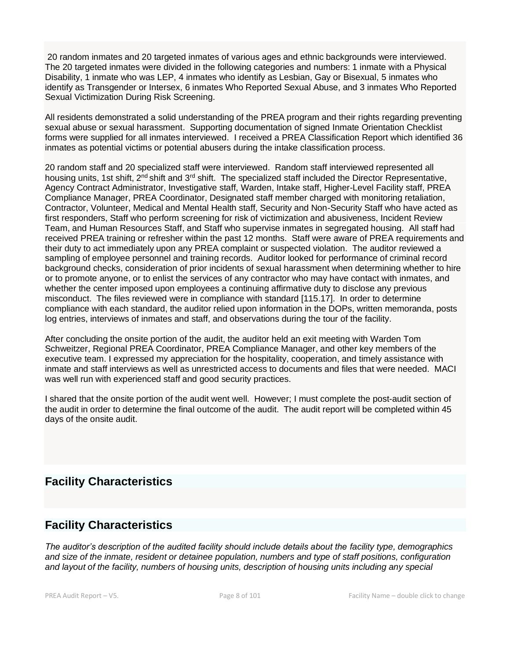20 random inmates and 20 targeted inmates of various ages and ethnic backgrounds were interviewed. The 20 targeted inmates were divided in the following categories and numbers: 1 inmate with a Physical Disability, 1 inmate who was LEP, 4 inmates who identify as Lesbian, Gay or Bisexual, 5 inmates who identify as Transgender or Intersex, 6 inmates Who Reported Sexual Abuse, and 3 inmates Who Reported Sexual Victimization During Risk Screening.

All residents demonstrated a solid understanding of the PREA program and their rights regarding preventing sexual abuse or sexual harassment. Supporting documentation of signed Inmate Orientation Checklist forms were supplied for all inmates interviewed. I received a PREA Classification Report which identified 36 inmates as potential victims or potential abusers during the intake classification process.

20 random staff and 20 specialized staff were interviewed. Random staff interviewed represented all housing units, 1st shift, 2<sup>nd</sup> shift and 3<sup>rd</sup> shift. The specialized staff included the Director Representative, Agency Contract Administrator, Investigative staff, Warden, Intake staff, Higher-Level Facility staff, PREA Compliance Manager, PREA Coordinator, Designated staff member charged with monitoring retaliation, Contractor, Volunteer, Medical and Mental Health staff, Security and Non-Security Staff who have acted as first responders, Staff who perform screening for risk of victimization and abusiveness, Incident Review Team, and Human Resources Staff, and Staff who supervise inmates in segregated housing. All staff had received PREA training or refresher within the past 12 months. Staff were aware of PREA requirements and their duty to act immediately upon any PREA complaint or suspected violation. The auditor reviewed a sampling of employee personnel and training records. Auditor looked for performance of criminal record background checks, consideration of prior incidents of sexual harassment when determining whether to hire or to promote anyone, or to enlist the services of any contractor who may have contact with inmates, and whether the center imposed upon employees a continuing affirmative duty to disclose any previous misconduct. The files reviewed were in compliance with standard [115.17]. In order to determine compliance with each standard, the auditor relied upon information in the DOPs, written memoranda, posts log entries, interviews of inmates and staff, and observations during the tour of the facility.

After concluding the onsite portion of the audit, the auditor held an exit meeting with Warden Tom Schweitzer, Regional PREA Coordinator, PREA Compliance Manager, and other key members of the executive team. I expressed my appreciation for the hospitality, cooperation, and timely assistance with inmate and staff interviews as well as unrestricted access to documents and files that were needed. MACI was well run with experienced staff and good security practices.

I shared that the onsite portion of the audit went well. However; I must complete the post-audit section of the audit in order to determine the final outcome of the audit. The audit report will be completed within 45 days of the onsite audit.

# **Facility Characteristics**

# **Facility Characteristics**

*The auditor's description of the audited facility should include details about the facility type, demographics and size of the inmate, resident or detainee population, numbers and type of staff positions, configuration and layout of the facility, numbers of housing units, description of housing units including any special*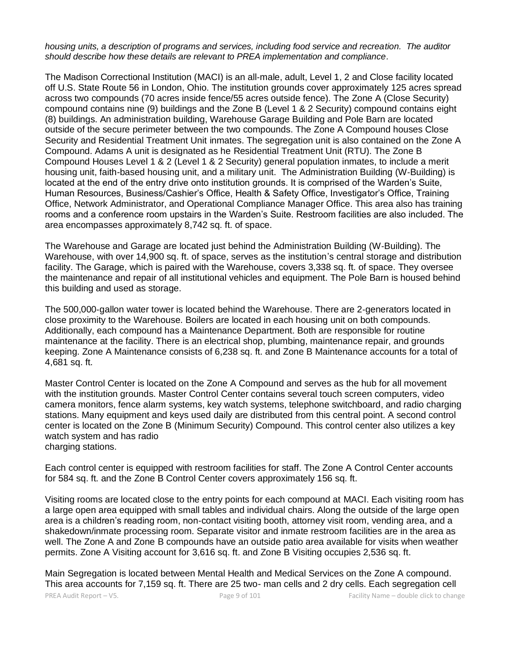*housing units, a description of programs and services, including food service and recreation. The auditor should describe how these details are relevant to PREA implementation and compliance.*

The Madison Correctional Institution (MACI) is an all‐male, adult, Level 1, 2 and Close facility located off U.S. State Route 56 in London, Ohio. The institution grounds cover approximately 125 acres spread across two compounds (70 acres inside fence/55 acres outside fence). The Zone A (Close Security) compound contains nine (9) buildings and the Zone B (Level 1 & 2 Security) compound contains eight (8) buildings. An administration building, Warehouse Garage Building and Pole Barn are located outside of the secure perimeter between the two compounds. The Zone A Compound houses Close Security and Residential Treatment Unit inmates. The segregation unit is also contained on the Zone A Compound. Adams A unit is designated as he Residential Treatment Unit (RTU). The Zone B Compound Houses Level 1 & 2 (Level 1 & 2 Security) general population inmates, to include a merit housing unit, faith-based housing unit, and a military unit. The Administration Building (W-Building) is located at the end of the entry drive onto institution grounds. It is comprised of the Warden's Suite, Human Resources, Business/Cashier's Office, Health & Safety Office, Investigator's Office, Training Office, Network Administrator, and Operational Compliance Manager Office. This area also has training rooms and a conference room upstairs in the Warden's Suite. Restroom facilities are also included. The area encompasses approximately 8,742 sq. ft. of space.

The Warehouse and Garage are located just behind the Administration Building (W‐Building). The Warehouse, with over 14,900 sq. ft. of space, serves as the institution's central storage and distribution facility. The Garage, which is paired with the Warehouse, covers 3,338 sq. ft. of space. They oversee the maintenance and repair of all institutional vehicles and equipment. The Pole Barn is housed behind this building and used as storage.

The 500,000‐gallon water tower is located behind the Warehouse. There are 2‐generators located in close proximity to the Warehouse. Boilers are located in each housing unit on both compounds. Additionally, each compound has a Maintenance Department. Both are responsible for routine maintenance at the facility. There is an electrical shop, plumbing, maintenance repair, and grounds keeping. Zone A Maintenance consists of 6,238 sq. ft. and Zone B Maintenance accounts for a total of 4,681 sq. ft.

Master Control Center is located on the Zone A Compound and serves as the hub for all movement with the institution grounds. Master Control Center contains several touch screen computers, video camera monitors, fence alarm systems, key watch systems, telephone switchboard, and radio charging stations. Many equipment and keys used daily are distributed from this central point. A second control center is located on the Zone B (Minimum Security) Compound. This control center also utilizes a key watch system and has radio charging stations.

Each control center is equipped with restroom facilities for staff. The Zone A Control Center accounts for 584 sq. ft. and the Zone B Control Center covers approximately 156 sq. ft.

Visiting rooms are located close to the entry points for each compound at MACI. Each visiting room has a large open area equipped with small tables and individual chairs. Along the outside of the large open area is a children's reading room, non‐contact visiting booth, attorney visit room, vending area, and a shakedown/inmate processing room. Separate visitor and inmate restroom facilities are in the area as well. The Zone A and Zone B compounds have an outside patio area available for visits when weather permits. Zone A Visiting account for 3,616 sq. ft. and Zone B Visiting occupies 2,536 sq. ft.

Main Segregation is located between Mental Health and Medical Services on the Zone A compound. This area accounts for 7,159 sq. ft. There are 25 two- man cells and 2 dry cells. Each segregation cell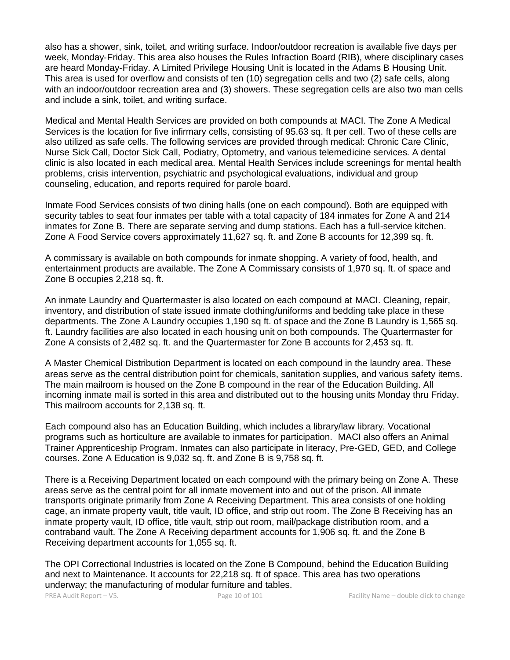also has a shower, sink, toilet, and writing surface. Indoor/outdoor recreation is available five days per week, Monday‐Friday. This area also houses the Rules Infraction Board (RIB), where disciplinary cases are heard Monday‐Friday. A Limited Privilege Housing Unit is located in the Adams B Housing Unit. This area is used for overflow and consists of ten (10) segregation cells and two (2) safe cells, along with an indoor/outdoor recreation area and (3) showers. These segregation cells are also two man cells and include a sink, toilet, and writing surface.

Medical and Mental Health Services are provided on both compounds at MACI. The Zone A Medical Services is the location for five infirmary cells, consisting of 95.63 sq. ft per cell. Two of these cells are also utilized as safe cells. The following services are provided through medical: Chronic Care Clinic, Nurse Sick Call, Doctor Sick Call, Podiatry, Optometry, and various telemedicine services. A dental clinic is also located in each medical area. Mental Health Services include screenings for mental health problems, crisis intervention, psychiatric and psychological evaluations, individual and group counseling, education, and reports required for parole board.

Inmate Food Services consists of two dining halls (one on each compound). Both are equipped with security tables to seat four inmates per table with a total capacity of 184 inmates for Zone A and 214 inmates for Zone B. There are separate serving and dump stations. Each has a full-service kitchen. Zone A Food Service covers approximately 11,627 sq. ft. and Zone B accounts for 12,399 sq. ft.

A commissary is available on both compounds for inmate shopping. A variety of food, health, and entertainment products are available. The Zone A Commissary consists of 1,970 sq. ft. of space and Zone B occupies 2,218 sq. ft.

An inmate Laundry and Quartermaster is also located on each compound at MACI. Cleaning, repair, inventory, and distribution of state issued inmate clothing/uniforms and bedding take place in these departments. The Zone A Laundry occupies 1,190 sq ft. of space and the Zone B Laundry is 1,565 sq. ft. Laundry facilities are also located in each housing unit on both compounds. The Quartermaster for Zone A consists of 2,482 sq. ft. and the Quartermaster for Zone B accounts for 2,453 sq. ft.

A Master Chemical Distribution Department is located on each compound in the laundry area. These areas serve as the central distribution point for chemicals, sanitation supplies, and various safety items. The main mailroom is housed on the Zone B compound in the rear of the Education Building. All incoming inmate mail is sorted in this area and distributed out to the housing units Monday thru Friday. This mailroom accounts for 2,138 sq. ft.

Each compound also has an Education Building, which includes a library/law library. Vocational programs such as horticulture are available to inmates for participation. MACI also offers an Animal Trainer Apprenticeship Program. Inmates can also participate in literacy, Pre‐GED, GED, and College courses. Zone A Education is 9,032 sq. ft. and Zone B is 9,758 sq. ft.

There is a Receiving Department located on each compound with the primary being on Zone A. These areas serve as the central point for all inmate movement into and out of the prison. All inmate transports originate primarily from Zone A Receiving Department. This area consists of one holding cage, an inmate property vault, title vault, ID office, and strip out room. The Zone B Receiving has an inmate property vault, ID office, title vault, strip out room, mail/package distribution room, and a contraband vault. The Zone A Receiving department accounts for 1,906 sq. ft. and the Zone B Receiving department accounts for 1,055 sq. ft.

The OPI Correctional Industries is located on the Zone B Compound, behind the Education Building and next to Maintenance. It accounts for 22,218 sq. ft of space. This area has two operations underway; the manufacturing of modular furniture and tables.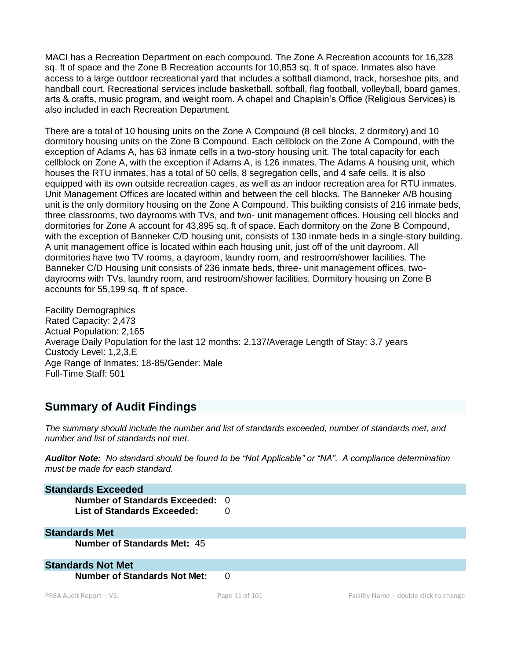MACI has a Recreation Department on each compound. The Zone A Recreation accounts for 16,328 sq. ft of space and the Zone B Recreation accounts for 10,853 sq. ft of space. Inmates also have access to a large outdoor recreational yard that includes a softball diamond, track, horseshoe pits, and handball court. Recreational services include basketball, softball, flag football, volleyball, board games, arts & crafts, music program, and weight room. A chapel and Chaplain's Office (Religious Services) is also included in each Recreation Department.

There are a total of 10 housing units on the Zone A Compound (8 cell blocks, 2 dormitory) and 10 dormitory housing units on the Zone B Compound. Each cellblock on the Zone A Compound, with the exception of Adams A, has 63 inmate cells in a two-story housing unit. The total capacity for each cellblock on Zone A, with the exception if Adams A, is 126 inmates. The Adams A housing unit, which houses the RTU inmates, has a total of 50 cells, 8 segregation cells, and 4 safe cells. It is also equipped with its own outside recreation cages, as well as an indoor recreation area for RTU inmates. Unit Management Offices are located within and between the cell blocks. The Banneker A/B housing unit is the only dormitory housing on the Zone A Compound. This building consists of 216 inmate beds, three classrooms, two dayrooms with TVs, and two- unit management offices. Housing cell blocks and dormitories for Zone A account for 43,895 sq. ft of space. Each dormitory on the Zone B Compound, with the exception of Banneker C/D housing unit, consists of 130 inmate beds in a single-story building. A unit management office is located within each housing unit, just off of the unit dayroom. All dormitories have two TV rooms, a dayroom, laundry room, and restroom/shower facilities. The Banneker C/D Housing unit consists of 236 inmate beds, three- unit management offices, twodayrooms with TVs, laundry room, and restroom/shower facilities. Dormitory housing on Zone B accounts for 55,199 sq. ft of space.

Facility Demographics Rated Capacity: 2,473 Actual Population: 2,165 Average Daily Population for the last 12 months: 2,137/Average Length of Stay: 3.7 years Custody Level: 1,2,3,E Age Range of Inmates: 18-85/Gender: Male Full-Time Staff: 501

# **Summary of Audit Findings**

*The summary should include the number and list of standards exceeded, number of standards met, and number and list of standards not met.*

*Auditor Note: No standard should be found to be "Not Applicable" or "NA". A compliance determination must be made for each standard.* 

| <b>Standards Exceeded</b>                                      |                |                                        |
|----------------------------------------------------------------|----------------|----------------------------------------|
| Number of Standards Exceeded: 0<br>List of Standards Exceeded: |                |                                        |
| <b>Standards Met</b>                                           |                |                                        |
| <b>Number of Standards Met: 45</b>                             |                |                                        |
| <b>Standards Not Met</b>                                       |                |                                        |
| <b>Number of Standards Not Met:</b>                            | $\Omega$       |                                        |
| PREA Audit Report $-$ V5.                                      | Page 11 of 101 | Facility Name - double click to change |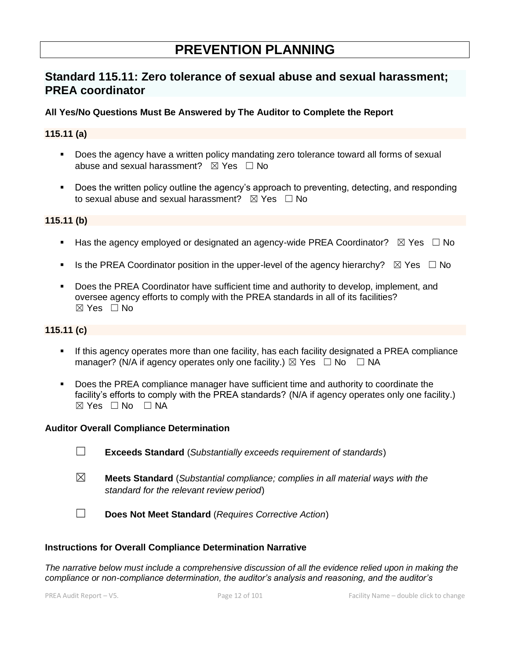# **PREVENTION PLANNING**

# **Standard 115.11: Zero tolerance of sexual abuse and sexual harassment; PREA coordinator**

## **All Yes/No Questions Must Be Answered by The Auditor to Complete the Report**

#### **115.11 (a)**

- Does the agency have a written policy mandating zero tolerance toward all forms of sexual abuse and sexual harassment?  $\boxtimes$  Yes  $\Box$  No
- Does the written policy outline the agency's approach to preventing, detecting, and responding to sexual abuse and sexual harassment?  $\boxtimes$  Yes  $\Box$  No

### **115.11 (b)**

- Has the agency employed or designated an agency-wide PREA Coordinator?  $\boxtimes$  Yes  $\Box$  No
- **■** Is the PREA Coordinator position in the upper-level of the agency hierarchy?  $\boxtimes$  Yes  $\Box$  No
- Does the PREA Coordinator have sufficient time and authority to develop, implement, and oversee agency efforts to comply with the PREA standards in all of its facilities? ☒ Yes ☐ No

## **115.11 (c)**

- If this agency operates more than one facility, has each facility designated a PREA compliance manager? (N/A if agency operates only one facility.)  $\boxtimes$  Yes  $\Box$  No  $\Box$  NA
- **Does the PREA compliance manager have sufficient time and authority to coordinate the** facility's efforts to comply with the PREA standards? (N/A if agency operates only one facility.)  $⊠ Yes ⊡ No ⊡ NA$

#### **Auditor Overall Compliance Determination**

- ☐ **Exceeds Standard** (*Substantially exceeds requirement of standards*)
- ☒ **Meets Standard** (*Substantial compliance; complies in all material ways with the standard for the relevant review period*)
- ☐ **Does Not Meet Standard** (*Requires Corrective Action*)

#### **Instructions for Overall Compliance Determination Narrative**

*The narrative below must include a comprehensive discussion of all the evidence relied upon in making the compliance or non-compliance determination, the auditor's analysis and reasoning, and the auditor's*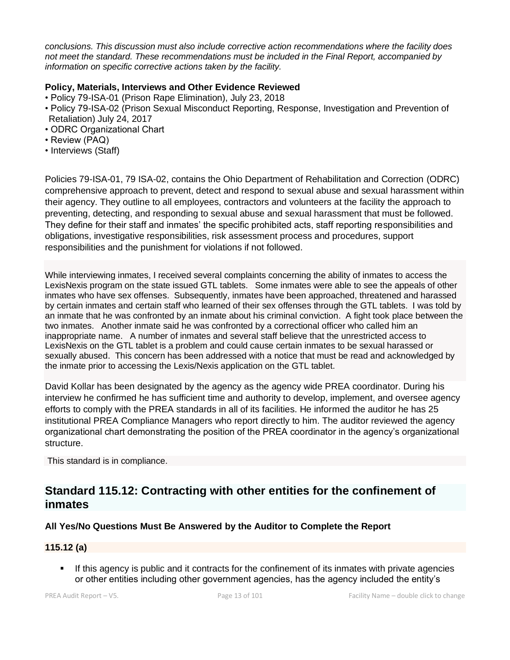*conclusions. This discussion must also include corrective action recommendations where the facility does not meet the standard. These recommendations must be included in the Final Report, accompanied by information on specific corrective actions taken by the facility.*

# **Policy, Materials, Interviews and Other Evidence Reviewed**

- Policy 79-ISA-01 (Prison Rape Elimination), July 23, 2018
- Policy 79-ISA-02 (Prison Sexual Misconduct Reporting, Response, Investigation and Prevention of Retaliation) July 24, 2017
- ODRC Organizational Chart
- Review (PAQ)
- Interviews (Staff)

Policies 79-ISA-01, 79 ISA-02, contains the Ohio Department of Rehabilitation and Correction (ODRC) comprehensive approach to prevent, detect and respond to sexual abuse and sexual harassment within their agency. They outline to all employees, contractors and volunteers at the facility the approach to preventing, detecting, and responding to sexual abuse and sexual harassment that must be followed. They define for their staff and inmates' the specific prohibited acts, staff reporting responsibilities and obligations, investigative responsibilities, risk assessment process and procedures, support responsibilities and the punishment for violations if not followed.

While interviewing inmates, I received several complaints concerning the ability of inmates to access the LexisNexis program on the state issued GTL tablets. Some inmates were able to see the appeals of other inmates who have sex offenses. Subsequently, inmates have been approached, threatened and harassed by certain inmates and certain staff who learned of their sex offenses through the GTL tablets. I was told by an inmate that he was confronted by an inmate about his criminal conviction. A fight took place between the two inmates. Another inmate said he was confronted by a correctional officer who called him an inappropriate name. A number of inmates and several staff believe that the unrestricted access to LexisNexis on the GTL tablet is a problem and could cause certain inmates to be sexual harassed or sexually abused. This concern has been addressed with a notice that must be read and acknowledged by the inmate prior to accessing the Lexis/Nexis application on the GTL tablet.

David Kollar has been designated by the agency as the agency wide PREA coordinator. During his interview he confirmed he has sufficient time and authority to develop, implement, and oversee agency efforts to comply with the PREA standards in all of its facilities. He informed the auditor he has 25 institutional PREA Compliance Managers who report directly to him. The auditor reviewed the agency organizational chart demonstrating the position of the PREA coordinator in the agency's organizational structure.

This standard is in compliance.

# **Standard 115.12: Contracting with other entities for the confinement of inmates**

# **All Yes/No Questions Must Be Answered by the Auditor to Complete the Report**

### **115.12 (a)**

**.** If this agency is public and it contracts for the confinement of its inmates with private agencies or other entities including other government agencies, has the agency included the entity's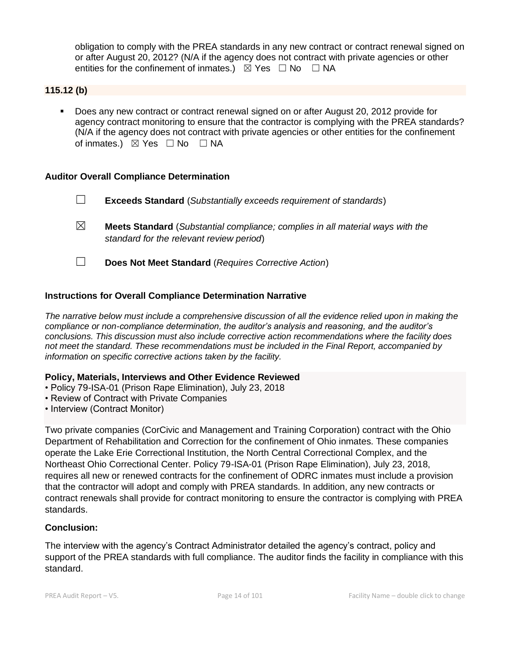obligation to comply with the PREA standards in any new contract or contract renewal signed on or after August 20, 2012? (N/A if the agency does not contract with private agencies or other entities for the confinement of inmates.)  $\boxtimes$  Yes  $\Box$  No  $\Box$  NA

**115.12 (b)**

▪ Does any new contract or contract renewal signed on or after August 20, 2012 provide for agency contract monitoring to ensure that the contractor is complying with the PREA standards? (N/A if the agency does not contract with private agencies or other entities for the confinement of inmates.)  $\boxtimes$  Yes  $\Box$  No  $\Box$  NA

#### **Auditor Overall Compliance Determination**

- ☐ **Exceeds Standard** (*Substantially exceeds requirement of standards*)
- ☒ **Meets Standard** (*Substantial compliance; complies in all material ways with the standard for the relevant review period*)
- ☐ **Does Not Meet Standard** (*Requires Corrective Action*)

### **Instructions for Overall Compliance Determination Narrative**

*The narrative below must include a comprehensive discussion of all the evidence relied upon in making the compliance or non-compliance determination, the auditor's analysis and reasoning, and the auditor's conclusions. This discussion must also include corrective action recommendations where the facility does not meet the standard. These recommendations must be included in the Final Report, accompanied by information on specific corrective actions taken by the facility.*

#### **Policy, Materials, Interviews and Other Evidence Reviewed**

- Policy 79-ISA-01 (Prison Rape Elimination), July 23, 2018
- Review of Contract with Private Companies
- Interview (Contract Monitor)

Two private companies (CorCivic and Management and Training Corporation) contract with the Ohio Department of Rehabilitation and Correction for the confinement of Ohio inmates. These companies operate the Lake Erie Correctional Institution, the North Central Correctional Complex, and the Northeast Ohio Correctional Center. Policy 79-ISA-01 (Prison Rape Elimination), July 23, 2018, requires all new or renewed contracts for the confinement of ODRC inmates must include a provision that the contractor will adopt and comply with PREA standards. In addition, any new contracts or contract renewals shall provide for contract monitoring to ensure the contractor is complying with PREA standards.

#### **Conclusion:**

The interview with the agency's Contract Administrator detailed the agency's contract, policy and support of the PREA standards with full compliance. The auditor finds the facility in compliance with this standard.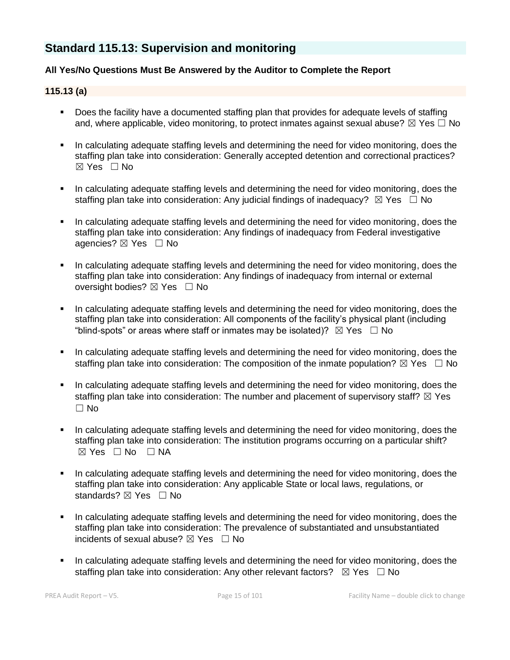# **Standard 115.13: Supervision and monitoring**

## **All Yes/No Questions Must Be Answered by the Auditor to Complete the Report**

### **115.13 (a)**

- Does the facility have a documented staffing plan that provides for adequate levels of staffing and, where applicable, video monitoring, to protect inmates against sexual abuse?  $\boxtimes$  Yes  $\Box$  No
- In calculating adequate staffing levels and determining the need for video monitoring, does the staffing plan take into consideration: Generally accepted detention and correctional practices? ☒ Yes ☐ No
- In calculating adequate staffing levels and determining the need for video monitoring, does the staffing plan take into consideration: Any judicial findings of inadequacy?  $\boxtimes$  Yes  $\Box$  No
- In calculating adequate staffing levels and determining the need for video monitoring, does the staffing plan take into consideration: Any findings of inadequacy from Federal investigative agencies? ⊠ Yes □ No
- In calculating adequate staffing levels and determining the need for video monitoring, does the staffing plan take into consideration: Any findings of inadequacy from internal or external oversight bodies? ⊠ Yes □ No
- In calculating adequate staffing levels and determining the need for video monitoring, does the staffing plan take into consideration: All components of the facility's physical plant (including "blind-spots" or areas where staff or inmates may be isolated)?  $\boxtimes$  Yes  $\Box$  No
- In calculating adequate staffing levels and determining the need for video monitoring, does the staffing plan take into consideration: The composition of the inmate population?  $\boxtimes$  Yes  $\Box$  No
- In calculating adequate staffing levels and determining the need for video monitoring, does the staffing plan take into consideration: The number and placement of supervisory staff?  $\boxtimes$  Yes ☐ No
- In calculating adequate staffing levels and determining the need for video monitoring, does the staffing plan take into consideration: The institution programs occurring on a particular shift?  $⊠ Yes ⊡ No ⊡ NA$
- In calculating adequate staffing levels and determining the need for video monitoring, does the staffing plan take into consideration: Any applicable State or local laws, regulations, or standards? ⊠ Yes □ No
- In calculating adequate staffing levels and determining the need for video monitoring, does the staffing plan take into consideration: The prevalence of substantiated and unsubstantiated incidents of sexual abuse?  $\boxtimes$  Yes  $\Box$  No
- In calculating adequate staffing levels and determining the need for video monitoring, does the staffing plan take into consideration: Any other relevant factors?  $\boxtimes$  Yes  $\Box$  No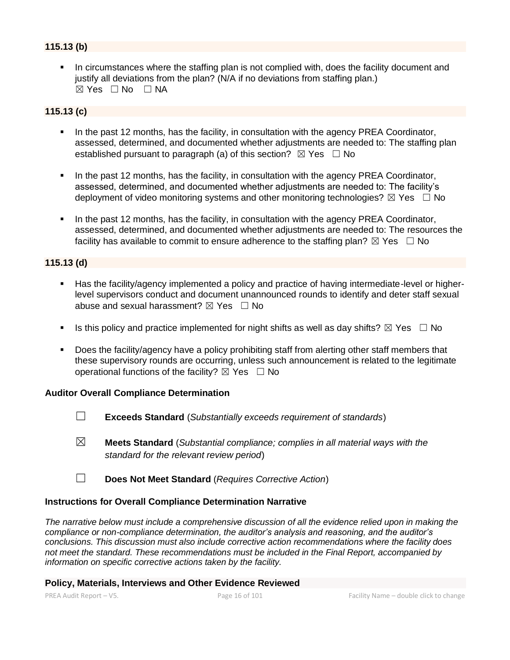# **115.13 (b)**

In circumstances where the staffing plan is not complied with, does the facility document and justify all deviations from the plan? (N/A if no deviations from staffing plan.)  $\boxtimes$  Yes  $\Box$  No  $\Box$  NA

### **115.13 (c)**

- In the past 12 months, has the facility, in consultation with the agency PREA Coordinator, assessed, determined, and documented whether adjustments are needed to: The staffing plan established pursuant to paragraph (a) of this section?  $\boxtimes$  Yes  $\Box$  No
- In the past 12 months, has the facility, in consultation with the agency PREA Coordinator, assessed, determined, and documented whether adjustments are needed to: The facility's deployment of video monitoring systems and other monitoring technologies?  $\boxtimes$  Yes  $\Box$  No
- In the past 12 months, has the facility, in consultation with the agency PREA Coordinator, assessed, determined, and documented whether adjustments are needed to: The resources the facility has available to commit to ensure adherence to the staffing plan?  $\boxtimes$  Yes  $\Box$  No

### **115.13 (d)**

- Has the facility/agency implemented a policy and practice of having intermediate-level or higherlevel supervisors conduct and document unannounced rounds to identify and deter staff sexual abuse and sexual harassment?  $\boxtimes$  Yes  $\Box$  No
- **■** Is this policy and practice implemented for night shifts as well as day shifts?  $\boxtimes$  Yes  $\Box$  No
- Does the facility/agency have a policy prohibiting staff from alerting other staff members that these supervisory rounds are occurring, unless such announcement is related to the legitimate operational functions of the facility?  $\boxtimes$  Yes  $\Box$  No

#### **Auditor Overall Compliance Determination**

- ☐ **Exceeds Standard** (*Substantially exceeds requirement of standards*)
- ☒ **Meets Standard** (*Substantial compliance; complies in all material ways with the standard for the relevant review period*)
- ☐ **Does Not Meet Standard** (*Requires Corrective Action*)

#### **Instructions for Overall Compliance Determination Narrative**

*The narrative below must include a comprehensive discussion of all the evidence relied upon in making the compliance or non-compliance determination, the auditor's analysis and reasoning, and the auditor's conclusions. This discussion must also include corrective action recommendations where the facility does not meet the standard. These recommendations must be included in the Final Report, accompanied by information on specific corrective actions taken by the facility.*

#### **Policy, Materials, Interviews and Other Evidence Reviewed**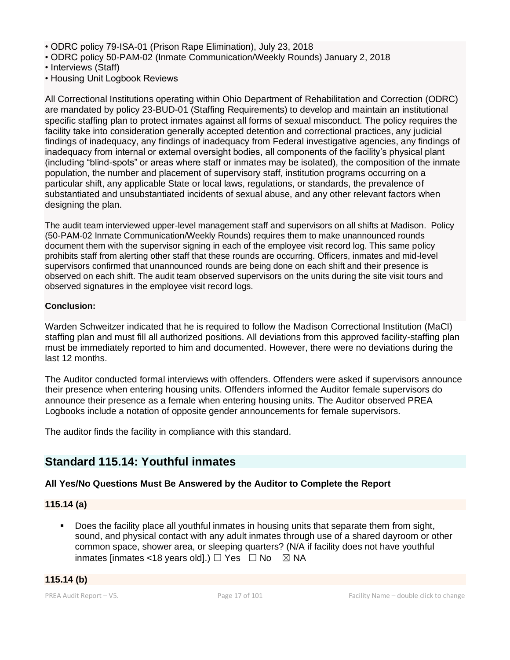- ODRC policy 79-ISA-01 (Prison Rape Elimination), July 23, 2018
- ODRC policy 50-PAM-02 (Inmate Communication/Weekly Rounds) January 2, 2018
- Interviews (Staff)
- Housing Unit Logbook Reviews

All Correctional Institutions operating within Ohio Department of Rehabilitation and Correction (ODRC) are mandated by policy 23-BUD-01 (Staffing Requirements) to develop and maintain an institutional specific staffing plan to protect inmates against all forms of sexual misconduct. The policy requires the facility take into consideration generally accepted detention and correctional practices, any judicial findings of inadequacy, any findings of inadequacy from Federal investigative agencies, any findings of inadequacy from internal or external oversight bodies, all components of the facility's physical plant (including "blind-spots" or areas where staff or inmates may be isolated), the composition of the inmate population, the number and placement of supervisory staff, institution programs occurring on a particular shift, any applicable State or local laws, regulations, or standards, the prevalence of substantiated and unsubstantiated incidents of sexual abuse, and any other relevant factors when designing the plan.

The audit team interviewed upper-level management staff and supervisors on all shifts at Madison. Policy (50-PAM-02 Inmate Communication/Weekly Rounds) requires them to make unannounced rounds document them with the supervisor signing in each of the employee visit record log. This same policy prohibits staff from alerting other staff that these rounds are occurring. Officers, inmates and mid-level supervisors confirmed that unannounced rounds are being done on each shift and their presence is observed on each shift. The audit team observed supervisors on the units during the site visit tours and observed signatures in the employee visit record logs.

#### **Conclusion:**

Warden Schweitzer indicated that he is required to follow the Madison Correctional Institution (MaCI) staffing plan and must fill all authorized positions. All deviations from this approved facility-staffing plan must be immediately reported to him and documented. However, there were no deviations during the last 12 months.

The Auditor conducted formal interviews with offenders. Offenders were asked if supervisors announce their presence when entering housing units. Offenders informed the Auditor female supervisors do announce their presence as a female when entering housing units. The Auditor observed PREA Logbooks include a notation of opposite gender announcements for female supervisors.

The auditor finds the facility in compliance with this standard.

# **Standard 115.14: Youthful inmates**

# **All Yes/No Questions Must Be Answered by the Auditor to Complete the Report**

#### **115.14 (a)**

Does the facility place all youthful inmates in housing units that separate them from sight, sound, and physical contact with any adult inmates through use of a shared dayroom or other common space, shower area, or sleeping quarters? (N/A if facility does not have youthful inmates [inmates <18 years old].)  $\Box$  Yes  $\Box$  No  $\boxtimes$  NA

### **115.14 (b)**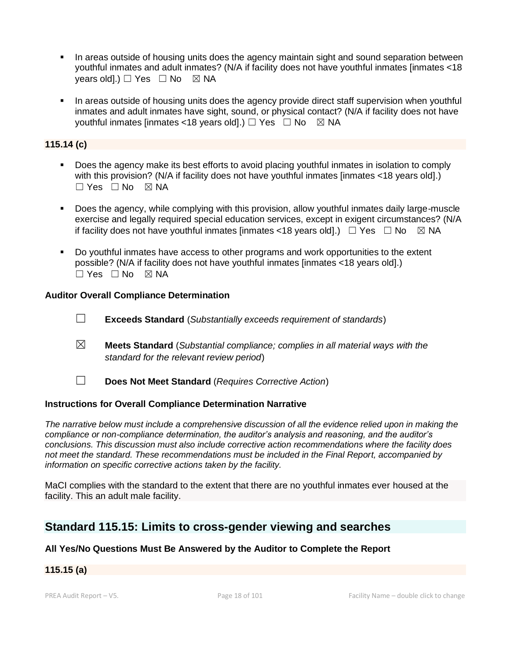- In areas outside of housing units does the agency maintain sight and sound separation between youthful inmates and adult inmates? (N/A if facility does not have youthful inmates [inmates <18 vears old].)  $\Box$  Yes  $\Box$  No  $\boxtimes$  NA
- In areas outside of housing units does the agency provide direct staff supervision when youthful inmates and adult inmates have sight, sound, or physical contact? (N/A if facility does not have youthful inmates [inmates <18 years old].)  $\Box$  Yes  $\Box$  No  $\boxtimes$  NA

## **115.14 (c)**

- Does the agency make its best efforts to avoid placing youthful inmates in isolation to comply with this provision? (N/A if facility does not have youthful inmates [inmates <18 years old].)  $\Box$  Yes  $\Box$  No  $\boxtimes$  NA
- Does the agency, while complying with this provision, allow youthful inmates daily large-muscle exercise and legally required special education services, except in exigent circumstances? (N/A if facility does not have youthful inmates [inmates <18 years old].)  $\Box$  Yes  $\Box$  No  $\Box$  NA
- Do youthful inmates have access to other programs and work opportunities to the extent possible? (N/A if facility does not have youthful inmates [inmates <18 years old].) ☐ Yes ☐ No ☒ NA

#### **Auditor Overall Compliance Determination**

- ☐ **Exceeds Standard** (*Substantially exceeds requirement of standards*)
- ☒ **Meets Standard** (*Substantial compliance; complies in all material ways with the standard for the relevant review period*)
- ☐ **Does Not Meet Standard** (*Requires Corrective Action*)

#### **Instructions for Overall Compliance Determination Narrative**

*The narrative below must include a comprehensive discussion of all the evidence relied upon in making the compliance or non-compliance determination, the auditor's analysis and reasoning, and the auditor's conclusions. This discussion must also include corrective action recommendations where the facility does not meet the standard. These recommendations must be included in the Final Report, accompanied by information on specific corrective actions taken by the facility.*

MaCI complies with the standard to the extent that there are no youthful inmates ever housed at the facility. This an adult male facility.

# **Standard 115.15: Limits to cross-gender viewing and searches**

### **All Yes/No Questions Must Be Answered by the Auditor to Complete the Report**

# **115.15 (a)**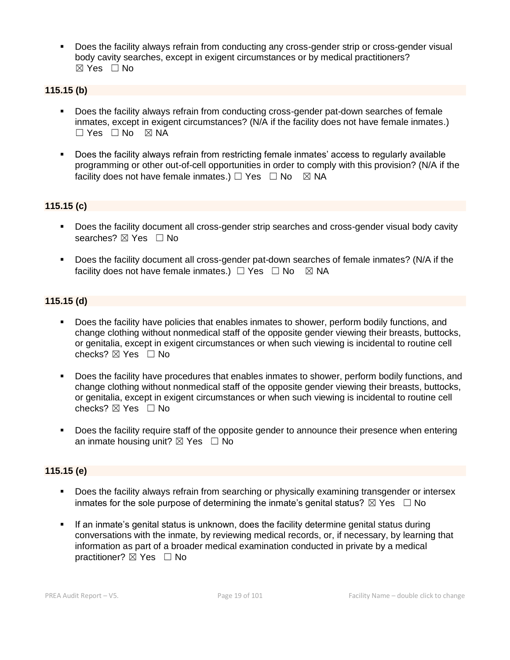**•** Does the facility always refrain from conducting any cross-gender strip or cross-gender visual body cavity searches, except in exigent circumstances or by medical practitioners?  $\boxtimes$  Yes  $\Box$  No

## **115.15 (b)**

- Does the facility always refrain from conducting cross-gender pat-down searches of female inmates, except in exigent circumstances? (N/A if the facility does not have female inmates.)  $\square$  Yes  $\square$  No  $\square$  NA
- Does the facility always refrain from restricting female inmates' access to regularly available programming or other out-of-cell opportunities in order to comply with this provision? (N/A if the facility does not have female inmates.)  $\Box$  Yes  $\Box$  No  $\boxtimes$  NA

# **115.15 (c)**

- **•** Does the facility document all cross-gender strip searches and cross-gender visual body cavity searches? ⊠ Yes □ No
- Does the facility document all cross-gender pat-down searches of female inmates? (N/A if the facility does not have female inmates.)  $\Box$  Yes  $\Box$  No  $\boxtimes$  NA

### **115.15 (d)**

- Does the facility have policies that enables inmates to shower, perform bodily functions, and change clothing without nonmedical staff of the opposite gender viewing their breasts, buttocks, or genitalia, except in exigent circumstances or when such viewing is incidental to routine cell checks? ☒ Yes ☐ No
- Does the facility have procedures that enables inmates to shower, perform bodily functions, and change clothing without nonmedical staff of the opposite gender viewing their breasts, buttocks, or genitalia, except in exigent circumstances or when such viewing is incidental to routine cell checks? ☒ Yes ☐ No
- Does the facility require staff of the opposite gender to announce their presence when entering an inmate housing unit?  $\boxtimes$  Yes  $\Box$  No

### **115.15 (e)**

- Does the facility always refrain from searching or physically examining transgender or intersex inmates for the sole purpose of determining the inmate's genital status?  $\boxtimes$  Yes  $\Box$  No
- **•** If an inmate's genital status is unknown, does the facility determine genital status during conversations with the inmate, by reviewing medical records, or, if necessary, by learning that information as part of a broader medical examination conducted in private by a medical practitioner? ⊠ Yes □ No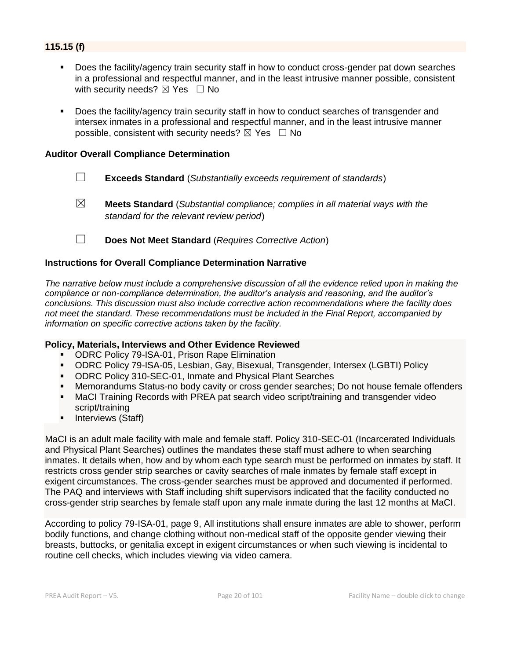# **115.15 (f)**

- Does the facility/agency train security staff in how to conduct cross-gender pat down searches in a professional and respectful manner, and in the least intrusive manner possible, consistent with security needs?  $\boxtimes$  Yes  $\Box$  No
- Does the facility/agency train security staff in how to conduct searches of transgender and intersex inmates in a professional and respectful manner, and in the least intrusive manner possible, consistent with security needs?  $\boxtimes$  Yes  $\Box$  No

#### **Auditor Overall Compliance Determination**

- ☐ **Exceeds Standard** (*Substantially exceeds requirement of standards*)
- ☒ **Meets Standard** (*Substantial compliance; complies in all material ways with the standard for the relevant review period*)
- ☐ **Does Not Meet Standard** (*Requires Corrective Action*)

#### **Instructions for Overall Compliance Determination Narrative**

*The narrative below must include a comprehensive discussion of all the evidence relied upon in making the compliance or non-compliance determination, the auditor's analysis and reasoning, and the auditor's conclusions. This discussion must also include corrective action recommendations where the facility does not meet the standard. These recommendations must be included in the Final Report, accompanied by information on specific corrective actions taken by the facility.*

#### **Policy, Materials, Interviews and Other Evidence Reviewed**

- ODRC Policy 79-ISA-01, Prison Rape Elimination
- ODRC Policy 79-ISA-05, Lesbian, Gay, Bisexual, Transgender, Intersex (LGBTI) Policy
- ODRC Policy 310-SEC-01, Inmate and Physical Plant Searches
- Memorandums Status-no body cavity or cross gender searches; Do not house female offenders
- **■** MaCI Training Records with PREA pat search video script/training and transgender video script/training
- Interviews (Staff)

MaCI is an adult male facility with male and female staff. Policy 310-SEC-01 (Incarcerated Individuals and Physical Plant Searches) outlines the mandates these staff must adhere to when searching inmates. It details when, how and by whom each type search must be performed on inmates by staff. It restricts cross gender strip searches or cavity searches of male inmates by female staff except in exigent circumstances. The cross-gender searches must be approved and documented if performed. The PAQ and interviews with Staff including shift supervisors indicated that the facility conducted no cross-gender strip searches by female staff upon any male inmate during the last 12 months at MaCI.

According to policy 79-ISA-01, page 9, All institutions shall ensure inmates are able to shower, perform bodily functions, and change clothing without non-medical staff of the opposite gender viewing their breasts, buttocks, or genitalia except in exigent circumstances or when such viewing is incidental to routine cell checks, which includes viewing via video camera.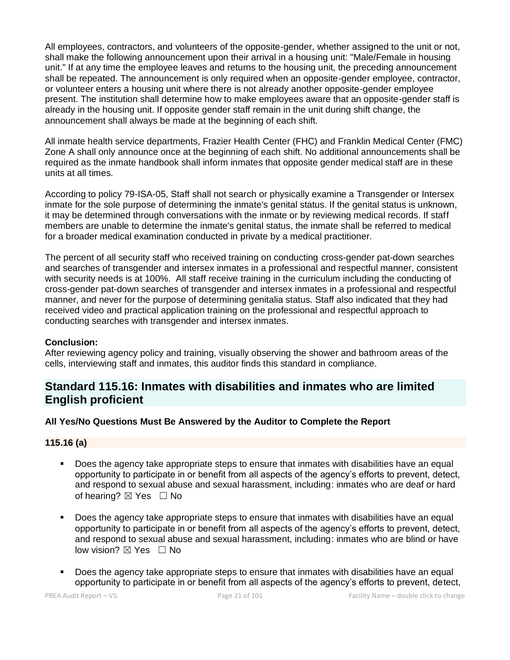All employees, contractors, and volunteers of the opposite-gender, whether assigned to the unit or not, shall make the following announcement upon their arrival in a housing unit: "Male/Female in housing unit." If at any time the employee leaves and returns to the housing unit, the preceding announcement shall be repeated. The announcement is only required when an opposite-gender employee, contractor, or volunteer enters a housing unit where there is not already another opposite-gender employee present. The institution shall determine how to make employees aware that an opposite-gender staff is already in the housing unit. If opposite gender staff remain in the unit during shift change, the announcement shall always be made at the beginning of each shift.

All inmate health service departments, Frazier Health Center (FHC) and Franklin Medical Center (FMC) Zone A shall only announce once at the beginning of each shift. No additional announcements shall be required as the inmate handbook shall inform inmates that opposite gender medical staff are in these units at all times.

According to policy 79-ISA-05, Staff shall not search or physically examine a Transgender or Intersex inmate for the sole purpose of determining the inmate's genital status. If the genital status is unknown, it may be determined through conversations with the inmate or by reviewing medical records. If staff members are unable to determine the inmate's genital status, the inmate shall be referred to medical for a broader medical examination conducted in private by a medical practitioner.

The percent of all security staff who received training on conducting cross-gender pat-down searches and searches of transgender and intersex inmates in a professional and respectful manner, consistent with security needs is at 100%. All staff receive training in the curriculum including the conducting of cross-gender pat-down searches of transgender and intersex inmates in a professional and respectful manner, and never for the purpose of determining genitalia status. Staff also indicated that they had received video and practical application training on the professional and respectful approach to conducting searches with transgender and intersex inmates.

### **Conclusion:**

After reviewing agency policy and training, visually observing the shower and bathroom areas of the cells, interviewing staff and inmates, this auditor finds this standard in compliance.

# **Standard 115.16: Inmates with disabilities and inmates who are limited English proficient**

#### **All Yes/No Questions Must Be Answered by the Auditor to Complete the Report**

#### **115.16 (a)**

- Does the agency take appropriate steps to ensure that inmates with disabilities have an equal opportunity to participate in or benefit from all aspects of the agency's efforts to prevent, detect, and respond to sexual abuse and sexual harassment, including: inmates who are deaf or hard of hearing?  $\boxtimes$  Yes  $\Box$  No
- Does the agency take appropriate steps to ensure that inmates with disabilities have an equal opportunity to participate in or benefit from all aspects of the agency's efforts to prevent, detect, and respond to sexual abuse and sexual harassment, including: inmates who are blind or have low vision? ⊠ Yes □ No
- Does the agency take appropriate steps to ensure that inmates with disabilities have an equal opportunity to participate in or benefit from all aspects of the agency's efforts to prevent, detect,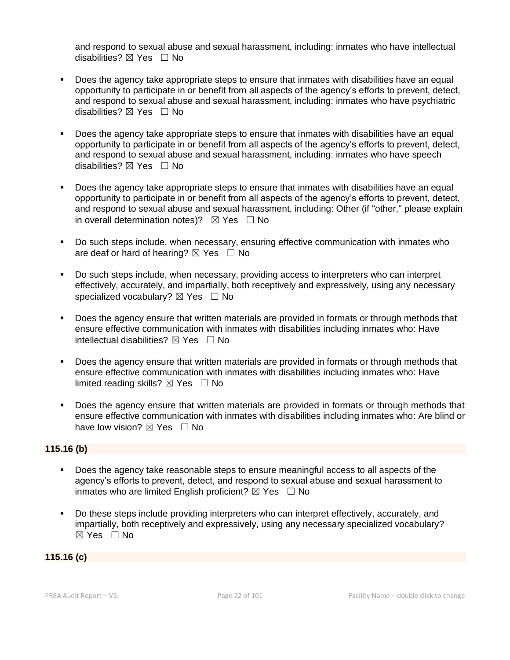and respond to sexual abuse and sexual harassment, including: inmates who have intellectual disabilities?  $\boxtimes$  Yes  $\Box$  No

- Does the agency take appropriate steps to ensure that inmates with disabilities have an equal opportunity to participate in or benefit from all aspects of the agency's efforts to prevent, detect, and respond to sexual abuse and sexual harassment, including: inmates who have psychiatric disabilities?  $\boxtimes$  Yes  $\Box$  No
- Does the agency take appropriate steps to ensure that inmates with disabilities have an equal opportunity to participate in or benefit from all aspects of the agency's efforts to prevent, detect, and respond to sexual abuse and sexual harassment, including: inmates who have speech disabilities?  $\boxtimes$  Yes  $\Box$  No
- Does the agency take appropriate steps to ensure that inmates with disabilities have an equal opportunity to participate in or benefit from all aspects of the agency's efforts to prevent, detect, and respond to sexual abuse and sexual harassment, including: Other (if "other," please explain in overall determination notes)?  $\boxtimes$  Yes  $\Box$  No
- Do such steps include, when necessary, ensuring effective communication with inmates who are deaf or hard of hearing?  $\boxtimes$  Yes  $\Box$  No
- Do such steps include, when necessary, providing access to interpreters who can interpret effectively, accurately, and impartially, both receptively and expressively, using any necessary specialized vocabulary?  $\boxtimes$  Yes  $\Box$  No
- Does the agency ensure that written materials are provided in formats or through methods that ensure effective communication with inmates with disabilities including inmates who: Have intellectual disabilities?  $\boxtimes$  Yes  $\Box$  No
- Does the agency ensure that written materials are provided in formats or through methods that ensure effective communication with inmates with disabilities including inmates who: Have limited reading skills?  $\boxtimes$  Yes  $\Box$  No
- **•** Does the agency ensure that written materials are provided in formats or through methods that ensure effective communication with inmates with disabilities including inmates who: Are blind or have low vision?  $\boxtimes$  Yes  $\Box$  No

### **115.16 (b)**

- Does the agency take reasonable steps to ensure meaningful access to all aspects of the agency's efforts to prevent, detect, and respond to sexual abuse and sexual harassment to inmates who are limited English proficient?  $\boxtimes$  Yes  $\Box$  No
- Do these steps include providing interpreters who can interpret effectively, accurately, and impartially, both receptively and expressively, using any necessary specialized vocabulary? ☒ Yes ☐ No

#### **115.16 (c)**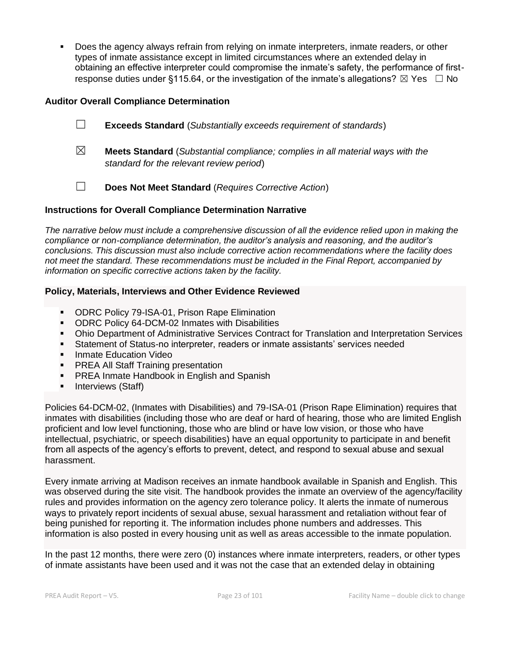Does the agency always refrain from relying on inmate interpreters, inmate readers, or other types of inmate assistance except in limited circumstances where an extended delay in obtaining an effective interpreter could compromise the inmate's safety, the performance of firstresponse duties under §115.64, or the investigation of the inmate's allegations?  $\boxtimes$  Yes  $\Box$  No

#### **Auditor Overall Compliance Determination**

- ☐ **Exceeds Standard** (*Substantially exceeds requirement of standards*)
- ☒ **Meets Standard** (*Substantial compliance; complies in all material ways with the standard for the relevant review period*)
- ☐ **Does Not Meet Standard** (*Requires Corrective Action*)

#### **Instructions for Overall Compliance Determination Narrative**

*The narrative below must include a comprehensive discussion of all the evidence relied upon in making the compliance or non-compliance determination, the auditor's analysis and reasoning, and the auditor's conclusions. This discussion must also include corrective action recommendations where the facility does not meet the standard. These recommendations must be included in the Final Report, accompanied by information on specific corrective actions taken by the facility.*

#### **Policy, Materials, Interviews and Other Evidence Reviewed**

- ODRC Policy 79-ISA-01, Prison Rape Elimination
- ODRC Policy 64-DCM-02 Inmates with Disabilities
- **Ohio Department of Administrative Services Contract for Translation and Interpretation Services**
- **EXEL Statement of Status-no interpreter, readers or inmate assistants' services needed**
- **■** Inmate Education Video
- **PREA All Staff Training presentation**
- **PREA Inmate Handbook in English and Spanish**
- Interviews (Staff)

Policies 64-DCM-02, (Inmates with Disabilities) and 79-ISA-01 (Prison Rape Elimination) requires that inmates with disabilities (including those who are deaf or hard of hearing, those who are limited English proficient and low level functioning, those who are blind or have low vision, or those who have intellectual, psychiatric, or speech disabilities) have an equal opportunity to participate in and benefit from all aspects of the agency's efforts to prevent, detect, and respond to sexual abuse and sexual harassment.

Every inmate arriving at Madison receives an inmate handbook available in Spanish and English. This was observed during the site visit. The handbook provides the inmate an overview of the agency/facility rules and provides information on the agency zero tolerance policy. It alerts the inmate of numerous ways to privately report incidents of sexual abuse, sexual harassment and retaliation without fear of being punished for reporting it. The information includes phone numbers and addresses. This information is also posted in every housing unit as well as areas accessible to the inmate population.

In the past 12 months, there were zero (0) instances where inmate interpreters, readers, or other types of inmate assistants have been used and it was not the case that an extended delay in obtaining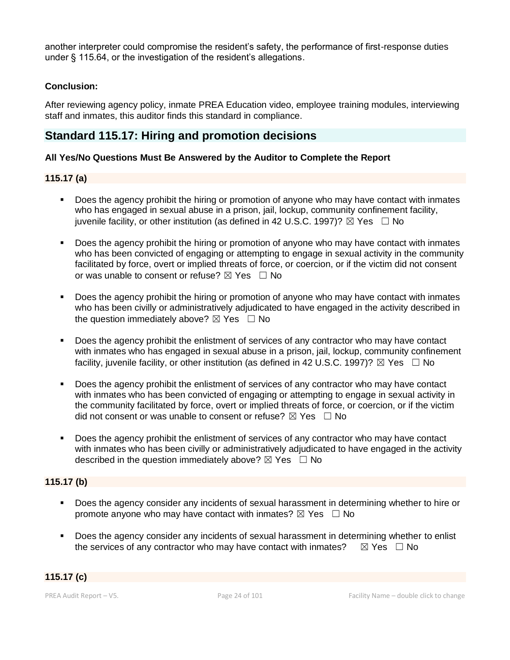another interpreter could compromise the resident's safety, the performance of first-response duties under § 115.64, or the investigation of the resident's allegations.

## **Conclusion:**

After reviewing agency policy, inmate PREA Education video, employee training modules, interviewing staff and inmates, this auditor finds this standard in compliance.

# **Standard 115.17: Hiring and promotion decisions**

### **All Yes/No Questions Must Be Answered by the Auditor to Complete the Report**

# **115.17 (a)**

- Does the agency prohibit the hiring or promotion of anyone who may have contact with inmates who has engaged in sexual abuse in a prison, jail, lockup, community confinement facility, juvenile facility, or other institution (as defined in 42 U.S.C. 1997)?  $\boxtimes$  Yes  $\Box$  No
- Does the agency prohibit the hiring or promotion of anyone who may have contact with inmates who has been convicted of engaging or attempting to engage in sexual activity in the community facilitated by force, overt or implied threats of force, or coercion, or if the victim did not consent or was unable to consent or refuse?  $\boxtimes$  Yes  $\Box$  No
- Does the agency prohibit the hiring or promotion of anyone who may have contact with inmates who has been civilly or administratively adjudicated to have engaged in the activity described in the question immediately above?  $\boxtimes$  Yes  $\Box$  No
- Does the agency prohibit the enlistment of services of any contractor who may have contact with inmates who has engaged in sexual abuse in a prison, jail, lockup, community confinement facility, juvenile facility, or other institution (as defined in 42 U.S.C. 1997)?  $\boxtimes$  Yes  $\Box$  No
- Does the agency prohibit the enlistment of services of any contractor who may have contact with inmates who has been convicted of engaging or attempting to engage in sexual activity in the community facilitated by force, overt or implied threats of force, or coercion, or if the victim did not consent or was unable to consent or refuse?  $\boxtimes$  Yes  $\Box$  No
- Does the agency prohibit the enlistment of services of any contractor who may have contact with inmates who has been civilly or administratively adjudicated to have engaged in the activity described in the question immediately above?  $\boxtimes$  Yes  $\Box$  No

# **115.17 (b)**

- Does the agency consider any incidents of sexual harassment in determining whether to hire or promote anyone who may have contact with inmates?  $\boxtimes$  Yes  $\Box$  No
- Does the agency consider any incidents of sexual harassment in determining whether to enlist the services of any contractor who may have contact with inmates?  $\boxtimes$  Yes  $\Box$  No

#### **115.17 (c)**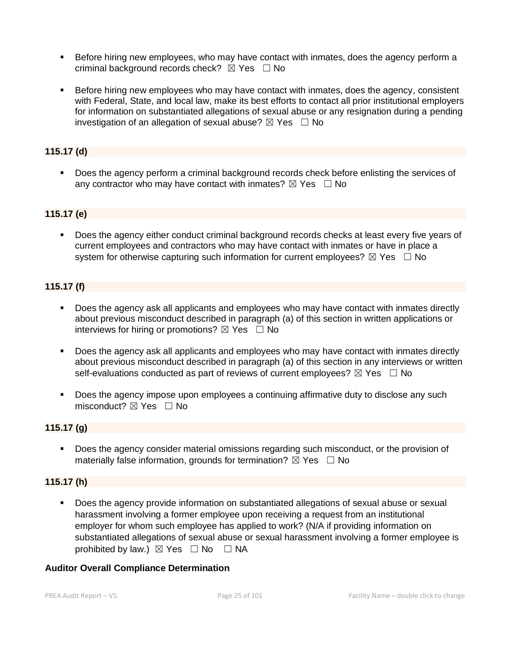- Before hiring new employees, who may have contact with inmates, does the agency perform a criminal background records check?  $\boxtimes$  Yes  $\Box$  No
- Before hiring new employees who may have contact with inmates, does the agency, consistent with Federal, State, and local law, make its best efforts to contact all prior institutional employers for information on substantiated allegations of sexual abuse or any resignation during a pending investigation of an allegation of sexual abuse?  $\boxtimes$  Yes  $\Box$  No

# **115.17 (d)**

**•** Does the agency perform a criminal background records check before enlisting the services of any contractor who may have contact with inmates?  $\boxtimes$  Yes  $\Box$  No

# **115.17 (e)**

▪ Does the agency either conduct criminal background records checks at least every five years of current employees and contractors who may have contact with inmates or have in place a system for otherwise capturing such information for current employees?  $\boxtimes$  Yes  $\Box$  No

# **115.17 (f)**

- Does the agency ask all applicants and employees who may have contact with inmates directly about previous misconduct described in paragraph (a) of this section in written applications or interviews for hiring or promotions?  $\boxtimes$  Yes  $\Box$  No
- Does the agency ask all applicants and employees who may have contact with inmates directly about previous misconduct described in paragraph (a) of this section in any interviews or written self-evaluations conducted as part of reviews of current employees?  $\boxtimes$  Yes  $\Box$  No
- Does the agency impose upon employees a continuing affirmative duty to disclose any such misconduct?  $\boxtimes$  Yes  $\Box$  No

# **115.17 (g)**

Does the agency consider material omissions regarding such misconduct, or the provision of materially false information, grounds for termination?  $\boxtimes$  Yes  $\Box$  No

# **115.17 (h)**

Does the agency provide information on substantiated allegations of sexual abuse or sexual harassment involving a former employee upon receiving a request from an institutional employer for whom such employee has applied to work? (N/A if providing information on substantiated allegations of sexual abuse or sexual harassment involving a former employee is prohibited by law.)  $\boxtimes$  Yes  $\Box$  No  $\Box$  NA

#### **Auditor Overall Compliance Determination**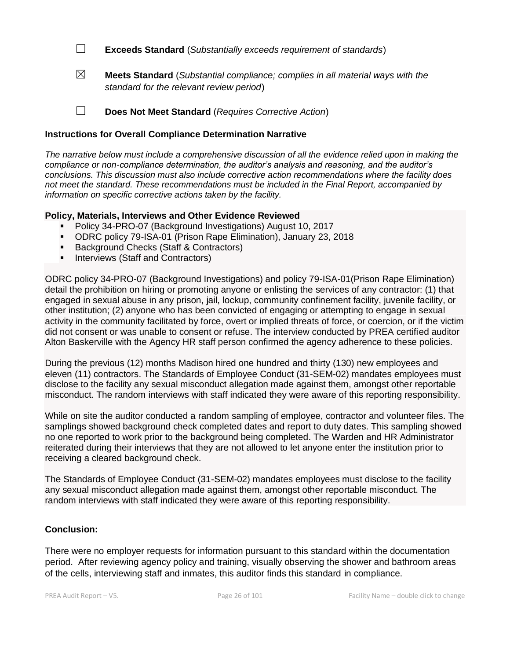☐ **Exceeds Standard** (*Substantially exceeds requirement of standards*)

☒ **Meets Standard** (*Substantial compliance; complies in all material ways with the standard for the relevant review period*)

☐ **Does Not Meet Standard** (*Requires Corrective Action*)

# **Instructions for Overall Compliance Determination Narrative**

*The narrative below must include a comprehensive discussion of all the evidence relied upon in making the compliance or non-compliance determination, the auditor's analysis and reasoning, and the auditor's conclusions. This discussion must also include corrective action recommendations where the facility does not meet the standard. These recommendations must be included in the Final Report, accompanied by information on specific corrective actions taken by the facility.*

### **Policy, Materials, Interviews and Other Evidence Reviewed**

- Policy 34-PRO-07 (Background Investigations) August 10, 2017
- ODRC policy 79-ISA-01 (Prison Rape Elimination), January 23, 2018
- Background Checks (Staff & Contractors)
- **•** Interviews (Staff and Contractors)

ODRC policy 34-PRO-07 (Background Investigations) and policy 79-ISA-01(Prison Rape Elimination) detail the prohibition on hiring or promoting anyone or enlisting the services of any contractor: (1) that engaged in sexual abuse in any prison, jail, lockup, community confinement facility, juvenile facility, or other institution; (2) anyone who has been convicted of engaging or attempting to engage in sexual activity in the community facilitated by force, overt or implied threats of force, or coercion, or if the victim did not consent or was unable to consent or refuse. The interview conducted by PREA certified auditor Alton Baskerville with the Agency HR staff person confirmed the agency adherence to these policies.

During the previous (12) months Madison hired one hundred and thirty (130) new employees and eleven (11) contractors. The Standards of Employee Conduct (31-SEM-02) mandates employees must disclose to the facility any sexual misconduct allegation made against them, amongst other reportable misconduct. The random interviews with staff indicated they were aware of this reporting responsibility.

While on site the auditor conducted a random sampling of employee, contractor and volunteer files. The samplings showed background check completed dates and report to duty dates. This sampling showed no one reported to work prior to the background being completed. The Warden and HR Administrator reiterated during their interviews that they are not allowed to let anyone enter the institution prior to receiving a cleared background check.

The Standards of Employee Conduct (31-SEM-02) mandates employees must disclose to the facility any sexual misconduct allegation made against them, amongst other reportable misconduct. The random interviews with staff indicated they were aware of this reporting responsibility.

### **Conclusion:**

There were no employer requests for information pursuant to this standard within the documentation period. After reviewing agency policy and training, visually observing the shower and bathroom areas of the cells, interviewing staff and inmates, this auditor finds this standard in compliance.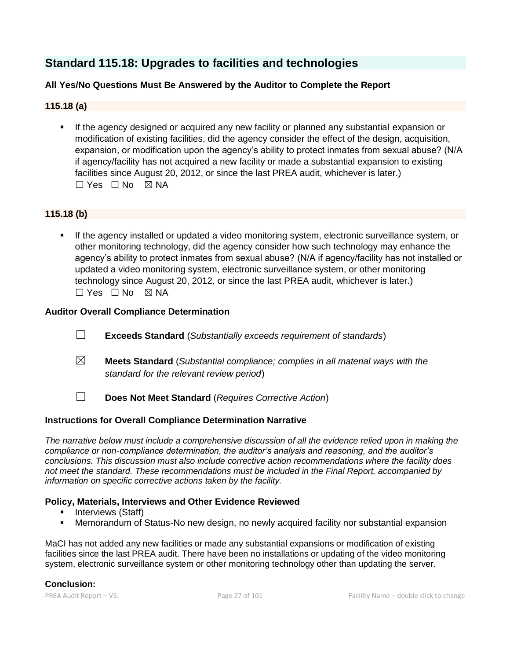# **Standard 115.18: Upgrades to facilities and technologies**

# **All Yes/No Questions Must Be Answered by the Auditor to Complete the Report**

# **115.18 (a)**

**■** If the agency designed or acquired any new facility or planned any substantial expansion or modification of existing facilities, did the agency consider the effect of the design, acquisition, expansion, or modification upon the agency's ability to protect inmates from sexual abuse? (N/A if agency/facility has not acquired a new facility or made a substantial expansion to existing facilities since August 20, 2012, or since the last PREA audit, whichever is later.)  $\Box$  Yes  $\Box$  No  $\boxtimes$  NA

# **115.18 (b)**

If the agency installed or updated a video monitoring system, electronic surveillance system, or other monitoring technology, did the agency consider how such technology may enhance the agency's ability to protect inmates from sexual abuse? (N/A if agency/facility has not installed or updated a video monitoring system, electronic surveillance system, or other monitoring technology since August 20, 2012, or since the last PREA audit, whichever is later.)  $\Box$  Yes  $\Box$  No  $\boxtimes$  NA

### **Auditor Overall Compliance Determination**

- ☐ **Exceeds Standard** (*Substantially exceeds requirement of standards*)
- ☒ **Meets Standard** (*Substantial compliance; complies in all material ways with the standard for the relevant review period*)
- ☐ **Does Not Meet Standard** (*Requires Corrective Action*)

### **Instructions for Overall Compliance Determination Narrative**

*The narrative below must include a comprehensive discussion of all the evidence relied upon in making the compliance or non-compliance determination, the auditor's analysis and reasoning, and the auditor's conclusions. This discussion must also include corrective action recommendations where the facility does not meet the standard. These recommendations must be included in the Final Report, accompanied by information on specific corrective actions taken by the facility.*

# **Policy, Materials, Interviews and Other Evidence Reviewed**

- Interviews (Staff)
- **E** Memorandum of Status-No new design, no newly acquired facility nor substantial expansion

MaCI has not added any new facilities or made any substantial expansions or modification of existing facilities since the last PREA audit. There have been no installations or updating of the video monitoring system, electronic surveillance system or other monitoring technology other than updating the server.

### **Conclusion:**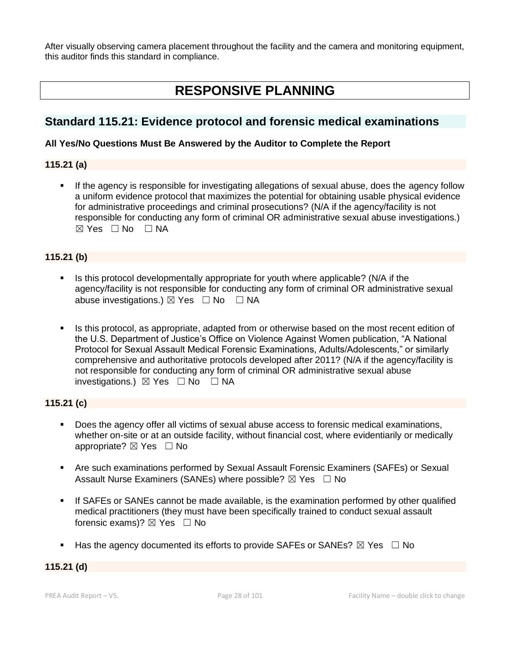After visually observing camera placement throughout the facility and the camera and monitoring equipment, this auditor finds this standard in compliance.

# **RESPONSIVE PLANNING**

# **Standard 115.21: Evidence protocol and forensic medical examinations**

# **All Yes/No Questions Must Be Answered by the Auditor to Complete the Report**

# **115.21 (a)**

**.** If the agency is responsible for investigating allegations of sexual abuse, does the agency follow a uniform evidence protocol that maximizes the potential for obtaining usable physical evidence for administrative proceedings and criminal prosecutions? (N/A if the agency/facility is not responsible for conducting any form of criminal OR administrative sexual abuse investigations.)  $⊠ Yes ⊡ No ⊡ NA$ 

# **115.21 (b)**

- Is this protocol developmentally appropriate for youth where applicable? (N/A if the agency/facility is not responsible for conducting any form of criminal OR administrative sexual abuse investigations.)  $\boxtimes$  Yes  $\Box$  No  $\Box$  NA
- **EXECT** Is this protocol, as appropriate, adapted from or otherwise based on the most recent edition of the U.S. Department of Justice's Office on Violence Against Women publication, "A National Protocol for Sexual Assault Medical Forensic Examinations, Adults/Adolescents," or similarly comprehensive and authoritative protocols developed after 2011? (N/A if the agency/facility is not responsible for conducting any form of criminal OR administrative sexual abuse investigations.) ☒ Yes ☐ No ☐ NA

# **115.21 (c)**

- Does the agency offer all victims of sexual abuse access to forensic medical examinations, whether on-site or at an outside facility, without financial cost, where evidentiarily or medically appropriate? ⊠ Yes □ No
- Are such examinations performed by Sexual Assault Forensic Examiners (SAFEs) or Sexual Assault Nurse Examiners (SANEs) where possible?  $\boxtimes$  Yes  $\Box$  No
- **•** If SAFEs or SANEs cannot be made available, is the examination performed by other qualified medical practitioners (they must have been specifically trained to conduct sexual assault forensic exams)?  $\boxtimes$  Yes  $\Box$  No
- **■** Has the agency documented its efforts to provide SAFEs or SANEs?  $\boxtimes$  Yes  $\Box$  No

### **115.21 (d)**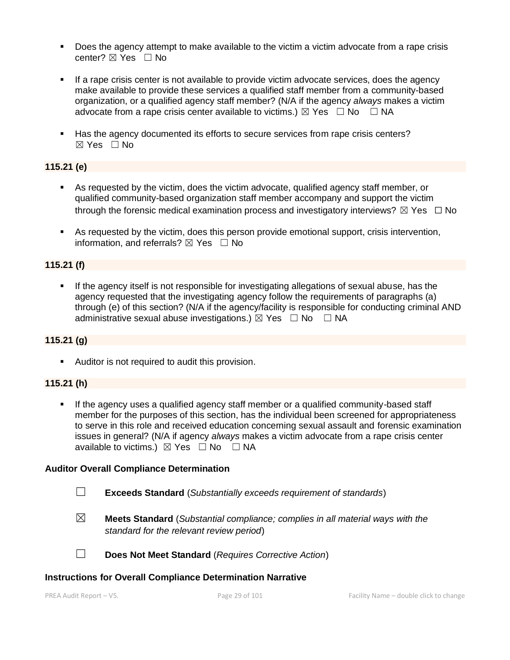- **•** Does the agency attempt to make available to the victim a victim advocate from a rape crisis center? ⊠ Yes □ No
- **•** If a rape crisis center is not available to provide victim advocate services, does the agency make available to provide these services a qualified staff member from a community-based organization, or a qualified agency staff member? (N/A if the agency *always* makes a victim advocate from a rape crisis center available to victims.)  $\boxtimes$  Yes  $\Box$  No  $\Box$  NA
- Has the agency documented its efforts to secure services from rape crisis centers?  $\boxtimes$  Yes  $\Box$  No

# **115.21 (e)**

- As requested by the victim, does the victim advocate, qualified agency staff member, or qualified community-based organization staff member accompany and support the victim through the forensic medical examination process and investigatory interviews?  $\boxtimes$  Yes  $\Box$  No
- As requested by the victim, does this person provide emotional support, crisis intervention, information, and referrals?  $\boxtimes$  Yes  $\Box$  No

### **115.21 (f)**

If the agency itself is not responsible for investigating allegations of sexual abuse, has the agency requested that the investigating agency follow the requirements of paragraphs (a) through (e) of this section? (N/A if the agency/facility is responsible for conducting criminal AND administrative sexual abuse investigations.)  $\boxtimes$  Yes  $\Box$  No  $\Box$  NA

### **115.21 (g)**

**EXEC** Auditor is not required to audit this provision.

### **115.21 (h)**

If the agency uses a qualified agency staff member or a qualified community-based staff member for the purposes of this section, has the individual been screened for appropriateness to serve in this role and received education concerning sexual assault and forensic examination issues in general? (N/A if agency *always* makes a victim advocate from a rape crisis center available to victims.)  $\boxtimes$  Yes  $\Box$  No  $\Box$  NA

#### **Auditor Overall Compliance Determination**

- ☐ **Exceeds Standard** (*Substantially exceeds requirement of standards*)
- ☒ **Meets Standard** (*Substantial compliance; complies in all material ways with the standard for the relevant review period*)

☐ **Does Not Meet Standard** (*Requires Corrective Action*)

#### **Instructions for Overall Compliance Determination Narrative**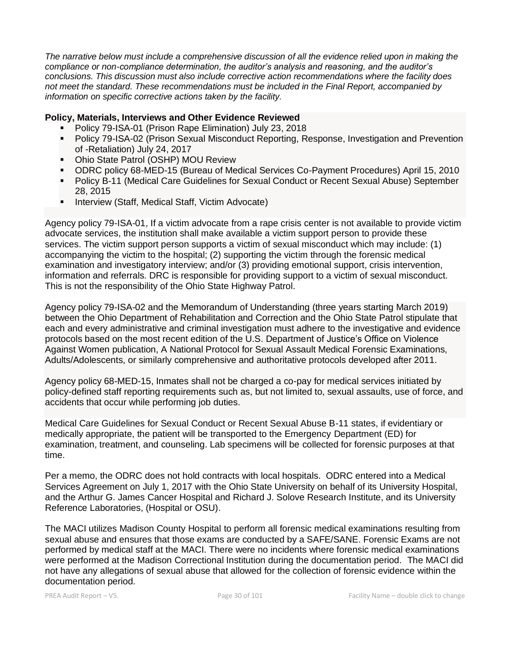*The narrative below must include a comprehensive discussion of all the evidence relied upon in making the compliance or non-compliance determination, the auditor's analysis and reasoning, and the auditor's conclusions. This discussion must also include corrective action recommendations where the facility does not meet the standard. These recommendations must be included in the Final Report, accompanied by information on specific corrective actions taken by the facility.*

### **Policy, Materials, Interviews and Other Evidence Reviewed**

- Policy 79-ISA-01 (Prison Rape Elimination) July 23, 2018
- Policy 79-ISA-02 (Prison Sexual Misconduct Reporting, Response, Investigation and Prevention of -Retaliation) July 24, 2017
- Ohio State Patrol (OSHP) MOU Review
- ODRC policy 68-MED-15 (Bureau of Medical Services Co-Payment Procedures) April 15, 2010
- Policy B-11 (Medical Care Guidelines for Sexual Conduct or Recent Sexual Abuse) September 28, 2015
- **E** Interview (Staff, Medical Staff, Victim Advocate)

Agency policy 79-ISA-01, If a victim advocate from a rape crisis center is not available to provide victim advocate services, the institution shall make available a victim support person to provide these services. The victim support person supports a victim of sexual misconduct which may include: (1) accompanying the victim to the hospital; (2) supporting the victim through the forensic medical examination and investigatory interview; and/or (3) providing emotional support, crisis intervention, information and referrals. DRC is responsible for providing support to a victim of sexual misconduct. This is not the responsibility of the Ohio State Highway Patrol.

Agency policy 79-ISA-02 and the Memorandum of Understanding (three years starting March 2019) between the Ohio Department of Rehabilitation and Correction and the Ohio State Patrol stipulate that each and every administrative and criminal investigation must adhere to the investigative and evidence protocols based on the most recent edition of the U.S. Department of Justice's Office on Violence Against Women publication, A National Protocol for Sexual Assault Medical Forensic Examinations, Adults/Adolescents, or similarly comprehensive and authoritative protocols developed after 2011.

Agency policy 68-MED-15, Inmates shall not be charged a co-pay for medical services initiated by policy-defined staff reporting requirements such as, but not limited to, sexual assaults, use of force, and accidents that occur while performing job duties.

Medical Care Guidelines for Sexual Conduct or Recent Sexual Abuse B-11 states, if evidentiary or medically appropriate, the patient will be transported to the Emergency Department (ED) for examination, treatment, and counseling. Lab specimens will be collected for forensic purposes at that time.

Per a memo, the ODRC does not hold contracts with local hospitals. ODRC entered into a Medical Services Agreement on July 1, 2017 with the Ohio State University on behalf of its University Hospital, and the Arthur G. James Cancer Hospital and Richard J. Solove Research Institute, and its University Reference Laboratories, (Hospital or OSU).

The MACI utilizes Madison County Hospital to perform all forensic medical examinations resulting from sexual abuse and ensures that those exams are conducted by a SAFE/SANE. Forensic Exams are not performed by medical staff at the MACI. There were no incidents where forensic medical examinations were performed at the Madison Correctional Institution during the documentation period. The MACI did not have any allegations of sexual abuse that allowed for the collection of forensic evidence within the documentation period.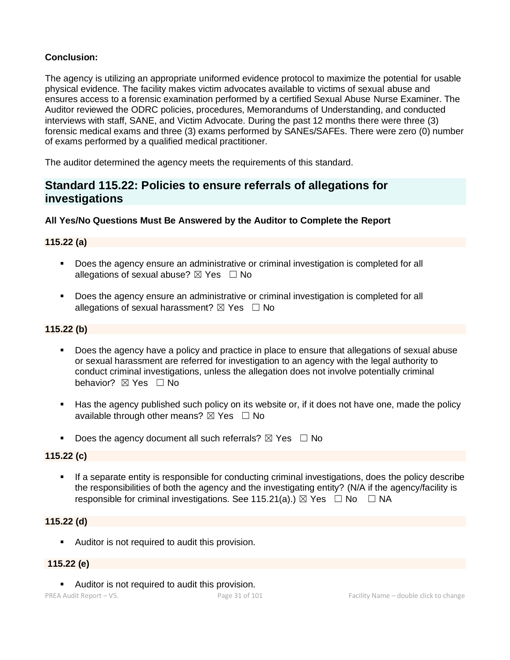# **Conclusion:**

The agency is utilizing an appropriate uniformed evidence protocol to maximize the potential for usable physical evidence. The facility makes victim advocates available to victims of sexual abuse and ensures access to a forensic examination performed by a certified Sexual Abuse Nurse Examiner. The Auditor reviewed the ODRC policies, procedures, Memorandums of Understanding, and conducted interviews with staff, SANE, and Victim Advocate. During the past 12 months there were three (3) forensic medical exams and three (3) exams performed by SANEs/SAFEs. There were zero (0) number of exams performed by a qualified medical practitioner.

The auditor determined the agency meets the requirements of this standard.

# **Standard 115.22: Policies to ensure referrals of allegations for investigations**

# **All Yes/No Questions Must Be Answered by the Auditor to Complete the Report**

# **115.22 (a)**

- Does the agency ensure an administrative or criminal investigation is completed for all allegations of sexual abuse?  $\boxtimes$  Yes  $\Box$  No
- Does the agency ensure an administrative or criminal investigation is completed for all allegations of sexual harassment?  $\boxtimes$  Yes  $\Box$  No

# **115.22 (b)**

- Does the agency have a policy and practice in place to ensure that allegations of sexual abuse or sexual harassment are referred for investigation to an agency with the legal authority to conduct criminal investigations, unless the allegation does not involve potentially criminal behavior? **⊠** Yes □ No
- Has the agency published such policy on its website or, if it does not have one, made the policy available through other means?  $\boxtimes$  Yes  $\Box$  No
- Does the agency document all such referrals?  $\boxtimes$  Yes  $\Box$  No

### **115.22 (c)**

**•** If a separate entity is responsible for conducting criminal investigations, does the policy describe the responsibilities of both the agency and the investigating entity? (N/A if the agency/facility is responsible for criminal investigations. See 115.21(a).)  $\boxtimes$  Yes  $\Box$  No  $\Box$  NA

### **115.22 (d)**

■ Auditor is not required to audit this provision.

### **115.22 (e)**

■ Auditor is not required to audit this provision.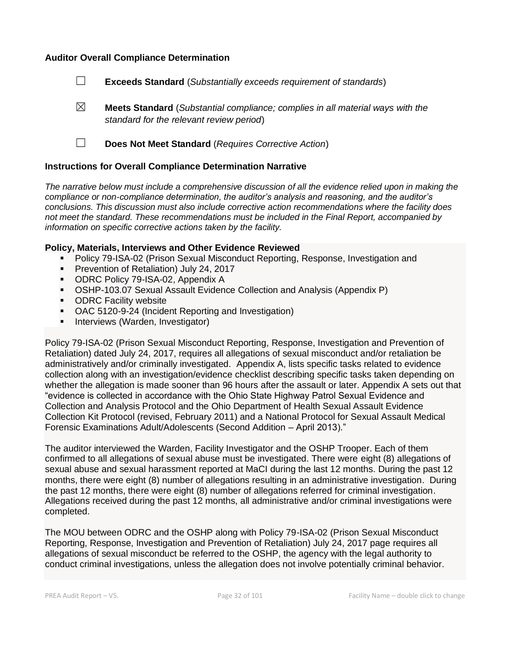#### **Auditor Overall Compliance Determination**

- ☐ **Exceeds Standard** (*Substantially exceeds requirement of standards*)
- ☒ **Meets Standard** (*Substantial compliance; complies in all material ways with the standard for the relevant review period*)
- ☐ **Does Not Meet Standard** (*Requires Corrective Action*)

#### **Instructions for Overall Compliance Determination Narrative**

*The narrative below must include a comprehensive discussion of all the evidence relied upon in making the compliance or non-compliance determination, the auditor's analysis and reasoning, and the auditor's conclusions. This discussion must also include corrective action recommendations where the facility does not meet the standard. These recommendations must be included in the Final Report, accompanied by information on specific corrective actions taken by the facility.*

#### **Policy, Materials, Interviews and Other Evidence Reviewed**

- Policy 79-ISA-02 (Prison Sexual Misconduct Reporting, Response, Investigation and
- **Prevention of Retaliation) July 24, 2017**
- ODRC Policy 79-ISA-02, Appendix A
- OSHP-103.07 Sexual Assault Evidence Collection and Analysis (Appendix P)
- ODRC Facility website
- OAC 5120-9-24 (Incident Reporting and Investigation)
- Interviews (Warden, Investigator)

Policy 79-ISA-02 (Prison Sexual Misconduct Reporting, Response, Investigation and Prevention of Retaliation) dated July 24, 2017, requires all allegations of sexual misconduct and/or retaliation be administratively and/or criminally investigated. Appendix A, lists specific tasks related to evidence collection along with an investigation/evidence checklist describing specific tasks taken depending on whether the allegation is made sooner than 96 hours after the assault or later. Appendix A sets out that "evidence is collected in accordance with the Ohio State Highway Patrol Sexual Evidence and Collection and Analysis Protocol and the Ohio Department of Health Sexual Assault Evidence Collection Kit Protocol (revised, February 2011) and a National Protocol for Sexual Assault Medical Forensic Examinations Adult/Adolescents (Second Addition – April 2013)."

The auditor interviewed the Warden, Facility Investigator and the OSHP Trooper. Each of them confirmed to all allegations of sexual abuse must be investigated. There were eight (8) allegations of sexual abuse and sexual harassment reported at MaCI during the last 12 months. During the past 12 months, there were eight (8) number of allegations resulting in an administrative investigation. During the past 12 months, there were eight (8) number of allegations referred for criminal investigation. Allegations received during the past 12 months, all administrative and/or criminal investigations were completed.

The MOU between ODRC and the OSHP along with Policy 79-ISA-02 (Prison Sexual Misconduct Reporting, Response, Investigation and Prevention of Retaliation) July 24, 2017 page requires all allegations of sexual misconduct be referred to the OSHP, the agency with the legal authority to conduct criminal investigations, unless the allegation does not involve potentially criminal behavior.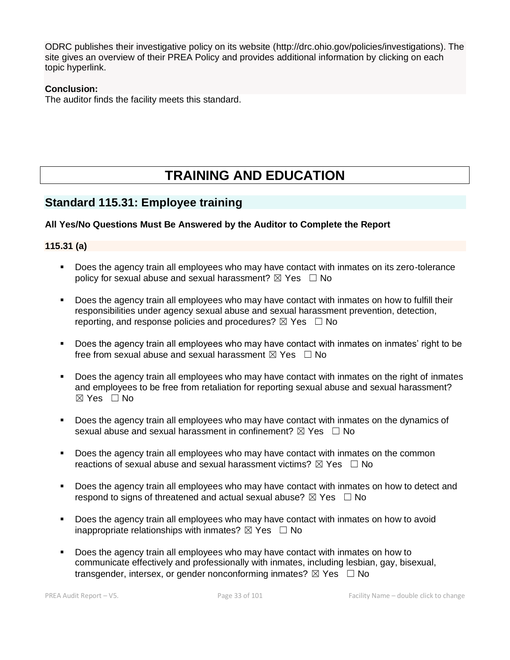ODRC publishes their investigative policy on its website (http://drc.ohio.gov/policies/investigations). The site gives an overview of their PREA Policy and provides additional information by clicking on each topic hyperlink.

## **Conclusion:**

The auditor finds the facility meets this standard.

# **TRAINING AND EDUCATION**

# **Standard 115.31: Employee training**

# **All Yes/No Questions Must Be Answered by the Auditor to Complete the Report**

# **115.31 (a)**

- Does the agency train all employees who may have contact with inmates on its zero-tolerance policy for sexual abuse and sexual harassment?  $\boxtimes$  Yes  $\Box$  No
- Does the agency train all employees who may have contact with inmates on how to fulfill their responsibilities under agency sexual abuse and sexual harassment prevention, detection, reporting, and response policies and procedures?  $\boxtimes$  Yes  $\Box$  No
- Does the agency train all employees who may have contact with inmates on inmates' right to be free from sexual abuse and sexual harassment  $\boxtimes$  Yes  $\Box$  No
- Does the agency train all employees who may have contact with inmates on the right of inmates and employees to be free from retaliation for reporting sexual abuse and sexual harassment? ☒ Yes ☐ No
- Does the agency train all employees who may have contact with inmates on the dynamics of sexual abuse and sexual harassment in confinement?  $\boxtimes$  Yes  $\Box$  No
- **•** Does the agency train all employees who may have contact with inmates on the common reactions of sexual abuse and sexual harassment victims?  $\boxtimes$  Yes  $\Box$  No
- **•** Does the agency train all employees who may have contact with inmates on how to detect and respond to signs of threatened and actual sexual abuse?  $\boxtimes$  Yes  $\Box$  No
- Does the agency train all employees who may have contact with inmates on how to avoid inappropriate relationships with inmates?  $\boxtimes$  Yes  $\Box$  No
- Does the agency train all employees who may have contact with inmates on how to communicate effectively and professionally with inmates, including lesbian, gay, bisexual, transgender, intersex, or gender nonconforming inmates?  $\boxtimes$  Yes  $\Box$  No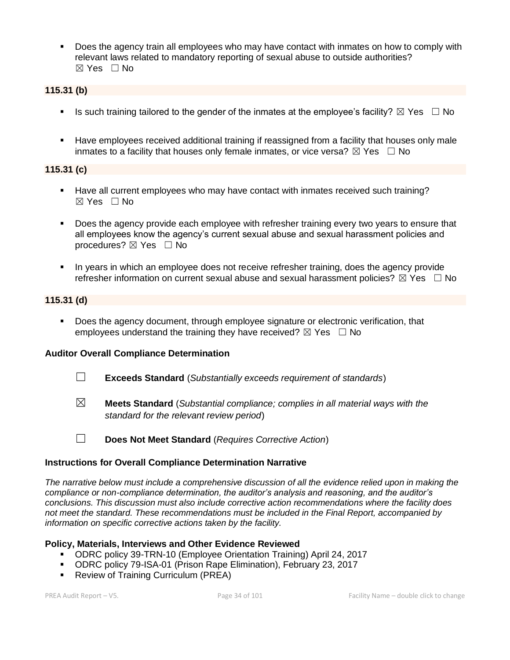**•** Does the agency train all employees who may have contact with inmates on how to comply with relevant laws related to mandatory reporting of sexual abuse to outside authorities?  $\boxtimes$  Yes  $\Box$  No

## **115.31 (b)**

- **■** Is such training tailored to the gender of the inmates at the employee's facility?  $\boxtimes$  Yes  $\Box$  No
- Have employees received additional training if reassigned from a facility that houses only male inmates to a facility that houses only female inmates, or vice versa?  $\boxtimes$  Yes  $\Box$  No

### **115.31 (c)**

- Have all current employees who may have contact with inmates received such training? ☒ Yes ☐ No
- **•** Does the agency provide each employee with refresher training every two years to ensure that all employees know the agency's current sexual abuse and sexual harassment policies and procedures?  $\boxtimes$  Yes  $\Box$  No
- In years in which an employee does not receive refresher training, does the agency provide refresher information on current sexual abuse and sexual harassment policies?  $\boxtimes$  Yes  $\Box$  No

#### **115.31 (d)**

▪ Does the agency document, through employee signature or electronic verification, that employees understand the training they have received?  $\boxtimes$  Yes  $\Box$  No

### **Auditor Overall Compliance Determination**

- ☐ **Exceeds Standard** (*Substantially exceeds requirement of standards*)
- ☒ **Meets Standard** (*Substantial compliance; complies in all material ways with the standard for the relevant review period*)
- ☐ **Does Not Meet Standard** (*Requires Corrective Action*)

### **Instructions for Overall Compliance Determination Narrative**

*The narrative below must include a comprehensive discussion of all the evidence relied upon in making the compliance or non-compliance determination, the auditor's analysis and reasoning, and the auditor's conclusions. This discussion must also include corrective action recommendations where the facility does not meet the standard. These recommendations must be included in the Final Report, accompanied by information on specific corrective actions taken by the facility.*

#### **Policy, Materials, Interviews and Other Evidence Reviewed**

- ODRC policy 39-TRN-10 (Employee Orientation Training) April 24, 2017
- ODRC policy 79-ISA-01 (Prison Rape Elimination), February 23, 2017
- Review of Training Curriculum (PREA)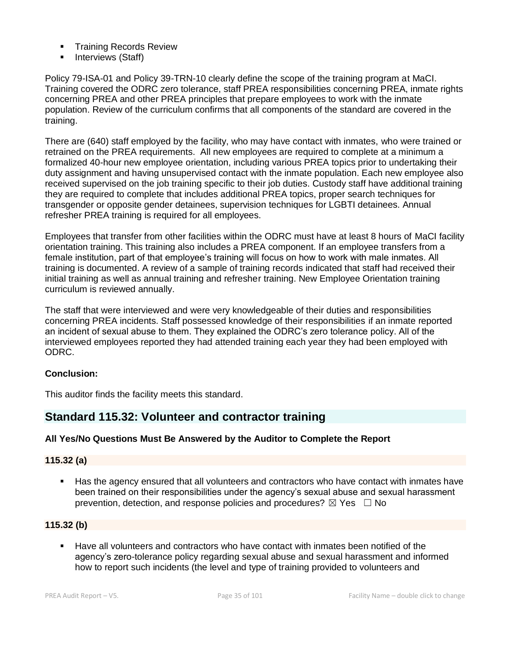- **Training Records Review**
- Interviews (Staff)

Policy 79-ISA-01 and Policy 39-TRN-10 clearly define the scope of the training program at MaCI. Training covered the ODRC zero tolerance, staff PREA responsibilities concerning PREA, inmate rights concerning PREA and other PREA principles that prepare employees to work with the inmate population. Review of the curriculum confirms that all components of the standard are covered in the training.

There are (640) staff employed by the facility, who may have contact with inmates, who were trained or retrained on the PREA requirements. All new employees are required to complete at a minimum a formalized 40-hour new employee orientation, including various PREA topics prior to undertaking their duty assignment and having unsupervised contact with the inmate population. Each new employee also received supervised on the job training specific to their job duties. Custody staff have additional training they are required to complete that includes additional PREA topics, proper search techniques for transgender or opposite gender detainees, supervision techniques for LGBTI detainees. Annual refresher PREA training is required for all employees.

Employees that transfer from other facilities within the ODRC must have at least 8 hours of MaCI facility orientation training. This training also includes a PREA component. If an employee transfers from a female institution, part of that employee's training will focus on how to work with male inmates. All training is documented. A review of a sample of training records indicated that staff had received their initial training as well as annual training and refresher training. New Employee Orientation training curriculum is reviewed annually.

The staff that were interviewed and were very knowledgeable of their duties and responsibilities concerning PREA incidents. Staff possessed knowledge of their responsibilities if an inmate reported an incident of sexual abuse to them. They explained the ODRC's zero tolerance policy. All of the interviewed employees reported they had attended training each year they had been employed with ODRC.

# **Conclusion:**

This auditor finds the facility meets this standard.

# **Standard 115.32: Volunteer and contractor training**

### **All Yes/No Questions Must Be Answered by the Auditor to Complete the Report**

### **115.32 (a)**

Has the agency ensured that all volunteers and contractors who have contact with inmates have been trained on their responsibilities under the agency's sexual abuse and sexual harassment prevention, detection, and response policies and procedures?  $\boxtimes$  Yes  $\Box$  No

## **115.32 (b)**

Have all volunteers and contractors who have contact with inmates been notified of the agency's zero-tolerance policy regarding sexual abuse and sexual harassment and informed how to report such incidents (the level and type of training provided to volunteers and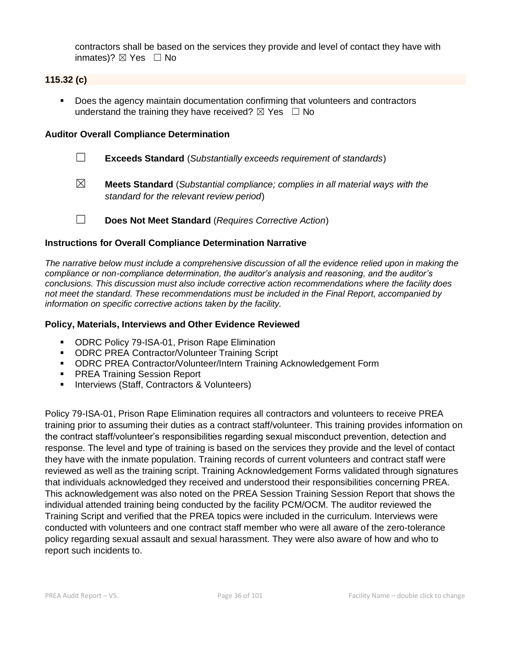contractors shall be based on the services they provide and level of contact they have with inmates)?  $\boxtimes$  Yes  $\Box$  No

## **115.32 (c)**

■ Does the agency maintain documentation confirming that volunteers and contractors understand the training they have received?  $\boxtimes$  Yes  $\Box$  No

### **Auditor Overall Compliance Determination**

- ☐ **Exceeds Standard** (*Substantially exceeds requirement of standards*)
- ☒ **Meets Standard** (*Substantial compliance; complies in all material ways with the standard for the relevant review period*)
- ☐ **Does Not Meet Standard** (*Requires Corrective Action*)

### **Instructions for Overall Compliance Determination Narrative**

*The narrative below must include a comprehensive discussion of all the evidence relied upon in making the compliance or non-compliance determination, the auditor's analysis and reasoning, and the auditor's conclusions. This discussion must also include corrective action recommendations where the facility does not meet the standard. These recommendations must be included in the Final Report, accompanied by information on specific corrective actions taken by the facility.*

#### **Policy, Materials, Interviews and Other Evidence Reviewed**

- ODRC Policy 79-ISA-01, Prison Rape Elimination
- ODRC PREA Contractor/Volunteer Training Script
- ODRC PREA Contractor/Volunteer/Intern Training Acknowledgement Form
- **PREA Training Session Report**
- **E** Interviews (Staff, Contractors & Volunteers)

Policy 79-ISA-01, Prison Rape Elimination requires all contractors and volunteers to receive PREA training prior to assuming their duties as a contract staff/volunteer. This training provides information on the contract staff/volunteer's responsibilities regarding sexual misconduct prevention, detection and response. The level and type of training is based on the services they provide and the level of contact they have with the inmate population. Training records of current volunteers and contract staff were reviewed as well as the training script. Training Acknowledgement Forms validated through signatures that individuals acknowledged they received and understood their responsibilities concerning PREA. This acknowledgement was also noted on the PREA Session Training Session Report that shows the individual attended training being conducted by the facility PCM/OCM. The auditor reviewed the Training Script and verified that the PREA topics were included in the curriculum. Interviews were conducted with volunteers and one contract staff member who were all aware of the zero-tolerance policy regarding sexual assault and sexual harassment. They were also aware of how and who to report such incidents to.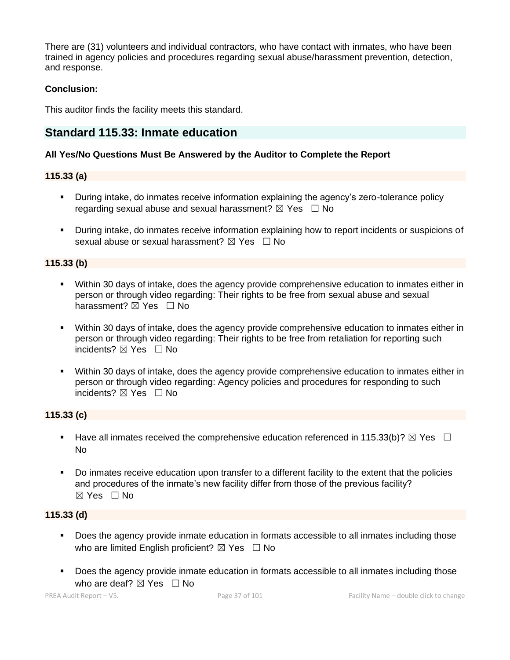There are (31) volunteers and individual contractors, who have contact with inmates, who have been trained in agency policies and procedures regarding sexual abuse/harassment prevention, detection, and response.

## **Conclusion:**

This auditor finds the facility meets this standard.

# **Standard 115.33: Inmate education**

#### **All Yes/No Questions Must Be Answered by the Auditor to Complete the Report**

#### **115.33 (a)**

- **•** During intake, do inmates receive information explaining the agency's zero-tolerance policy regarding sexual abuse and sexual harassment?  $\boxtimes$  Yes  $\Box$  No
- During intake, do inmates receive information explaining how to report incidents or suspicions of sexual abuse or sexual harassment?  $\boxtimes$  Yes  $\Box$  No

#### **115.33 (b)**

- Within 30 days of intake, does the agency provide comprehensive education to inmates either in person or through video regarding: Their rights to be free from sexual abuse and sexual harassment? ⊠ Yes □ No
- Within 30 days of intake, does the agency provide comprehensive education to inmates either in person or through video regarding: Their rights to be free from retaliation for reporting such incidents? **⊠** Yes □ No
- Within 30 days of intake, does the agency provide comprehensive education to inmates either in person or through video regarding: Agency policies and procedures for responding to such incidents? ☒ Yes ☐ No

#### **115.33 (c)**

- **■** Have all inmates received the comprehensive education referenced in 115.33(b)?  $\boxtimes$  Yes  $\Box$ No
- Do inmates receive education upon transfer to a different facility to the extent that the policies and procedures of the inmate's new facility differ from those of the previous facility? ☒ Yes ☐ No

#### **115.33 (d)**

- Does the agency provide inmate education in formats accessible to all inmates including those who are limited English proficient?  $\boxtimes$  Yes  $\Box$  No
- Does the agency provide inmate education in formats accessible to all inmates including those who are deaf?  $\boxtimes$  Yes  $\Box$  No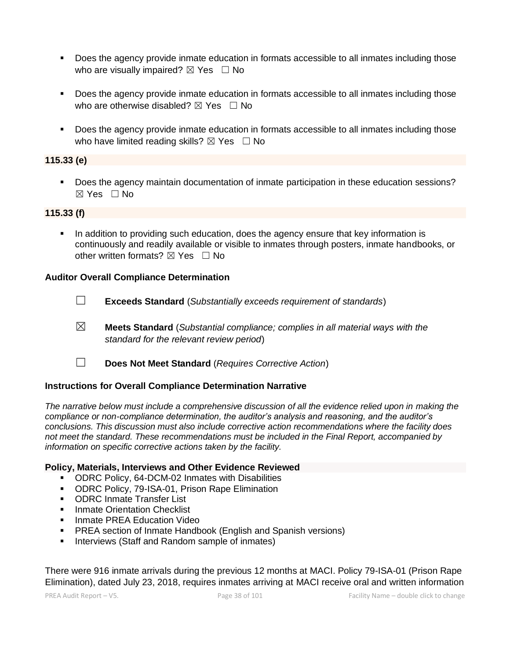- Does the agency provide inmate education in formats accessible to all inmates including those who are visually impaired?  $\boxtimes$  Yes  $\Box$  No
- Does the agency provide inmate education in formats accessible to all inmates including those who are otherwise disabled?  $\boxtimes$  Yes  $\Box$  No
- Does the agency provide inmate education in formats accessible to all inmates including those who have limited reading skills?  $\boxtimes$  Yes  $\Box$  No

#### **115.33 (e)**

▪ Does the agency maintain documentation of inmate participation in these education sessions?  $\boxtimes$  Yes  $\Box$  No

#### **115.33 (f)**

**•** In addition to providing such education, does the agency ensure that key information is continuously and readily available or visible to inmates through posters, inmate handbooks, or other written formats?  $\boxtimes$  Yes  $\Box$  No

#### **Auditor Overall Compliance Determination**

☐ **Exceeds Standard** (*Substantially exceeds requirement of standards*)

- ☒ **Meets Standard** (*Substantial compliance; complies in all material ways with the standard for the relevant review period*)
- ☐ **Does Not Meet Standard** (*Requires Corrective Action*)

#### **Instructions for Overall Compliance Determination Narrative**

*The narrative below must include a comprehensive discussion of all the evidence relied upon in making the compliance or non-compliance determination, the auditor's analysis and reasoning, and the auditor's conclusions. This discussion must also include corrective action recommendations where the facility does not meet the standard. These recommendations must be included in the Final Report, accompanied by information on specific corrective actions taken by the facility.*

#### **Policy, Materials, Interviews and Other Evidence Reviewed**

- ODRC Policy, 64-DCM-02 Inmates with Disabilities
- ODRC Policy, 79-ISA-01, Prison Rape Elimination
- ODRC Inmate Transfer List
- **■** Inmate Orientation Checklist
- **EXEL EDUCATE:** Inmate PREA Education Video
- PREA section of Inmate Handbook (English and Spanish versions)
- Interviews (Staff and Random sample of inmates)

There were 916 inmate arrivals during the previous 12 months at MACI. Policy 79-ISA-01 (Prison Rape Elimination), dated July 23, 2018, requires inmates arriving at MACI receive oral and written information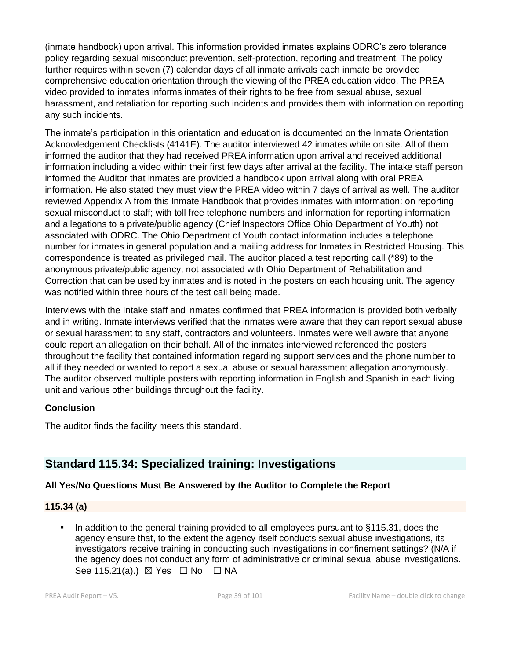(inmate handbook) upon arrival. This information provided inmates explains ODRC's zero tolerance policy regarding sexual misconduct prevention, self-protection, reporting and treatment. The policy further requires within seven (7) calendar days of all inmate arrivals each inmate be provided comprehensive education orientation through the viewing of the PREA education video. The PREA video provided to inmates informs inmates of their rights to be free from sexual abuse, sexual harassment, and retaliation for reporting such incidents and provides them with information on reporting any such incidents.

The inmate's participation in this orientation and education is documented on the Inmate Orientation Acknowledgement Checklists (4141E). The auditor interviewed 42 inmates while on site. All of them informed the auditor that they had received PREA information upon arrival and received additional information including a video within their first few days after arrival at the facility. The intake staff person informed the Auditor that inmates are provided a handbook upon arrival along with oral PREA information. He also stated they must view the PREA video within 7 days of arrival as well. The auditor reviewed Appendix A from this Inmate Handbook that provides inmates with information: on reporting sexual misconduct to staff; with toll free telephone numbers and information for reporting information and allegations to a private/public agency (Chief Inspectors Office Ohio Department of Youth) not associated with ODRC. The Ohio Department of Youth contact information includes a telephone number for inmates in general population and a mailing address for Inmates in Restricted Housing. This correspondence is treated as privileged mail. The auditor placed a test reporting call (\*89) to the anonymous private/public agency, not associated with Ohio Department of Rehabilitation and Correction that can be used by inmates and is noted in the posters on each housing unit. The agency was notified within three hours of the test call being made.

Interviews with the Intake staff and inmates confirmed that PREA information is provided both verbally and in writing. Inmate interviews verified that the inmates were aware that they can report sexual abuse or sexual harassment to any staff, contractors and volunteers. Inmates were well aware that anyone could report an allegation on their behalf. All of the inmates interviewed referenced the posters throughout the facility that contained information regarding support services and the phone number to all if they needed or wanted to report a sexual abuse or sexual harassment allegation anonymously. The auditor observed multiple posters with reporting information in English and Spanish in each living unit and various other buildings throughout the facility.

#### **Conclusion**

The auditor finds the facility meets this standard.

# **Standard 115.34: Specialized training: Investigations**

# **All Yes/No Questions Must Be Answered by the Auditor to Complete the Report**

#### **115.34 (a)**

In addition to the general training provided to all employees pursuant to §115.31, does the agency ensure that, to the extent the agency itself conducts sexual abuse investigations, its investigators receive training in conducting such investigations in confinement settings? (N/A if the agency does not conduct any form of administrative or criminal sexual abuse investigations. See 115.21(a).)  $\boxtimes$  Yes  $\Box$  No  $\Box$  NA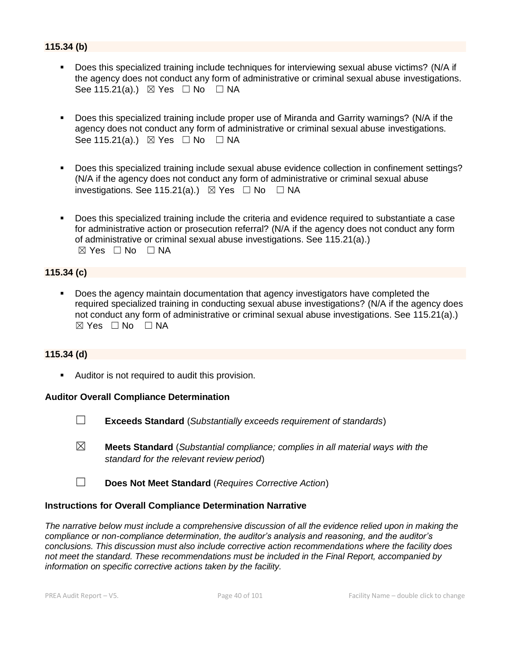## **115.34 (b)**

- Does this specialized training include techniques for interviewing sexual abuse victims? (N/A if the agency does not conduct any form of administrative or criminal sexual abuse investigations. See 115.21(a).)  $\boxtimes$  Yes  $\Box$  No  $\Box$  NA
- Does this specialized training include proper use of Miranda and Garrity warnings? (N/A if the agency does not conduct any form of administrative or criminal sexual abuse investigations. See 115.21(a).)  $\boxtimes$  Yes  $\Box$  No  $\Box$  NA
- Does this specialized training include sexual abuse evidence collection in confinement settings? (N/A if the agency does not conduct any form of administrative or criminal sexual abuse investigations. See 115.21(a).)  $\boxtimes$  Yes  $\Box$  No  $\Box$  NA
- Does this specialized training include the criteria and evidence required to substantiate a case for administrative action or prosecution referral? (N/A if the agency does not conduct any form of administrative or criminal sexual abuse investigations. See 115.21(a).)  $\boxtimes$  Yes  $\Box$  No  $\Box$  NA

## **115.34 (c)**

Does the agency maintain documentation that agency investigators have completed the required specialized training in conducting sexual abuse investigations? (N/A if the agency does not conduct any form of administrative or criminal sexual abuse investigations. See 115.21(a).)  $\boxtimes$  Yes  $\Box$  No  $\Box$  NA

#### **115.34 (d)**

**E** Auditor is not required to audit this provision.

#### **Auditor Overall Compliance Determination**

- ☐ **Exceeds Standard** (*Substantially exceeds requirement of standards*)
- ☒ **Meets Standard** (*Substantial compliance; complies in all material ways with the standard for the relevant review period*)
- ☐ **Does Not Meet Standard** (*Requires Corrective Action*)

#### **Instructions for Overall Compliance Determination Narrative**

*The narrative below must include a comprehensive discussion of all the evidence relied upon in making the compliance or non-compliance determination, the auditor's analysis and reasoning, and the auditor's conclusions. This discussion must also include corrective action recommendations where the facility does not meet the standard. These recommendations must be included in the Final Report, accompanied by information on specific corrective actions taken by the facility.*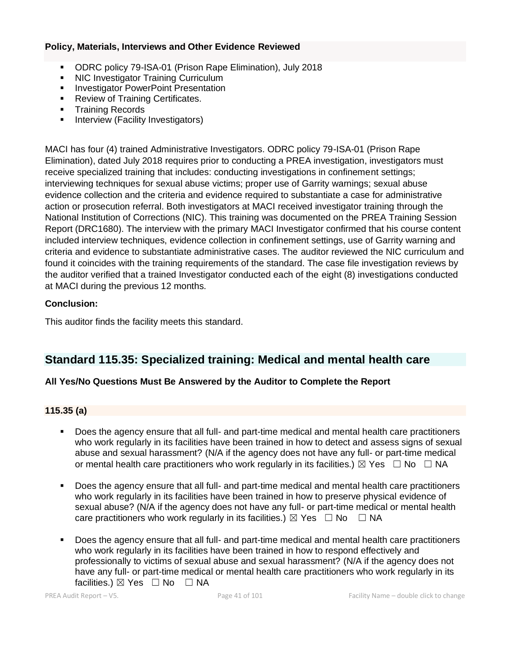#### **Policy, Materials, Interviews and Other Evidence Reviewed**

- ODRC policy 79-ISA-01 (Prison Rape Elimination), July 2018
- **NIC Investigator Training Curriculum**
- **■** Investigator PowerPoint Presentation
- Review of Training Certificates.
- **•** Training Records
- **E** Interview (Facility Investigators)

MACI has four (4) trained Administrative Investigators. ODRC policy 79-ISA-01 (Prison Rape Elimination), dated July 2018 requires prior to conducting a PREA investigation, investigators must receive specialized training that includes: conducting investigations in confinement settings; interviewing techniques for sexual abuse victims; proper use of Garrity warnings; sexual abuse evidence collection and the criteria and evidence required to substantiate a case for administrative action or prosecution referral. Both investigators at MACI received investigator training through the National Institution of Corrections (NIC). This training was documented on the PREA Training Session Report (DRC1680). The interview with the primary MACI Investigator confirmed that his course content included interview techniques, evidence collection in confinement settings, use of Garrity warning and criteria and evidence to substantiate administrative cases. The auditor reviewed the NIC curriculum and found it coincides with the training requirements of the standard. The case file investigation reviews by the auditor verified that a trained Investigator conducted each of the eight (8) investigations conducted at MACI during the previous 12 months.

# **Conclusion:**

This auditor finds the facility meets this standard.

# **Standard 115.35: Specialized training: Medical and mental health care**

# **All Yes/No Questions Must Be Answered by the Auditor to Complete the Report**

# **115.35 (a)**

- Does the agency ensure that all full- and part-time medical and mental health care practitioners who work regularly in its facilities have been trained in how to detect and assess signs of sexual abuse and sexual harassment? (N/A if the agency does not have any full- or part-time medical or mental health care practitioners who work regularly in its facilities.)  $\boxtimes$  Yes  $\Box$  No  $\Box$  NA
- Does the agency ensure that all full- and part-time medical and mental health care practitioners who work regularly in its facilities have been trained in how to preserve physical evidence of sexual abuse? (N/A if the agency does not have any full- or part-time medical or mental health care practitioners who work regularly in its facilities.)  $\boxtimes$  Yes  $\Box$  No  $\Box$  NA
- Does the agency ensure that all full- and part-time medical and mental health care practitioners who work regularly in its facilities have been trained in how to respond effectively and professionally to victims of sexual abuse and sexual harassment? (N/A if the agency does not have any full- or part-time medical or mental health care practitioners who work regularly in its facilities.)  $\boxtimes$  Yes  $\Box$  No  $\Box$  NA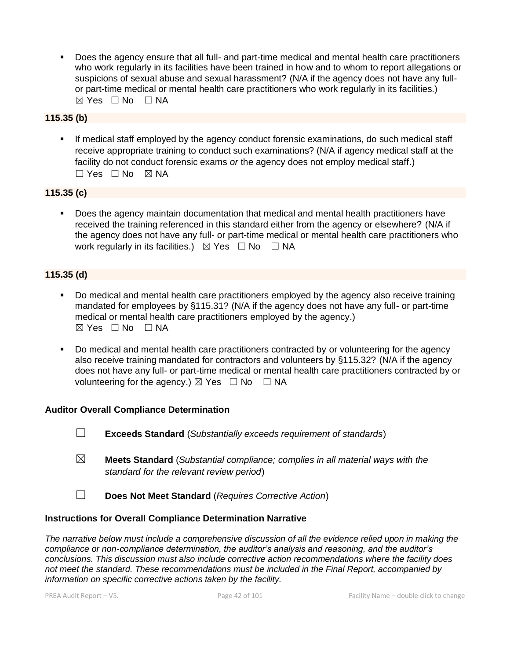Does the agency ensure that all full- and part-time medical and mental health care practitioners who work regularly in its facilities have been trained in how and to whom to report allegations or suspicions of sexual abuse and sexual harassment? (N/A if the agency does not have any fullor part-time medical or mental health care practitioners who work regularly in its facilities.)  $⊠ Yes ⊡ No ⊡ NA$ 

## **115.35 (b)**

**■** If medical staff employed by the agency conduct forensic examinations, do such medical staff receive appropriate training to conduct such examinations? (N/A if agency medical staff at the facility do not conduct forensic exams *or* the agency does not employ medical staff.)  $\Box$  Yes  $\Box$  No  $\boxtimes$  NA

## **115.35 (c)**

▪ Does the agency maintain documentation that medical and mental health practitioners have received the training referenced in this standard either from the agency or elsewhere? (N/A if the agency does not have any full- or part-time medical or mental health care practitioners who work regularly in its facilities.)  $\boxtimes$  Yes  $\Box$  No  $\Box$  NA

## **115.35 (d)**

- Do medical and mental health care practitioners employed by the agency also receive training mandated for employees by §115.31? (N/A if the agency does not have any full- or part-time medical or mental health care practitioners employed by the agency.)  $\boxtimes$  Yes  $\Box$  No  $\Box$  NA
- Do medical and mental health care practitioners contracted by or volunteering for the agency also receive training mandated for contractors and volunteers by §115.32? (N/A if the agency does not have any full- or part-time medical or mental health care practitioners contracted by or volunteering for the agency.)  $\boxtimes$  Yes  $\Box$  No  $\Box$  NA

#### **Auditor Overall Compliance Determination**

- ☐ **Exceeds Standard** (*Substantially exceeds requirement of standards*)
- ☒ **Meets Standard** (*Substantial compliance; complies in all material ways with the standard for the relevant review period*)
- ☐ **Does Not Meet Standard** (*Requires Corrective Action*)

#### **Instructions for Overall Compliance Determination Narrative**

*The narrative below must include a comprehensive discussion of all the evidence relied upon in making the compliance or non-compliance determination, the auditor's analysis and reasoning, and the auditor's conclusions. This discussion must also include corrective action recommendations where the facility does not meet the standard. These recommendations must be included in the Final Report, accompanied by information on specific corrective actions taken by the facility.*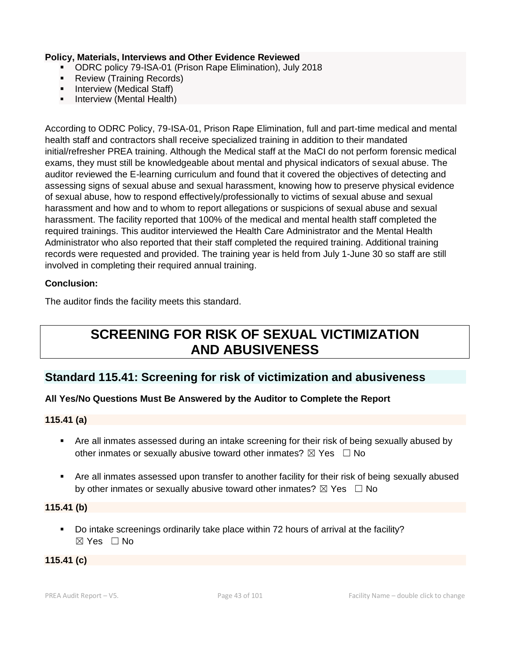#### **Policy, Materials, Interviews and Other Evidence Reviewed**

- ODRC policy 79-ISA-01 (Prison Rape Elimination), July 2018
- Review (Training Records)
- **•** Interview (Medical Staff)
- **•** Interview (Mental Health)

According to ODRC Policy, 79-ISA-01, Prison Rape Elimination, full and part-time medical and mental health staff and contractors shall receive specialized training in addition to their mandated initial/refresher PREA training. Although the Medical staff at the MaCI do not perform forensic medical exams, they must still be knowledgeable about mental and physical indicators of sexual abuse. The auditor reviewed the E-learning curriculum and found that it covered the objectives of detecting and assessing signs of sexual abuse and sexual harassment, knowing how to preserve physical evidence of sexual abuse, how to respond effectively/professionally to victims of sexual abuse and sexual harassment and how and to whom to report allegations or suspicions of sexual abuse and sexual harassment. The facility reported that 100% of the medical and mental health staff completed the required trainings. This auditor interviewed the Health Care Administrator and the Mental Health Administrator who also reported that their staff completed the required training. Additional training records were requested and provided. The training year is held from July 1-June 30 so staff are still involved in completing their required annual training.

## **Conclusion:**

The auditor finds the facility meets this standard.

# **SCREENING FOR RISK OF SEXUAL VICTIMIZATION AND ABUSIVENESS**

# **Standard 115.41: Screening for risk of victimization and abusiveness**

# **All Yes/No Questions Must Be Answered by the Auditor to Complete the Report**

#### **115.41 (a)**

- Are all inmates assessed during an intake screening for their risk of being sexually abused by other inmates or sexually abusive toward other inmates?  $\boxtimes$  Yes  $\Box$  No
- Are all inmates assessed upon transfer to another facility for their risk of being sexually abused by other inmates or sexually abusive toward other inmates?  $\boxtimes$  Yes  $\Box$  No

#### **115.41 (b)**

▪ Do intake screenings ordinarily take place within 72 hours of arrival at the facility? ☒ Yes ☐ No

#### **115.41 (c)**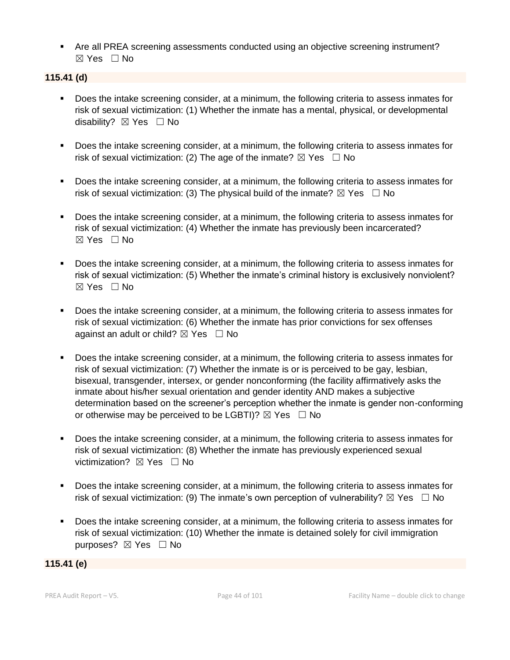■ Are all PREA screening assessments conducted using an objective screening instrument? ☒ Yes ☐ No

#### **115.41 (d)**

- Does the intake screening consider, at a minimum, the following criteria to assess inmates for risk of sexual victimization: (1) Whether the inmate has a mental, physical, or developmental disability? **⊠** Yes □ No
- Does the intake screening consider, at a minimum, the following criteria to assess inmates for risk of sexual victimization: (2) The age of the inmate?  $\boxtimes$  Yes  $\Box$  No
- Does the intake screening consider, at a minimum, the following criteria to assess inmates for risk of sexual victimization: (3) The physical build of the inmate?  $\boxtimes$  Yes  $\Box$  No
- Does the intake screening consider, at a minimum, the following criteria to assess inmates for risk of sexual victimization: (4) Whether the inmate has previously been incarcerated?  $\boxtimes$  Yes  $\Box$  No
- Does the intake screening consider, at a minimum, the following criteria to assess inmates for risk of sexual victimization: (5) Whether the inmate's criminal history is exclusively nonviolent?  $\boxtimes$  Yes  $\Box$  No
- Does the intake screening consider, at a minimum, the following criteria to assess inmates for risk of sexual victimization: (6) Whether the inmate has prior convictions for sex offenses against an adult or child?  $\boxtimes$  Yes  $\Box$  No
- Does the intake screening consider, at a minimum, the following criteria to assess inmates for risk of sexual victimization: (7) Whether the inmate is or is perceived to be gay, lesbian, bisexual, transgender, intersex, or gender nonconforming (the facility affirmatively asks the inmate about his/her sexual orientation and gender identity AND makes a subjective determination based on the screener's perception whether the inmate is gender non-conforming or otherwise may be perceived to be LGBTI)?  $\boxtimes$  Yes  $\Box$  No
- Does the intake screening consider, at a minimum, the following criteria to assess inmates for risk of sexual victimization: (8) Whether the inmate has previously experienced sexual victimization? **⊠** Yes □ No
- Does the intake screening consider, at a minimum, the following criteria to assess inmates for risk of sexual victimization: (9) The inmate's own perception of vulnerability?  $\boxtimes$  Yes  $\Box$  No
- Does the intake screening consider, at a minimum, the following criteria to assess inmates for risk of sexual victimization: (10) Whether the inmate is detained solely for civil immigration purposes? ⊠ Yes □ No

#### **115.41 (e)**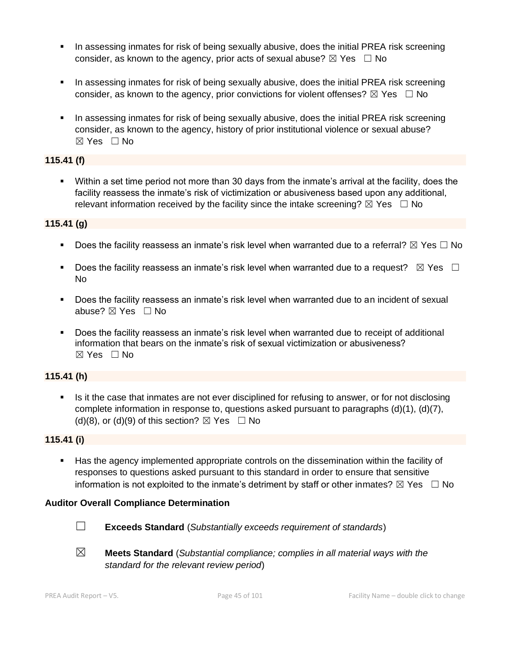- **•** In assessing inmates for risk of being sexually abusive, does the initial PREA risk screening consider, as known to the agency, prior acts of sexual abuse?  $\boxtimes$  Yes  $\Box$  No
- **■** In assessing inmates for risk of being sexually abusive, does the initial PREA risk screening consider, as known to the agency, prior convictions for violent offenses?  $\boxtimes$  Yes  $\Box$  No
- **•** In assessing inmates for risk of being sexually abusive, does the initial PREA risk screening consider, as known to the agency, history of prior institutional violence or sexual abuse?  $\boxtimes$  Yes  $\Box$  No

#### **115.41 (f)**

▪ Within a set time period not more than 30 days from the inmate's arrival at the facility, does the facility reassess the inmate's risk of victimization or abusiveness based upon any additional, relevant information received by the facility since the intake screening?  $\boxtimes$  Yes  $\Box$  No

## **115.41 (g)**

- Does the facility reassess an inmate's risk level when warranted due to a referral?  $\boxtimes$  Yes  $\Box$  No
- Does the facility reassess an inmate's risk level when warranted due to a request?  $\boxtimes$  Yes  $\Box$ No
- Does the facility reassess an inmate's risk level when warranted due to an incident of sexual abuse? ☒ Yes ☐ No
- Does the facility reassess an inmate's risk level when warranted due to receipt of additional information that bears on the inmate's risk of sexual victimization or abusiveness?  $\boxtimes$  Yes  $\Box$  No

# **115.41 (h)**

**EXECT** Is it the case that inmates are not ever disciplined for refusing to answer, or for not disclosing complete information in response to, questions asked pursuant to paragraphs (d)(1), (d)(7), (d)(8), or (d)(9) of this section?  $\boxtimes$  Yes  $\Box$  No

# **115.41 (i)**

**EXECT** Has the agency implemented appropriate controls on the dissemination within the facility of responses to questions asked pursuant to this standard in order to ensure that sensitive information is not exploited to the inmate's detriment by staff or other inmates?  $\boxtimes$  Yes  $\Box$  No

#### **Auditor Overall Compliance Determination**



☐ **Exceeds Standard** (*Substantially exceeds requirement of standards*)

☒ **Meets Standard** (*Substantial compliance; complies in all material ways with the standard for the relevant review period*)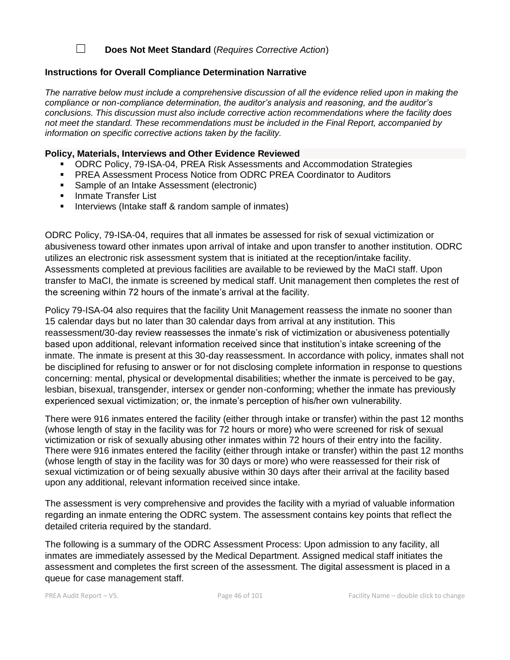#### ☐ **Does Not Meet Standard** (*Requires Corrective Action*)

#### **Instructions for Overall Compliance Determination Narrative**

*The narrative below must include a comprehensive discussion of all the evidence relied upon in making the compliance or non-compliance determination, the auditor's analysis and reasoning, and the auditor's conclusions. This discussion must also include corrective action recommendations where the facility does not meet the standard. These recommendations must be included in the Final Report, accompanied by information on specific corrective actions taken by the facility.*

#### **Policy, Materials, Interviews and Other Evidence Reviewed**

- **ODRC Policy, 79-ISA-04, PREA Risk Assessments and Accommodation Strategies**
- **PREA Assessment Process Notice from ODRC PREA Coordinator to Auditors**
- Sample of an Intake Assessment (electronic)
- Inmate Transfer List
- **E** Interviews (Intake staff & random sample of inmates)

ODRC Policy, 79-ISA-04, requires that all inmates be assessed for risk of sexual victimization or abusiveness toward other inmates upon arrival of intake and upon transfer to another institution. ODRC utilizes an electronic risk assessment system that is initiated at the reception/intake facility. Assessments completed at previous facilities are available to be reviewed by the MaCI staff. Upon transfer to MaCI, the inmate is screened by medical staff. Unit management then completes the rest of the screening within 72 hours of the inmate's arrival at the facility.

Policy 79-ISA-04 also requires that the facility Unit Management reassess the inmate no sooner than 15 calendar days but no later than 30 calendar days from arrival at any institution. This reassessment/30-day review reassesses the inmate's risk of victimization or abusiveness potentially based upon additional, relevant information received since that institution's intake screening of the inmate. The inmate is present at this 30-day reassessment. In accordance with policy, inmates shall not be disciplined for refusing to answer or for not disclosing complete information in response to questions concerning: mental, physical or developmental disabilities; whether the inmate is perceived to be gay, lesbian, bisexual, transgender, intersex or gender non-conforming; whether the inmate has previously experienced sexual victimization; or, the inmate's perception of his/her own vulnerability.

There were 916 inmates entered the facility (either through intake or transfer) within the past 12 months (whose length of stay in the facility was for 72 hours or more) who were screened for risk of sexual victimization or risk of sexually abusing other inmates within 72 hours of their entry into the facility. There were 916 inmates entered the facility (either through intake or transfer) within the past 12 months (whose length of stay in the facility was for 30 days or more) who were reassessed for their risk of sexual victimization or of being sexually abusive within 30 days after their arrival at the facility based upon any additional, relevant information received since intake.

The assessment is very comprehensive and provides the facility with a myriad of valuable information regarding an inmate entering the ODRC system. The assessment contains key points that reflect the detailed criteria required by the standard.

The following is a summary of the ODRC Assessment Process: Upon admission to any facility, all inmates are immediately assessed by the Medical Department. Assigned medical staff initiates the assessment and completes the first screen of the assessment. The digital assessment is placed in a queue for case management staff.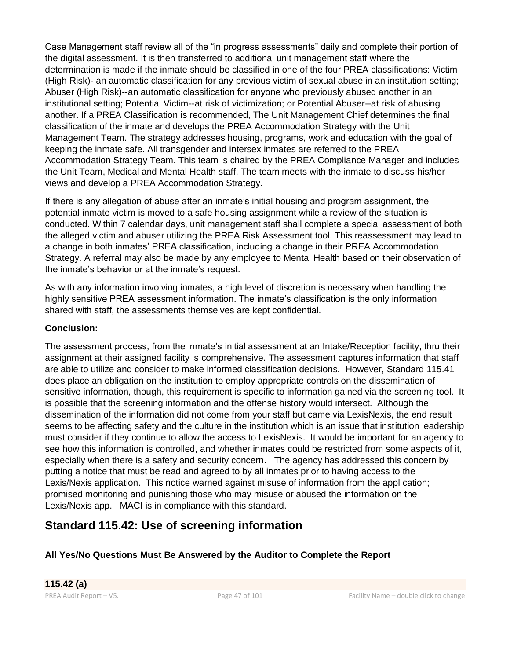Case Management staff review all of the "in progress assessments" daily and complete their portion of the digital assessment. It is then transferred to additional unit management staff where the determination is made if the inmate should be classified in one of the four PREA classifications: Victim (High Risk)- an automatic classification for any previous victim of sexual abuse in an institution setting; Abuser (High Risk)--an automatic classification for anyone who previously abused another in an institutional setting; Potential Victim--at risk of victimization; or Potential Abuser--at risk of abusing another. If a PREA Classification is recommended, The Unit Management Chief determines the final classification of the inmate and develops the PREA Accommodation Strategy with the Unit Management Team. The strategy addresses housing, programs, work and education with the goal of keeping the inmate safe. All transgender and intersex inmates are referred to the PREA Accommodation Strategy Team. This team is chaired by the PREA Compliance Manager and includes the Unit Team, Medical and Mental Health staff. The team meets with the inmate to discuss his/her views and develop a PREA Accommodation Strategy.

If there is any allegation of abuse after an inmate's initial housing and program assignment, the potential inmate victim is moved to a safe housing assignment while a review of the situation is conducted. Within 7 calendar days, unit management staff shall complete a special assessment of both the alleged victim and abuser utilizing the PREA Risk Assessment tool. This reassessment may lead to a change in both inmates' PREA classification, including a change in their PREA Accommodation Strategy. A referral may also be made by any employee to Mental Health based on their observation of the inmate's behavior or at the inmate's request.

As with any information involving inmates, a high level of discretion is necessary when handling the highly sensitive PREA assessment information. The inmate's classification is the only information shared with staff, the assessments themselves are kept confidential.

## **Conclusion:**

The assessment process, from the inmate's initial assessment at an Intake/Reception facility, thru their assignment at their assigned facility is comprehensive. The assessment captures information that staff are able to utilize and consider to make informed classification decisions. However, Standard 115.41 does place an obligation on the institution to employ appropriate controls on the dissemination of sensitive information, though, this requirement is specific to information gained via the screening tool. It is possible that the screening information and the offense history would intersect. Although the dissemination of the information did not come from your staff but came via LexisNexis, the end result seems to be affecting safety and the culture in the institution which is an issue that institution leadership must consider if they continue to allow the access to LexisNexis. It would be important for an agency to see how this information is controlled, and whether inmates could be restricted from some aspects of it, especially when there is a safety and security concern. The agency has addressed this concern by putting a notice that must be read and agreed to by all inmates prior to having access to the Lexis/Nexis application. This notice warned against misuse of information from the application; promised monitoring and punishing those who may misuse or abused the information on the Lexis/Nexis app. MACI is in compliance with this standard.

# **Standard 115.42: Use of screening information**

**All Yes/No Questions Must Be Answered by the Auditor to Complete the Report**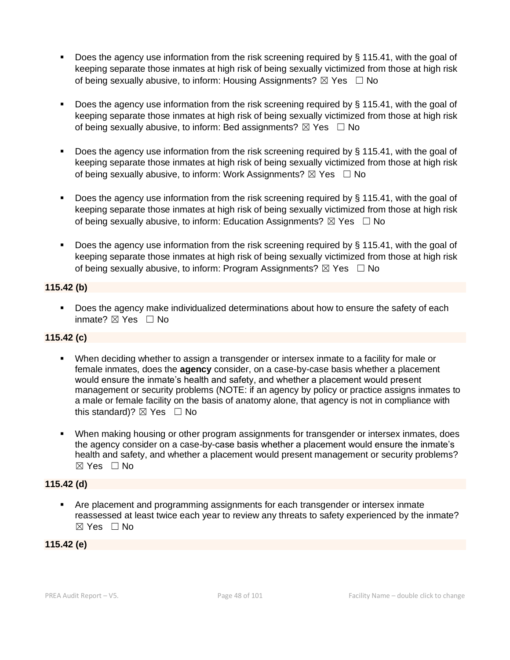- Does the agency use information from the risk screening required by § 115.41, with the goal of keeping separate those inmates at high risk of being sexually victimized from those at high risk of being sexually abusive, to inform: Housing Assignments?  $\boxtimes$  Yes  $\Box$  No
- Does the agency use information from the risk screening required by § 115.41, with the goal of keeping separate those inmates at high risk of being sexually victimized from those at high risk of being sexually abusive, to inform: Bed assignments?  $\boxtimes$  Yes  $\Box$  No
- Does the agency use information from the risk screening required by § 115.41, with the goal of keeping separate those inmates at high risk of being sexually victimized from those at high risk of being sexually abusive, to inform: Work Assignments?  $\boxtimes$  Yes  $\Box$  No
- **•** Does the agency use information from the risk screening required by  $\S$  115.41, with the goal of keeping separate those inmates at high risk of being sexually victimized from those at high risk of being sexually abusive, to inform: Education Assignments?  $\boxtimes$  Yes  $\Box$  No
- **Does the agency use information from the risk screening required by**  $\S$  **115.41, with the goal of** keeping separate those inmates at high risk of being sexually victimized from those at high risk of being sexually abusive, to inform: Program Assignments?  $\boxtimes$  Yes  $\Box$  No

# **115.42 (b)**

■ Does the agency make individualized determinations about how to ensure the safety of each inmate? ☒ Yes ☐ No

# **115.42 (c)**

- When deciding whether to assign a transgender or intersex inmate to a facility for male or female inmates, does the **agency** consider, on a case-by-case basis whether a placement would ensure the inmate's health and safety, and whether a placement would present management or security problems (NOTE: if an agency by policy or practice assigns inmates to a male or female facility on the basis of anatomy alone, that agency is not in compliance with this standard)?  $\boxtimes$  Yes  $\Box$  No
- **When making housing or other program assignments for transgender or intersex inmates, does** the agency consider on a case-by-case basis whether a placement would ensure the inmate's health and safety, and whether a placement would present management or security problems? ☒ Yes ☐ No

# **115.42 (d)**

▪ Are placement and programming assignments for each transgender or intersex inmate reassessed at least twice each year to review any threats to safety experienced by the inmate?  $\boxtimes$  Yes  $\Box$  No

# **115.42 (e)**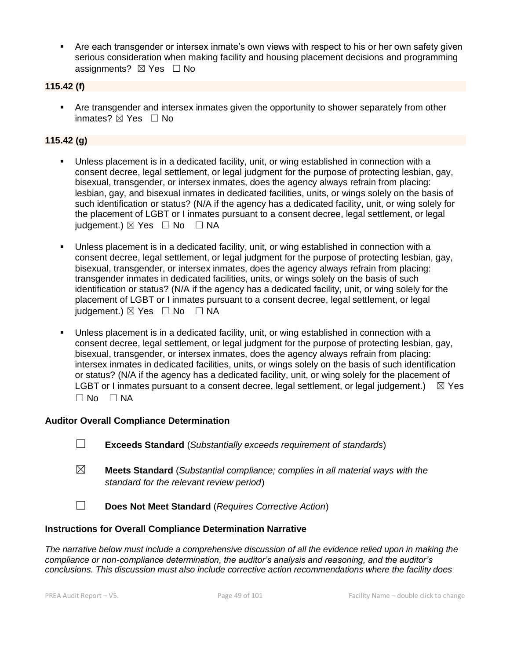■ Are each transgender or intersex inmate's own views with respect to his or her own safety given serious consideration when making facility and housing placement decisions and programming assignments?  $\boxtimes$  Yes  $\Box$  No

#### **115.42 (f)**

**EXECT** Are transgender and intersex inmates given the opportunity to shower separately from other inmates? ☒ Yes ☐ No

#### **115.42 (g)**

- Unless placement is in a dedicated facility, unit, or wing established in connection with a consent decree, legal settlement, or legal judgment for the purpose of protecting lesbian, gay, bisexual, transgender, or intersex inmates, does the agency always refrain from placing: lesbian, gay, and bisexual inmates in dedicated facilities, units, or wings solely on the basis of such identification or status? (N/A if the agency has a dedicated facility, unit, or wing solely for the placement of LGBT or I inmates pursuant to a consent decree, legal settlement, or legal judgement.)  $\boxtimes$  Yes  $\Box$  No  $\Box$  NA
- Unless placement is in a dedicated facility, unit, or wing established in connection with a consent decree, legal settlement, or legal judgment for the purpose of protecting lesbian, gay, bisexual, transgender, or intersex inmates, does the agency always refrain from placing: transgender inmates in dedicated facilities, units, or wings solely on the basis of such identification or status? (N/A if the agency has a dedicated facility, unit, or wing solely for the placement of LGBT or I inmates pursuant to a consent decree, legal settlement, or legal judgement.)  $\boxtimes$  Yes  $\Box$  No  $\Box$  NA
- Unless placement is in a dedicated facility, unit, or wing established in connection with a consent decree, legal settlement, or legal judgment for the purpose of protecting lesbian, gay, bisexual, transgender, or intersex inmates, does the agency always refrain from placing: intersex inmates in dedicated facilities, units, or wings solely on the basis of such identification or status? (N/A if the agency has a dedicated facility, unit, or wing solely for the placement of LGBT or I inmates pursuant to a consent decree, legal settlement, or legal judgement.)  $\boxtimes$  Yes  $\square$  No  $\square$  NA

#### **Auditor Overall Compliance Determination**

- ☐ **Exceeds Standard** (*Substantially exceeds requirement of standards*)
- ☒ **Meets Standard** (*Substantial compliance; complies in all material ways with the standard for the relevant review period*)
- ☐ **Does Not Meet Standard** (*Requires Corrective Action*)

#### **Instructions for Overall Compliance Determination Narrative**

*The narrative below must include a comprehensive discussion of all the evidence relied upon in making the compliance or non-compliance determination, the auditor's analysis and reasoning, and the auditor's conclusions. This discussion must also include corrective action recommendations where the facility does*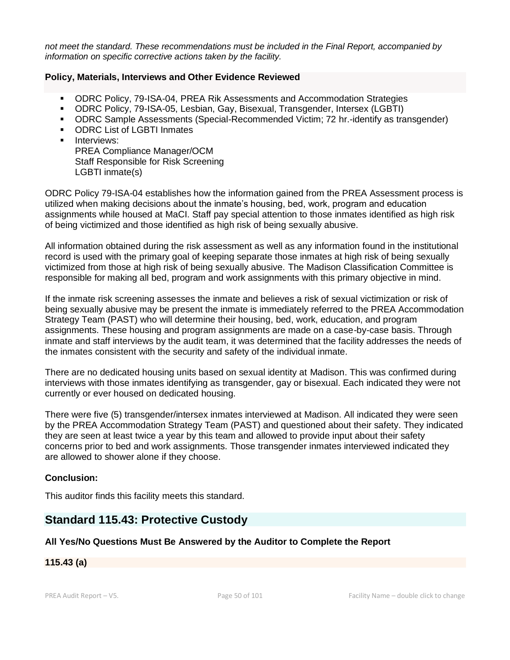*not meet the standard. These recommendations must be included in the Final Report, accompanied by information on specific corrective actions taken by the facility.*

#### **Policy, Materials, Interviews and Other Evidence Reviewed**

- **ODRC Policy, 79-ISA-04, PREA Rik Assessments and Accommodation Strategies**
- ODRC Policy, 79-ISA-05, Lesbian, Gay, Bisexual, Transgender, Intersex (LGBTI)
- ODRC Sample Assessments (Special-Recommended Victim; 72 hr.-identify as transgender)
- ODRC List of LGBTI Inmates
- **■** Interviews: PREA Compliance Manager/OCM Staff Responsible for Risk Screening LGBTI inmate(s)

ODRC Policy 79-ISA-04 establishes how the information gained from the PREA Assessment process is utilized when making decisions about the inmate's housing, bed, work, program and education assignments while housed at MaCI. Staff pay special attention to those inmates identified as high risk of being victimized and those identified as high risk of being sexually abusive.

All information obtained during the risk assessment as well as any information found in the institutional record is used with the primary goal of keeping separate those inmates at high risk of being sexually victimized from those at high risk of being sexually abusive. The Madison Classification Committee is responsible for making all bed, program and work assignments with this primary objective in mind.

If the inmate risk screening assesses the inmate and believes a risk of sexual victimization or risk of being sexually abusive may be present the inmate is immediately referred to the PREA Accommodation Strategy Team (PAST) who will determine their housing, bed, work, education, and program assignments. These housing and program assignments are made on a case-by-case basis. Through inmate and staff interviews by the audit team, it was determined that the facility addresses the needs of the inmates consistent with the security and safety of the individual inmate.

There are no dedicated housing units based on sexual identity at Madison. This was confirmed during interviews with those inmates identifying as transgender, gay or bisexual. Each indicated they were not currently or ever housed on dedicated housing.

There were five (5) transgender/intersex inmates interviewed at Madison. All indicated they were seen by the PREA Accommodation Strategy Team (PAST) and questioned about their safety. They indicated they are seen at least twice a year by this team and allowed to provide input about their safety concerns prior to bed and work assignments. Those transgender inmates interviewed indicated they are allowed to shower alone if they choose.

#### **Conclusion:**

This auditor finds this facility meets this standard.

# **Standard 115.43: Protective Custody**

#### **All Yes/No Questions Must Be Answered by the Auditor to Complete the Report**

#### **115.43 (a)**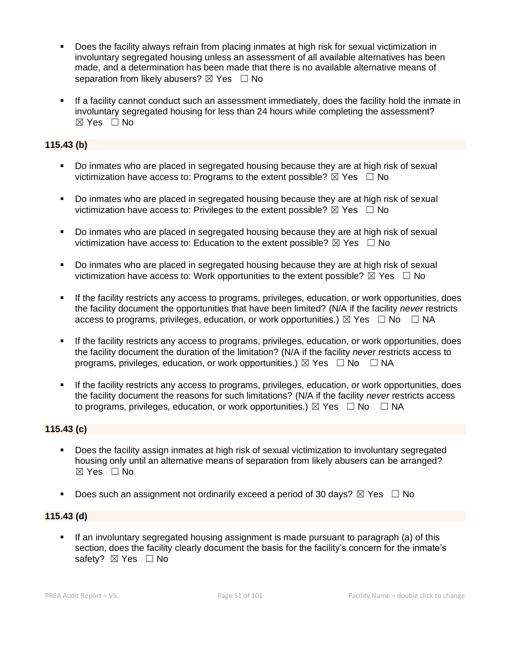- Does the facility always refrain from placing inmates at high risk for sexual victimization in involuntary segregated housing unless an assessment of all available alternatives has been made, and a determination has been made that there is no available alternative means of separation from likely abusers?  $\boxtimes$  Yes  $\Box$  No
- **.** If a facility cannot conduct such an assessment immediately, does the facility hold the inmate in involuntary segregated housing for less than 24 hours while completing the assessment? ☒ Yes ☐ No

## **115.43 (b)**

- Do inmates who are placed in segregated housing because they are at high risk of sexual victimization have access to: Programs to the extent possible?  $\boxtimes$  Yes  $\Box$  No
- Do inmates who are placed in segregated housing because they are at high risk of sexual victimization have access to: Privileges to the extent possible?  $\boxtimes$  Yes  $\Box$  No
- Do inmates who are placed in segregated housing because they are at high risk of sexual victimization have access to: Education to the extent possible?  $\boxtimes$  Yes  $\Box$  No
- Do inmates who are placed in segregated housing because they are at high risk of sexual victimization have access to: Work opportunities to the extent possible?  $\boxtimes$  Yes  $\Box$  No
- If the facility restricts any access to programs, privileges, education, or work opportunities, does the facility document the opportunities that have been limited? (N/A if the facility *never* restricts access to programs, privileges, education, or work opportunities.)  $\boxtimes$  Yes  $\Box$  No  $\Box$  NA
- If the facility restricts any access to programs, privileges, education, or work opportunities, does the facility document the duration of the limitation? (N/A if the facility *never* restricts access to programs, privileges, education, or work opportunities.)  $\boxtimes$  Yes  $\Box$  No  $\Box$  NA
- If the facility restricts any access to programs, privileges, education, or work opportunities, does the facility document the reasons for such limitations? (N/A if the facility *never* restricts access to programs, privileges, education, or work opportunities.)  $\boxtimes$  Yes  $\Box$  No  $\Box$  NA

#### **115.43 (c)**

- Does the facility assign inmates at high risk of sexual victimization to involuntary segregated housing only until an alternative means of separation from likely abusers can be arranged? ☒ Yes ☐ No
- **•** Does such an assignment not ordinarily exceed a period of 30 days?  $\boxtimes$  Yes  $\Box$  No

#### **115.43 (d)**

**.** If an involuntary segregated housing assignment is made pursuant to paragraph (a) of this section, does the facility clearly document the basis for the facility's concern for the inmate's safety? ⊠ Yes □ No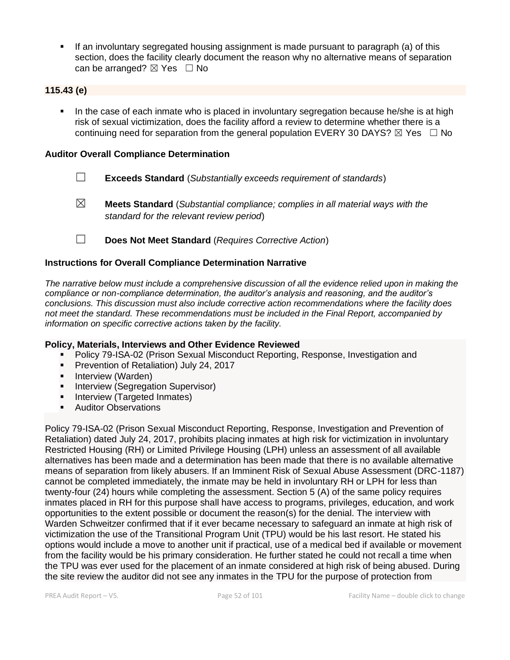If an involuntary segregated housing assignment is made pursuant to paragraph (a) of this section, does the facility clearly document the reason why no alternative means of separation can be arranged?  $\boxtimes$  Yes  $\Box$  No

#### **115.43 (e)**

In the case of each inmate who is placed in involuntary segregation because he/she is at high risk of sexual victimization, does the facility afford a review to determine whether there is a continuing need for separation from the general population EVERY 30 DAYS?  $\boxtimes$  Yes  $\Box$  No

#### **Auditor Overall Compliance Determination**

- ☐ **Exceeds Standard** (*Substantially exceeds requirement of standards*)
- ☒ **Meets Standard** (*Substantial compliance; complies in all material ways with the standard for the relevant review period*)
- ☐ **Does Not Meet Standard** (*Requires Corrective Action*)

#### **Instructions for Overall Compliance Determination Narrative**

*The narrative below must include a comprehensive discussion of all the evidence relied upon in making the compliance or non-compliance determination, the auditor's analysis and reasoning, and the auditor's conclusions. This discussion must also include corrective action recommendations where the facility does not meet the standard. These recommendations must be included in the Final Report, accompanied by information on specific corrective actions taken by the facility.*

#### **Policy, Materials, Interviews and Other Evidence Reviewed**

- Policy 79-ISA-02 (Prison Sexual Misconduct Reporting, Response, Investigation and
- Prevention of Retaliation) July 24, 2017
- **·** Interview (Warden)
- **E** Interview (Segregation Supervisor)
- **•** Interview (Targeted Inmates)
- Auditor Observations

Policy 79-ISA-02 (Prison Sexual Misconduct Reporting, Response, Investigation and Prevention of Retaliation) dated July 24, 2017, prohibits placing inmates at high risk for victimization in involuntary Restricted Housing (RH) or Limited Privilege Housing (LPH) unless an assessment of all available alternatives has been made and a determination has been made that there is no available alternative means of separation from likely abusers. If an Imminent Risk of Sexual Abuse Assessment (DRC-1187) cannot be completed immediately, the inmate may be held in involuntary RH or LPH for less than twenty-four (24) hours while completing the assessment. Section 5 (A) of the same policy requires inmates placed in RH for this purpose shall have access to programs, privileges, education, and work opportunities to the extent possible or document the reason(s) for the denial. The interview with Warden Schweitzer confirmed that if it ever became necessary to safeguard an inmate at high risk of victimization the use of the Transitional Program Unit (TPU) would be his last resort. He stated his options would include a move to another unit if practical, use of a medical bed if available or movement from the facility would be his primary consideration. He further stated he could not recall a time when the TPU was ever used for the placement of an inmate considered at high risk of being abused. During the site review the auditor did not see any inmates in the TPU for the purpose of protection from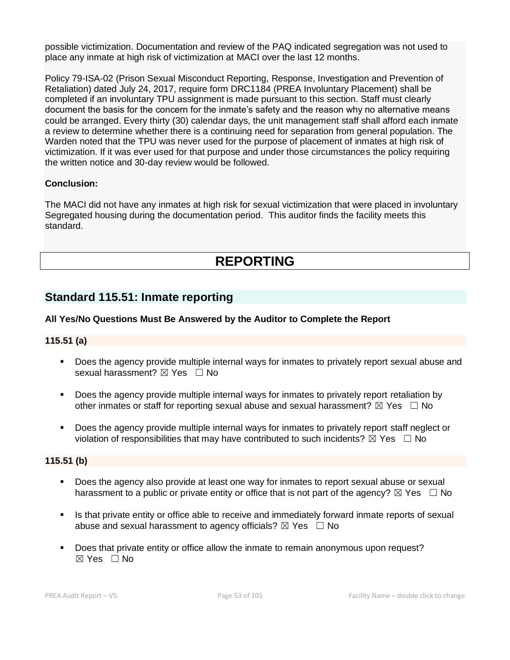possible victimization. Documentation and review of the PAQ indicated segregation was not used to place any inmate at high risk of victimization at MACI over the last 12 months.

Policy 79-ISA-02 (Prison Sexual Misconduct Reporting, Response, Investigation and Prevention of Retaliation) dated July 24, 2017, require form DRC1184 (PREA Involuntary Placement) shall be completed if an involuntary TPU assignment is made pursuant to this section. Staff must clearly document the basis for the concern for the inmate's safety and the reason why no alternative means could be arranged. Every thirty (30) calendar days, the unit management staff shall afford each inmate a review to determine whether there is a continuing need for separation from general population. The Warden noted that the TPU was never used for the purpose of placement of inmates at high risk of victimization. If it was ever used for that purpose and under those circumstances the policy requiring the written notice and 30-day review would be followed.

## **Conclusion:**

The MACI did not have any inmates at high risk for sexual victimization that were placed in involuntary Segregated housing during the documentation period. This auditor finds the facility meets this standard.

# **REPORTING**

# **Standard 115.51: Inmate reporting**

#### **All Yes/No Questions Must Be Answered by the Auditor to Complete the Report**

#### **115.51 (a)**

- Does the agency provide multiple internal ways for inmates to privately report sexual abuse and sexual harassment? ⊠ Yes □ No
- **•** Does the agency provide multiple internal ways for inmates to privately report retaliation by other inmates or staff for reporting sexual abuse and sexual harassment?  $\boxtimes$  Yes  $\Box$  No
- Does the agency provide multiple internal ways for inmates to privately report staff neglect or violation of responsibilities that may have contributed to such incidents?  $\boxtimes$  Yes  $\Box$  No

#### **115.51 (b)**

- Does the agency also provide at least one way for inmates to report sexual abuse or sexual harassment to a public or private entity or office that is not part of the agency?  $\boxtimes$  Yes  $\Box$  No
- **.** Is that private entity or office able to receive and immediately forward inmate reports of sexual abuse and sexual harassment to agency officials?  $\boxtimes$  Yes  $\Box$  No
- Does that private entity or office allow the inmate to remain anonymous upon request?  $\boxtimes$  Yes  $\Box$  No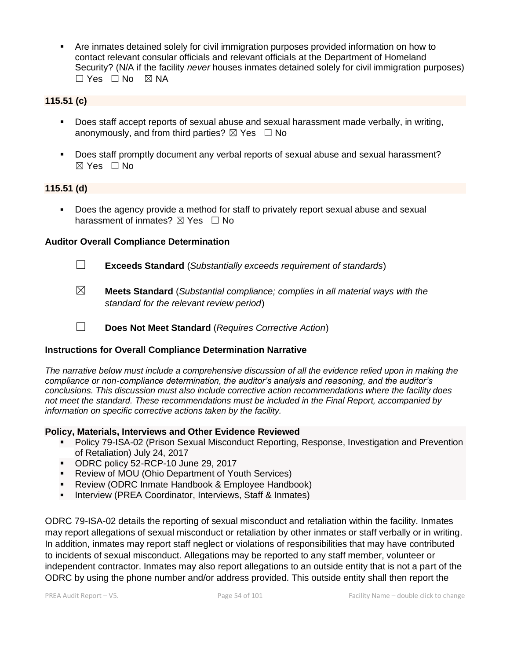▪ Are inmates detained solely for civil immigration purposes provided information on how to contact relevant consular officials and relevant officials at the Department of Homeland Security? (N/A if the facility *never* houses inmates detained solely for civil immigration purposes) ☐ Yes ☐ No ☒ NA

#### **115.51 (c)**

- Does staff accept reports of sexual abuse and sexual harassment made verbally, in writing, anonymously, and from third parties?  $\boxtimes$  Yes  $\Box$  No
- Does staff promptly document any verbal reports of sexual abuse and sexual harassment? ☒ Yes ☐ No

#### **115.51 (d)**

Does the agency provide a method for staff to privately report sexual abuse and sexual harassment of inmates?  $\boxtimes$  Yes  $\Box$  No

#### **Auditor Overall Compliance Determination**

- ☐ **Exceeds Standard** (*Substantially exceeds requirement of standards*)
	-
- ☒ **Meets Standard** (*Substantial compliance; complies in all material ways with the standard for the relevant review period*)
- ☐ **Does Not Meet Standard** (*Requires Corrective Action*)

#### **Instructions for Overall Compliance Determination Narrative**

*The narrative below must include a comprehensive discussion of all the evidence relied upon in making the compliance or non-compliance determination, the auditor's analysis and reasoning, and the auditor's conclusions. This discussion must also include corrective action recommendations where the facility does not meet the standard. These recommendations must be included in the Final Report, accompanied by information on specific corrective actions taken by the facility.*

#### **Policy, Materials, Interviews and Other Evidence Reviewed**

- **Policy 79-ISA-02 (Prison Sexual Misconduct Reporting, Response, Investigation and Prevention** of Retaliation) July 24, 2017
- ODRC policy 52-RCP-10 June 29, 2017
- Review of MOU (Ohio Department of Youth Services)
- Review (ODRC Inmate Handbook & Employee Handbook)
- **E** Interview (PREA Coordinator, Interviews, Staff & Inmates)

ODRC 79-ISA-02 details the reporting of sexual misconduct and retaliation within the facility. Inmates may report allegations of sexual misconduct or retaliation by other inmates or staff verbally or in writing. In addition, inmates may report staff neglect or violations of responsibilities that may have contributed to incidents of sexual misconduct. Allegations may be reported to any staff member, volunteer or independent contractor. Inmates may also report allegations to an outside entity that is not a part of the ODRC by using the phone number and/or address provided. This outside entity shall then report the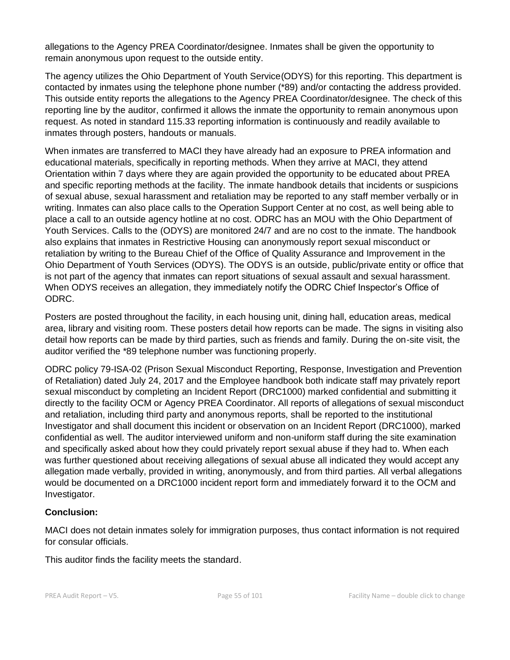allegations to the Agency PREA Coordinator/designee. Inmates shall be given the opportunity to remain anonymous upon request to the outside entity.

The agency utilizes the Ohio Department of Youth Service(ODYS) for this reporting. This department is contacted by inmates using the telephone phone number (\*89) and/or contacting the address provided. This outside entity reports the allegations to the Agency PREA Coordinator/designee. The check of this reporting line by the auditor, confirmed it allows the inmate the opportunity to remain anonymous upon request. As noted in standard 115.33 reporting information is continuously and readily available to inmates through posters, handouts or manuals.

When inmates are transferred to MACI they have already had an exposure to PREA information and educational materials, specifically in reporting methods. When they arrive at MACI, they attend Orientation within 7 days where they are again provided the opportunity to be educated about PREA and specific reporting methods at the facility. The inmate handbook details that incidents or suspicions of sexual abuse, sexual harassment and retaliation may be reported to any staff member verbally or in writing. Inmates can also place calls to the Operation Support Center at no cost, as well being able to place a call to an outside agency hotline at no cost. ODRC has an MOU with the Ohio Department of Youth Services. Calls to the (ODYS) are monitored 24/7 and are no cost to the inmate. The handbook also explains that inmates in Restrictive Housing can anonymously report sexual misconduct or retaliation by writing to the Bureau Chief of the Office of Quality Assurance and Improvement in the Ohio Department of Youth Services (ODYS). The ODYS is an outside, public/private entity or office that is not part of the agency that inmates can report situations of sexual assault and sexual harassment. When ODYS receives an allegation, they immediately notify the ODRC Chief Inspector's Office of ODRC.

Posters are posted throughout the facility, in each housing unit, dining hall, education areas, medical area, library and visiting room. These posters detail how reports can be made. The signs in visiting also detail how reports can be made by third parties, such as friends and family. During the on-site visit, the auditor verified the \*89 telephone number was functioning properly.

ODRC policy 79-ISA-02 (Prison Sexual Misconduct Reporting, Response, Investigation and Prevention of Retaliation) dated July 24, 2017 and the Employee handbook both indicate staff may privately report sexual misconduct by completing an Incident Report (DRC1000) marked confidential and submitting it directly to the facility OCM or Agency PREA Coordinator. All reports of allegations of sexual misconduct and retaliation, including third party and anonymous reports, shall be reported to the institutional Investigator and shall document this incident or observation on an Incident Report (DRC1000), marked confidential as well. The auditor interviewed uniform and non-uniform staff during the site examination and specifically asked about how they could privately report sexual abuse if they had to. When each was further questioned about receiving allegations of sexual abuse all indicated they would accept any allegation made verbally, provided in writing, anonymously, and from third parties. All verbal allegations would be documented on a DRC1000 incident report form and immediately forward it to the OCM and Investigator.

#### **Conclusion:**

MACI does not detain inmates solely for immigration purposes, thus contact information is not required for consular officials.

This auditor finds the facility meets the standard.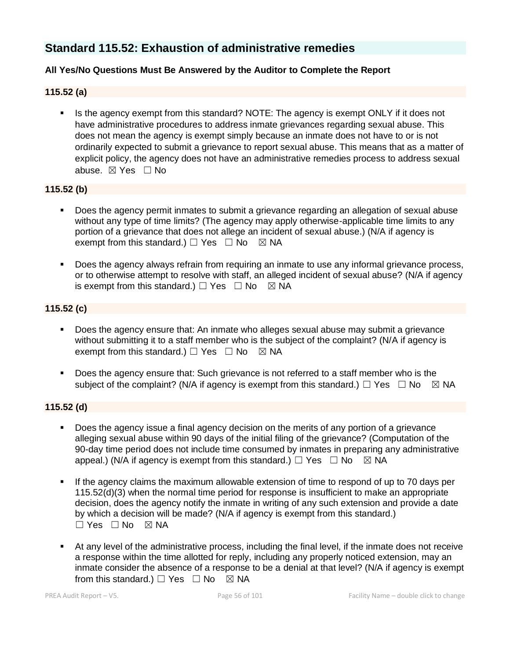# **Standard 115.52: Exhaustion of administrative remedies**

## **All Yes/No Questions Must Be Answered by the Auditor to Complete the Report**

#### **115.52 (a)**

Is the agency exempt from this standard? NOTE: The agency is exempt ONLY if it does not have administrative procedures to address inmate grievances regarding sexual abuse. This does not mean the agency is exempt simply because an inmate does not have to or is not ordinarily expected to submit a grievance to report sexual abuse. This means that as a matter of explicit policy, the agency does not have an administrative remedies process to address sexual abuse. ☒ Yes ☐ No

#### **115.52 (b)**

- Does the agency permit inmates to submit a grievance regarding an allegation of sexual abuse without any type of time limits? (The agency may apply otherwise-applicable time limits to any portion of a grievance that does not allege an incident of sexual abuse.) (N/A if agency is exempt from this standard.)  $\Box$  Yes  $\Box$  No  $\boxtimes$  NA
- Does the agency always refrain from requiring an inmate to use any informal grievance process, or to otherwise attempt to resolve with staff, an alleged incident of sexual abuse? (N/A if agency is exempt from this standard.)  $\Box$  Yes  $\Box$  No  $\boxtimes$  NA

#### **115.52 (c)**

- Does the agency ensure that: An inmate who alleges sexual abuse may submit a grievance without submitting it to a staff member who is the subject of the complaint? (N/A if agency is exempt from this standard.)  $\Box$  Yes  $\Box$  No  $\boxtimes$  NA
- Does the agency ensure that: Such grievance is not referred to a staff member who is the subject of the complaint? (N/A if agency is exempt from this standard.)  $\Box$  Yes  $\Box$  No  $\boxtimes$  NA

#### **115.52 (d)**

- Does the agency issue a final agency decision on the merits of any portion of a grievance alleging sexual abuse within 90 days of the initial filing of the grievance? (Computation of the 90-day time period does not include time consumed by inmates in preparing any administrative appeal.) (N/A if agency is exempt from this standard.)  $\Box$  Yes  $\Box$  No  $\boxtimes$  NA
- If the agency claims the maximum allowable extension of time to respond of up to 70 days per 115.52(d)(3) when the normal time period for response is insufficient to make an appropriate decision, does the agency notify the inmate in writing of any such extension and provide a date by which a decision will be made? (N/A if agency is exempt from this standard.)  $\Box$  Yes  $\Box$  No  $\boxtimes$  NA
- At any level of the administrative process, including the final level, if the inmate does not receive a response within the time allotted for reply, including any properly noticed extension, may an inmate consider the absence of a response to be a denial at that level? (N/A if agency is exempt from this standard.)  $\Box$  Yes  $\Box$  No  $\boxtimes$  NA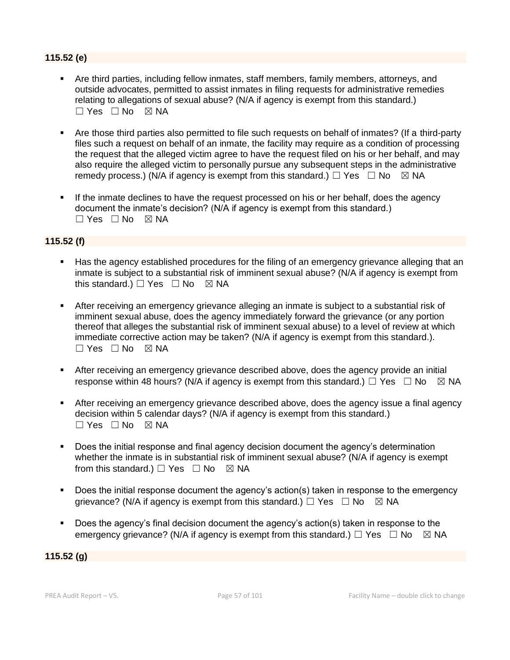## **115.52 (e)**

- Are third parties, including fellow inmates, staff members, family members, attorneys, and outside advocates, permitted to assist inmates in filing requests for administrative remedies relating to allegations of sexual abuse? (N/A if agency is exempt from this standard.) ☐ Yes ☐ No ☒ NA
- Are those third parties also permitted to file such requests on behalf of inmates? (If a third-party files such a request on behalf of an inmate, the facility may require as a condition of processing the request that the alleged victim agree to have the request filed on his or her behalf, and may also require the alleged victim to personally pursue any subsequent steps in the administrative remedy process.) (N/A if agency is exempt from this standard.)  $\Box$  Yes  $\Box$  No  $\boxtimes$  NA
- **.** If the inmate declines to have the request processed on his or her behalf, does the agency document the inmate's decision? (N/A if agency is exempt from this standard.) ☐ Yes ☐ No ☒ NA

#### **115.52 (f)**

- Has the agency established procedures for the filing of an emergency grievance alleging that an inmate is subject to a substantial risk of imminent sexual abuse? (N/A if agency is exempt from this standard.)  $\Box$  Yes  $\Box$  No  $\boxtimes$  NA
- **E** After receiving an emergency grievance alleging an inmate is subject to a substantial risk of imminent sexual abuse, does the agency immediately forward the grievance (or any portion thereof that alleges the substantial risk of imminent sexual abuse) to a level of review at which immediate corrective action may be taken? (N/A if agency is exempt from this standard.).  $\square$  Yes  $\square$  No  $\square$  NA
- **EXTER 15 After receiving an emergency grievance described above, does the agency provide an initial** response within 48 hours? (N/A if agency is exempt from this standard.)  $\Box$  Yes  $\Box$  No  $\boxtimes$  NA
- After receiving an emergency grievance described above, does the agency issue a final agency decision within 5 calendar days? (N/A if agency is exempt from this standard.)  $\Box$  Yes  $\Box$  No  $\boxtimes$  NA
- Does the initial response and final agency decision document the agency's determination whether the inmate is in substantial risk of imminent sexual abuse? (N/A if agency is exempt from this standard.)  $\Box$  Yes  $\Box$  No  $\boxtimes$  NA
- Does the initial response document the agency's action(s) taken in response to the emergency grievance? (N/A if agency is exempt from this standard.)  $\Box$  Yes  $\Box$  No  $\boxtimes$  NA
- Does the agency's final decision document the agency's action(s) taken in response to the emergency grievance? (N/A if agency is exempt from this standard.)  $\Box$  Yes  $\Box$  No  $\boxtimes$  NA

#### **115.52 (g)**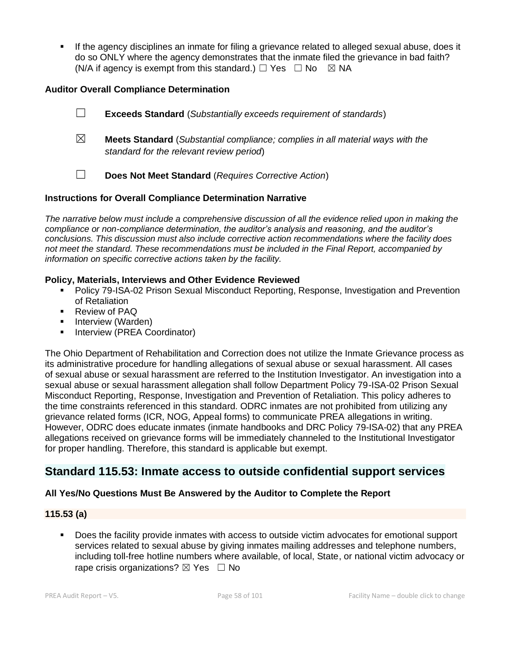**.** If the agency disciplines an inmate for filing a grievance related to alleged sexual abuse, does it do so ONLY where the agency demonstrates that the inmate filed the grievance in bad faith? (N/A if agency is exempt from this standard.)  $\Box$  Yes  $\Box$  No  $\boxtimes$  NA

#### **Auditor Overall Compliance Determination**

|             | <b>Exceeds Standard</b> (Substantially exceeds requirement of standards)                                                          |
|-------------|-----------------------------------------------------------------------------------------------------------------------------------|
| $\boxtimes$ | <b>Meets Standard</b> (Substantial compliance; complies in all material ways with the<br>standard for the relevant review period) |
|             | Does Not Meet Standard (Requires Corrective Action)                                                                               |

#### **Instructions for Overall Compliance Determination Narrative**

*The narrative below must include a comprehensive discussion of all the evidence relied upon in making the compliance or non-compliance determination, the auditor's analysis and reasoning, and the auditor's conclusions. This discussion must also include corrective action recommendations where the facility does not meet the standard. These recommendations must be included in the Final Report, accompanied by information on specific corrective actions taken by the facility.*

#### **Policy, Materials, Interviews and Other Evidence Reviewed**

- **Policy 79-ISA-02 Prison Sexual Misconduct Reporting, Response, Investigation and Prevention** of Retaliation
- Review of PAQ
- **·** Interview (Warden)
- Interview (PREA Coordinator)

The Ohio Department of Rehabilitation and Correction does not utilize the Inmate Grievance process as its administrative procedure for handling allegations of sexual abuse or sexual harassment. All cases of sexual abuse or sexual harassment are referred to the Institution Investigator. An investigation into a sexual abuse or sexual harassment allegation shall follow Department Policy 79-ISA-02 Prison Sexual Misconduct Reporting, Response, Investigation and Prevention of Retaliation. This policy adheres to the time constraints referenced in this standard. ODRC inmates are not prohibited from utilizing any grievance related forms (ICR, NOG, Appeal forms) to communicate PREA allegations in writing. However, ODRC does educate inmates (inmate handbooks and DRC Policy 79-ISA-02) that any PREA allegations received on grievance forms will be immediately channeled to the Institutional Investigator for proper handling. Therefore, this standard is applicable but exempt.

# **Standard 115.53: Inmate access to outside confidential support services**

#### **All Yes/No Questions Must Be Answered by the Auditor to Complete the Report**

#### **115.53 (a)**

Does the facility provide inmates with access to outside victim advocates for emotional support services related to sexual abuse by giving inmates mailing addresses and telephone numbers, including toll-free hotline numbers where available, of local, State, or national victim advocacy or rape crisis organizations?  $\boxtimes$  Yes  $\Box$  No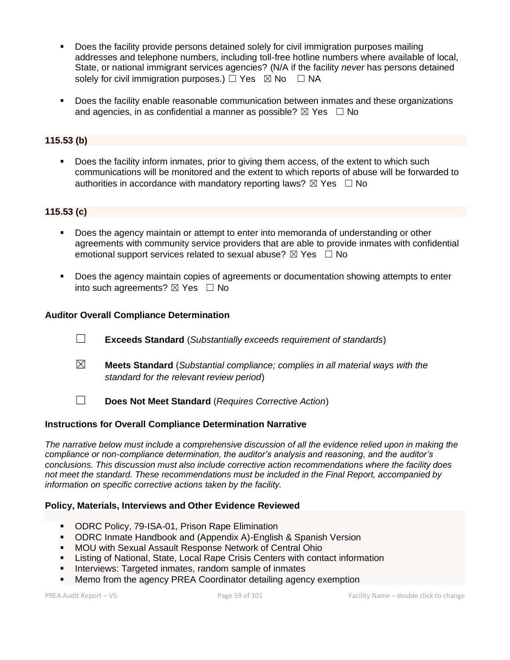- **•** Does the facility provide persons detained solely for civil immigration purposes mailing addresses and telephone numbers, including toll-free hotline numbers where available of local, State, or national immigrant services agencies? (N/A if the facility *never* has persons detained solely for civil immigration purposes.)  $\Box$  Yes  $\boxtimes$  No  $\Box$  NA
- **•** Does the facility enable reasonable communication between inmates and these organizations and agencies, in as confidential a manner as possible?  $\boxtimes$  Yes  $\Box$  No

#### **115.53 (b)**

▪ Does the facility inform inmates, prior to giving them access, of the extent to which such communications will be monitored and the extent to which reports of abuse will be forwarded to authorities in accordance with mandatory reporting laws?  $\boxtimes$  Yes  $\Box$  No

## **115.53 (c)**

- Does the agency maintain or attempt to enter into memoranda of understanding or other agreements with community service providers that are able to provide inmates with confidential emotional support services related to sexual abuse?  $\boxtimes$  Yes  $\Box$  No
- Does the agency maintain copies of agreements or documentation showing attempts to enter into such agreements?  $\boxtimes$  Yes  $\Box$  No

#### **Auditor Overall Compliance Determination**

- ☐ **Exceeds Standard** (*Substantially exceeds requirement of standards*)
- ☒ **Meets Standard** (*Substantial compliance; complies in all material ways with the standard for the relevant review period*)
- ☐ **Does Not Meet Standard** (*Requires Corrective Action*)

#### **Instructions for Overall Compliance Determination Narrative**

*The narrative below must include a comprehensive discussion of all the evidence relied upon in making the compliance or non-compliance determination, the auditor's analysis and reasoning, and the auditor's conclusions. This discussion must also include corrective action recommendations where the facility does not meet the standard. These recommendations must be included in the Final Report, accompanied by information on specific corrective actions taken by the facility.*

#### **Policy, Materials, Interviews and Other Evidence Reviewed**

- **ODRC Policy, 79-ISA-01, Prison Rape Elimination**
- ODRC Inmate Handbook and (Appendix A)-English & Spanish Version
- MOU with Sexual Assault Response Network of Central Ohio
- **EXECT** Listing of National, State, Local Rape Crisis Centers with contact information
- **EXEDENT** Interviews: Targeted inmates, random sample of inmates
- Memo from the agency PREA Coordinator detailing agency exemption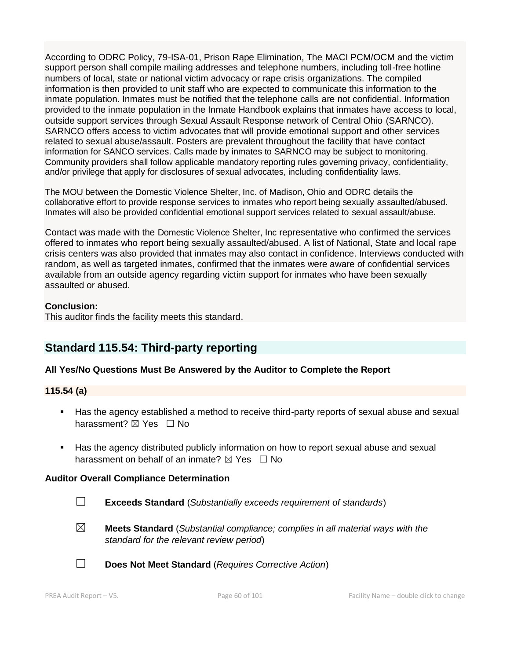According to ODRC Policy, 79-ISA-01, Prison Rape Elimination, The MACI PCM/OCM and the victim support person shall compile mailing addresses and telephone numbers, including toll-free hotline numbers of local, state or national victim advocacy or rape crisis organizations. The compiled information is then provided to unit staff who are expected to communicate this information to the inmate population. Inmates must be notified that the telephone calls are not confidential. Information provided to the inmate population in the Inmate Handbook explains that inmates have access to local, outside support services through Sexual Assault Response network of Central Ohio (SARNCO). SARNCO offers access to victim advocates that will provide emotional support and other services related to sexual abuse/assault. Posters are prevalent throughout the facility that have contact information for SANCO services. Calls made by inmates to SARNCO may be subject to monitoring. Community providers shall follow applicable mandatory reporting rules governing privacy, confidentiality, and/or privilege that apply for disclosures of sexual advocates, including confidentiality laws.

The MOU between the Domestic Violence Shelter, Inc. of Madison, Ohio and ODRC details the collaborative effort to provide response services to inmates who report being sexually assaulted/abused. Inmates will also be provided confidential emotional support services related to sexual assault/abuse.

Contact was made with the Domestic Violence Shelter, Inc representative who confirmed the services offered to inmates who report being sexually assaulted/abused. A list of National, State and local rape crisis centers was also provided that inmates may also contact in confidence. Interviews conducted with random, as well as targeted inmates, confirmed that the inmates were aware of confidential services available from an outside agency regarding victim support for inmates who have been sexually assaulted or abused.

#### **Conclusion:**

This auditor finds the facility meets this standard.

# **Standard 115.54: Third-party reporting**

#### **All Yes/No Questions Must Be Answered by the Auditor to Complete the Report**

#### **115.54 (a)**

- Has the agency established a method to receive third-party reports of sexual abuse and sexual harassment? **⊠** Yes □ No
- Has the agency distributed publicly information on how to report sexual abuse and sexual harassment on behalf of an inmate?  $\boxtimes$  Yes  $\Box$  No

#### **Auditor Overall Compliance Determination**

- 
- ☐ **Exceeds Standard** (*Substantially exceeds requirement of standards*)
- ☒ **Meets Standard** (*Substantial compliance; complies in all material ways with the standard for the relevant review period*)



☐ **Does Not Meet Standard** (*Requires Corrective Action*)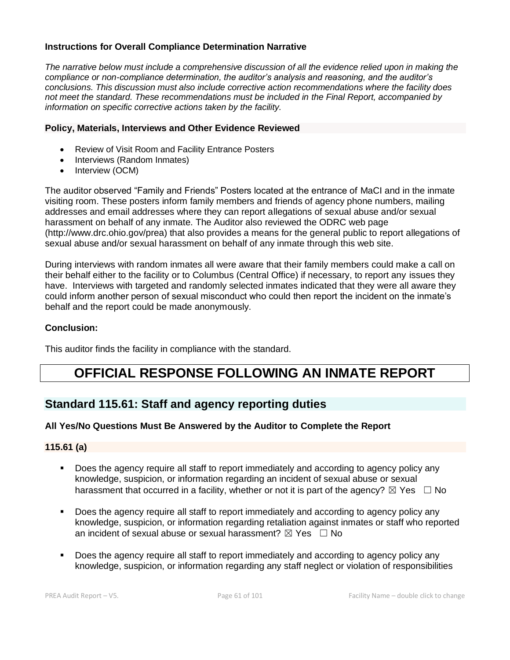#### **Instructions for Overall Compliance Determination Narrative**

*The narrative below must include a comprehensive discussion of all the evidence relied upon in making the compliance or non-compliance determination, the auditor's analysis and reasoning, and the auditor's conclusions. This discussion must also include corrective action recommendations where the facility does not meet the standard. These recommendations must be included in the Final Report, accompanied by information on specific corrective actions taken by the facility.*

#### **Policy, Materials, Interviews and Other Evidence Reviewed**

- Review of Visit Room and Facility Entrance Posters
- Interviews (Random Inmates)
- Interview (OCM)

The auditor observed "Family and Friends" Posters located at the entrance of MaCI and in the inmate visiting room. These posters inform family members and friends of agency phone numbers, mailing addresses and email addresses where they can report allegations of sexual abuse and/or sexual harassment on behalf of any inmate. The Auditor also reviewed the ODRC web page (http://www.drc.ohio.gov/prea) that also provides a means for the general public to report allegations of sexual abuse and/or sexual harassment on behalf of any inmate through this web site.

During interviews with random inmates all were aware that their family members could make a call on their behalf either to the facility or to Columbus (Central Office) if necessary, to report any issues they have. Interviews with targeted and randomly selected inmates indicated that they were all aware they could inform another person of sexual misconduct who could then report the incident on the inmate's behalf and the report could be made anonymously.

#### **Conclusion:**

This auditor finds the facility in compliance with the standard.

# **OFFICIAL RESPONSE FOLLOWING AN INMATE REPORT**

# **Standard 115.61: Staff and agency reporting duties**

#### **All Yes/No Questions Must Be Answered by the Auditor to Complete the Report**

#### **115.61 (a)**

- Does the agency require all staff to report immediately and according to agency policy any knowledge, suspicion, or information regarding an incident of sexual abuse or sexual harassment that occurred in a facility, whether or not it is part of the agency?  $\boxtimes$  Yes  $\Box$  No
- Does the agency require all staff to report immediately and according to agency policy any knowledge, suspicion, or information regarding retaliation against inmates or staff who reported an incident of sexual abuse or sexual harassment?  $\boxtimes$  Yes  $\Box$  No
- Does the agency require all staff to report immediately and according to agency policy any knowledge, suspicion, or information regarding any staff neglect or violation of responsibilities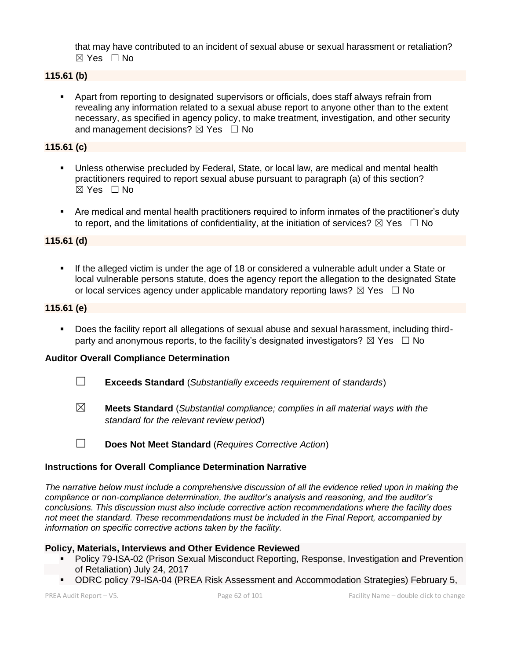that may have contributed to an incident of sexual abuse or sexual harassment or retaliation?  $\boxtimes$  Yes  $\Box$  No

# **115.61 (b)**

Apart from reporting to designated supervisors or officials, does staff always refrain from revealing any information related to a sexual abuse report to anyone other than to the extent necessary, as specified in agency policy, to make treatment, investigation, and other security and management decisions?  $\boxtimes$  Yes  $\Box$  No

#### **115.61 (c)**

- Unless otherwise precluded by Federal, State, or local law, are medical and mental health practitioners required to report sexual abuse pursuant to paragraph (a) of this section?  $\boxtimes$  Yes  $\Box$  No
- Are medical and mental health practitioners required to inform inmates of the practitioner's duty to report, and the limitations of confidentiality, at the initiation of services?  $\boxtimes$  Yes  $\Box$  No

## **115.61 (d)**

■ If the alleged victim is under the age of 18 or considered a vulnerable adult under a State or local vulnerable persons statute, does the agency report the allegation to the designated State or local services agency under applicable mandatory reporting laws?  $\boxtimes$  Yes  $\Box$  No

## **115.61 (e)**

Does the facility report all allegations of sexual abuse and sexual harassment, including thirdparty and anonymous reports, to the facility's designated investigators?  $\boxtimes$  Yes  $\Box$  No

# **Auditor Overall Compliance Determination**

- ☐ **Exceeds Standard** (*Substantially exceeds requirement of standards*)
- ☒ **Meets Standard** (*Substantial compliance; complies in all material ways with the standard for the relevant review period*)
- ☐ **Does Not Meet Standard** (*Requires Corrective Action*)

#### **Instructions for Overall Compliance Determination Narrative**

*The narrative below must include a comprehensive discussion of all the evidence relied upon in making the compliance or non-compliance determination, the auditor's analysis and reasoning, and the auditor's conclusions. This discussion must also include corrective action recommendations where the facility does not meet the standard. These recommendations must be included in the Final Report, accompanied by information on specific corrective actions taken by the facility.*

#### **Policy, Materials, Interviews and Other Evidence Reviewed**

- Policy 79-ISA-02 (Prison Sexual Misconduct Reporting, Response, Investigation and Prevention of Retaliation) July 24, 2017
- ODRC policy 79-ISA-04 (PREA Risk Assessment and Accommodation Strategies) February 5,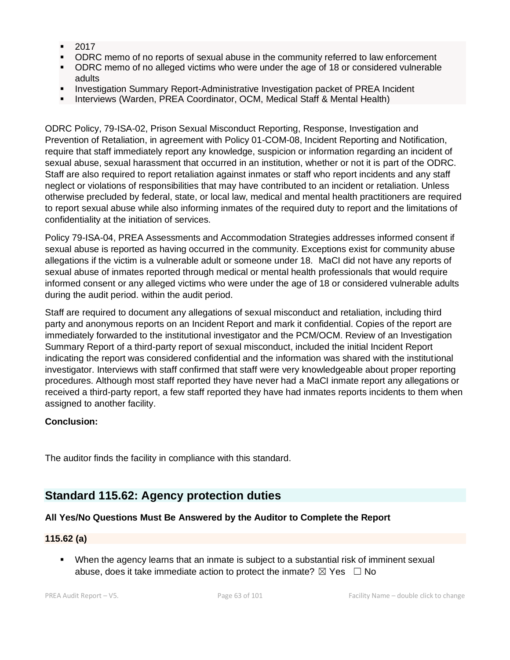- 2017
- ODRC memo of no reports of sexual abuse in the community referred to law enforcement
- ODRC memo of no alleged victims who were under the age of 18 or considered vulnerable adults
- Investigation Summary Report-Administrative Investigation packet of PREA Incident
- **E** Interviews (Warden, PREA Coordinator, OCM, Medical Staff & Mental Health)

ODRC Policy, 79-ISA-02, Prison Sexual Misconduct Reporting, Response, Investigation and Prevention of Retaliation, in agreement with Policy 01-COM-08, Incident Reporting and Notification, require that staff immediately report any knowledge, suspicion or information regarding an incident of sexual abuse, sexual harassment that occurred in an institution, whether or not it is part of the ODRC. Staff are also required to report retaliation against inmates or staff who report incidents and any staff neglect or violations of responsibilities that may have contributed to an incident or retaliation. Unless otherwise precluded by federal, state, or local law, medical and mental health practitioners are required to report sexual abuse while also informing inmates of the required duty to report and the limitations of confidentiality at the initiation of services.

Policy 79-ISA-04, PREA Assessments and Accommodation Strategies addresses informed consent if sexual abuse is reported as having occurred in the community. Exceptions exist for community abuse allegations if the victim is a vulnerable adult or someone under 18. MaCI did not have any reports of sexual abuse of inmates reported through medical or mental health professionals that would require informed consent or any alleged victims who were under the age of 18 or considered vulnerable adults during the audit period. within the audit period.

Staff are required to document any allegations of sexual misconduct and retaliation, including third party and anonymous reports on an Incident Report and mark it confidential. Copies of the report are immediately forwarded to the institutional investigator and the PCM/OCM. Review of an Investigation Summary Report of a third-party report of sexual misconduct, included the initial Incident Report indicating the report was considered confidential and the information was shared with the institutional investigator. Interviews with staff confirmed that staff were very knowledgeable about proper reporting procedures. Although most staff reported they have never had a MaCI inmate report any allegations or received a third-party report, a few staff reported they have had inmates reports incidents to them when assigned to another facility.

# **Conclusion:**

The auditor finds the facility in compliance with this standard.

# **Standard 115.62: Agency protection duties**

#### **All Yes/No Questions Must Be Answered by the Auditor to Complete the Report**

#### **115.62 (a)**

▪ When the agency learns that an inmate is subject to a substantial risk of imminent sexual abuse, does it take immediate action to protect the inmate?  $\boxtimes$  Yes  $\Box$  No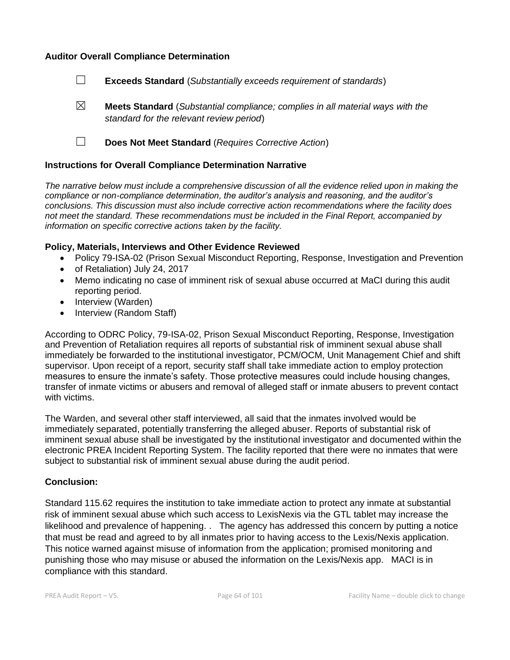#### **Auditor Overall Compliance Determination**

- ☐ **Exceeds Standard** (*Substantially exceeds requirement of standards*)
- ☒ **Meets Standard** (*Substantial compliance; complies in all material ways with the standard for the relevant review period*)
- ☐ **Does Not Meet Standard** (*Requires Corrective Action*)

#### **Instructions for Overall Compliance Determination Narrative**

*The narrative below must include a comprehensive discussion of all the evidence relied upon in making the compliance or non-compliance determination, the auditor's analysis and reasoning, and the auditor's conclusions. This discussion must also include corrective action recommendations where the facility does not meet the standard. These recommendations must be included in the Final Report, accompanied by information on specific corrective actions taken by the facility.*

#### **Policy, Materials, Interviews and Other Evidence Reviewed**

- Policy 79-ISA-02 (Prison Sexual Misconduct Reporting, Response, Investigation and Prevention
- of Retaliation) July 24, 2017
- Memo indicating no case of imminent risk of sexual abuse occurred at MaCI during this audit reporting period.
- Interview (Warden)
- Interview (Random Staff)

According to ODRC Policy, 79-ISA-02, Prison Sexual Misconduct Reporting, Response, Investigation and Prevention of Retaliation requires all reports of substantial risk of imminent sexual abuse shall immediately be forwarded to the institutional investigator, PCM/OCM, Unit Management Chief and shift supervisor. Upon receipt of a report, security staff shall take immediate action to employ protection measures to ensure the inmate's safety. Those protective measures could include housing changes, transfer of inmate victims or abusers and removal of alleged staff or inmate abusers to prevent contact with victims.

The Warden, and several other staff interviewed, all said that the inmates involved would be immediately separated, potentially transferring the alleged abuser. Reports of substantial risk of imminent sexual abuse shall be investigated by the institutional investigator and documented within the electronic PREA Incident Reporting System. The facility reported that there were no inmates that were subject to substantial risk of imminent sexual abuse during the audit period.

#### **Conclusion:**

Standard 115.62 requires the institution to take immediate action to protect any inmate at substantial risk of imminent sexual abuse which such access to LexisNexis via the GTL tablet may increase the likelihood and prevalence of happening. . The agency has addressed this concern by putting a notice that must be read and agreed to by all inmates prior to having access to the Lexis/Nexis application. This notice warned against misuse of information from the application; promised monitoring and punishing those who may misuse or abused the information on the Lexis/Nexis app. MACI is in compliance with this standard.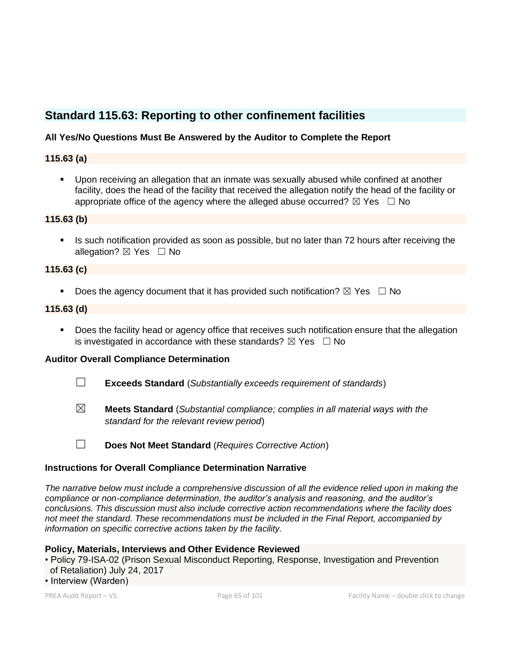# **Standard 115.63: Reporting to other confinement facilities**

## **All Yes/No Questions Must Be Answered by the Auditor to Complete the Report**

#### **115.63 (a)**

▪ Upon receiving an allegation that an inmate was sexually abused while confined at another facility, does the head of the facility that received the allegation notify the head of the facility or appropriate office of the agency where the alleged abuse occurred?  $\boxtimes$  Yes  $\Box$  No

#### **115.63 (b)**

**EXECT** Is such notification provided as soon as possible, but no later than 72 hours after receiving the allegation?  $\boxtimes$  Yes  $\Box$  No

#### **115.63 (c)**

**•** Does the agency document that it has provided such notification?  $\boxtimes$  Yes  $\Box$  No

## **115.63 (d)**

■ Does the facility head or agency office that receives such notification ensure that the allegation is investigated in accordance with these standards?  $\boxtimes$  Yes  $\Box$  No

#### **Auditor Overall Compliance Determination**

- ☐ **Exceeds Standard** (*Substantially exceeds requirement of standards*)
- ☒ **Meets Standard** (*Substantial compliance; complies in all material ways with the standard for the relevant review period*)
- ☐ **Does Not Meet Standard** (*Requires Corrective Action*)

#### **Instructions for Overall Compliance Determination Narrative**

*The narrative below must include a comprehensive discussion of all the evidence relied upon in making the compliance or non-compliance determination, the auditor's analysis and reasoning, and the auditor's conclusions. This discussion must also include corrective action recommendations where the facility does not meet the standard. These recommendations must be included in the Final Report, accompanied by information on specific corrective actions taken by the facility.*

#### **Policy, Materials, Interviews and Other Evidence Reviewed**

• Policy 79-ISA-02 (Prison Sexual Misconduct Reporting, Response, Investigation and Prevention of Retaliation) July 24, 2017

• Interview (Warden)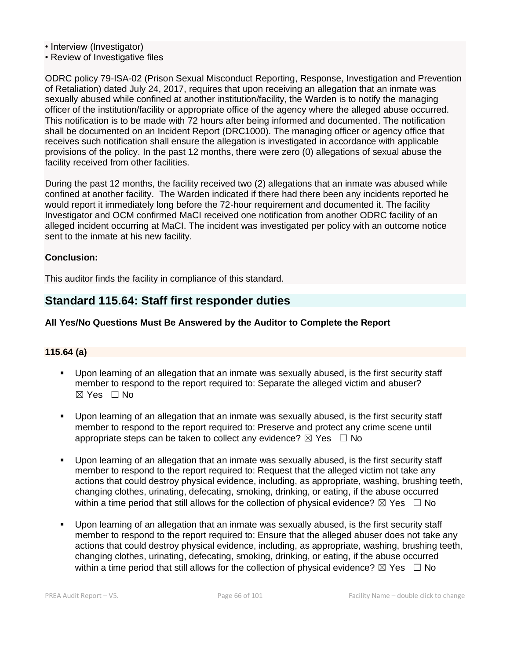• Interview (Investigator)

• Review of Investigative files

ODRC policy 79-ISA-02 (Prison Sexual Misconduct Reporting, Response, Investigation and Prevention of Retaliation) dated July 24, 2017, requires that upon receiving an allegation that an inmate was sexually abused while confined at another institution/facility, the Warden is to notify the managing officer of the institution/facility or appropriate office of the agency where the alleged abuse occurred. This notification is to be made with 72 hours after being informed and documented. The notification shall be documented on an Incident Report (DRC1000). The managing officer or agency office that receives such notification shall ensure the allegation is investigated in accordance with applicable provisions of the policy. In the past 12 months, there were zero (0) allegations of sexual abuse the facility received from other facilities.

During the past 12 months, the facility received two (2) allegations that an inmate was abused while confined at another facility. The Warden indicated if there had there been any incidents reported he would report it immediately long before the 72-hour requirement and documented it. The facility Investigator and OCM confirmed MaCI received one notification from another ODRC facility of an alleged incident occurring at MaCI. The incident was investigated per policy with an outcome notice sent to the inmate at his new facility.

#### **Conclusion:**

This auditor finds the facility in compliance of this standard.

# **Standard 115.64: Staff first responder duties**

#### **All Yes/No Questions Must Be Answered by the Auditor to Complete the Report**

#### **115.64 (a)**

- Upon learning of an allegation that an inmate was sexually abused, is the first security staff member to respond to the report required to: Separate the alleged victim and abuser? ☒ Yes ☐ No
- Upon learning of an allegation that an inmate was sexually abused, is the first security staff member to respond to the report required to: Preserve and protect any crime scene until appropriate steps can be taken to collect any evidence?  $\boxtimes$  Yes  $\Box$  No
- Upon learning of an allegation that an inmate was sexually abused, is the first security staff member to respond to the report required to: Request that the alleged victim not take any actions that could destroy physical evidence, including, as appropriate, washing, brushing teeth, changing clothes, urinating, defecating, smoking, drinking, or eating, if the abuse occurred within a time period that still allows for the collection of physical evidence?  $\boxtimes$  Yes  $\Box$  No
- Upon learning of an allegation that an inmate was sexually abused, is the first security staff member to respond to the report required to: Ensure that the alleged abuser does not take any actions that could destroy physical evidence, including, as appropriate, washing, brushing teeth, changing clothes, urinating, defecating, smoking, drinking, or eating, if the abuse occurred within a time period that still allows for the collection of physical evidence?  $\boxtimes$  Yes  $\Box$  No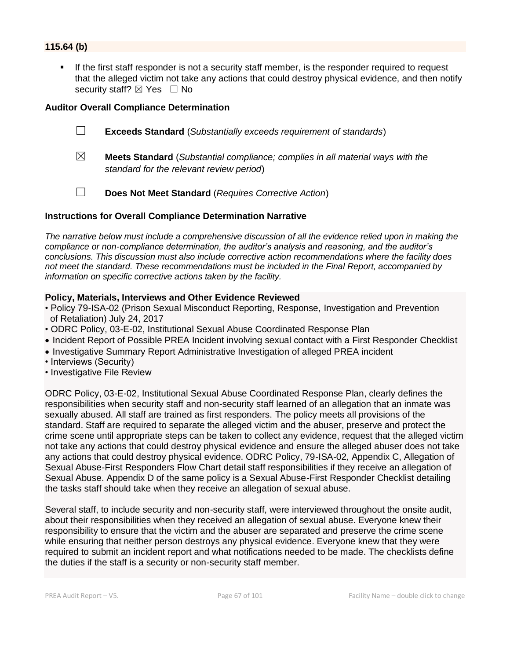## **115.64 (b)**

If the first staff responder is not a security staff member, is the responder required to request that the alleged victim not take any actions that could destroy physical evidence, and then notify security staff?  $\boxtimes$  Yes  $\Box$  No

#### **Auditor Overall Compliance Determination**



- ☒ **Meets Standard** (*Substantial compliance; complies in all material ways with the standard for the relevant review period*)
- ☐ **Does Not Meet Standard** (*Requires Corrective Action*)

#### **Instructions for Overall Compliance Determination Narrative**

*The narrative below must include a comprehensive discussion of all the evidence relied upon in making the compliance or non-compliance determination, the auditor's analysis and reasoning, and the auditor's conclusions. This discussion must also include corrective action recommendations where the facility does not meet the standard. These recommendations must be included in the Final Report, accompanied by information on specific corrective actions taken by the facility.*

#### **Policy, Materials, Interviews and Other Evidence Reviewed**

- Policy 79-ISA-02 (Prison Sexual Misconduct Reporting, Response, Investigation and Prevention of Retaliation) July 24, 2017
- ODRC Policy, 03-E-02, Institutional Sexual Abuse Coordinated Response Plan
- Incident Report of Possible PREA Incident involving sexual contact with a First Responder Checklist
- Investigative Summary Report Administrative Investigation of alleged PREA incident
- Interviews (Security)
- Investigative File Review

ODRC Policy, 03-E-02, Institutional Sexual Abuse Coordinated Response Plan, clearly defines the responsibilities when security staff and non-security staff learned of an allegation that an inmate was sexually abused. All staff are trained as first responders. The policy meets all provisions of the standard. Staff are required to separate the alleged victim and the abuser, preserve and protect the crime scene until appropriate steps can be taken to collect any evidence, request that the alleged victim not take any actions that could destroy physical evidence and ensure the alleged abuser does not take any actions that could destroy physical evidence. ODRC Policy, 79-ISA-02, Appendix C, Allegation of Sexual Abuse-First Responders Flow Chart detail staff responsibilities if they receive an allegation of Sexual Abuse. Appendix D of the same policy is a Sexual Abuse-First Responder Checklist detailing the tasks staff should take when they receive an allegation of sexual abuse.

Several staff, to include security and non-security staff, were interviewed throughout the onsite audit, about their responsibilities when they received an allegation of sexual abuse. Everyone knew their responsibility to ensure that the victim and the abuser are separated and preserve the crime scene while ensuring that neither person destroys any physical evidence. Everyone knew that they were required to submit an incident report and what notifications needed to be made. The checklists define the duties if the staff is a security or non-security staff member.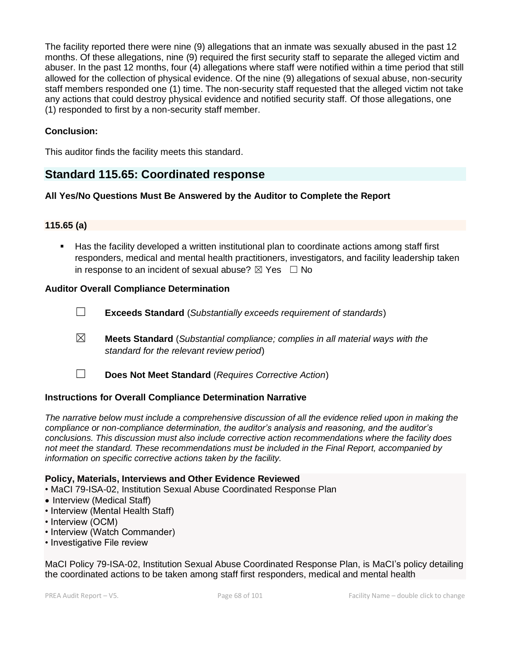The facility reported there were nine (9) allegations that an inmate was sexually abused in the past 12 months. Of these allegations, nine (9) required the first security staff to separate the alleged victim and abuser. In the past 12 months, four (4) allegations where staff were notified within a time period that still allowed for the collection of physical evidence. Of the nine (9) allegations of sexual abuse, non-security staff members responded one (1) time. The non-security staff requested that the alleged victim not take any actions that could destroy physical evidence and notified security staff. Of those allegations, one (1) responded to first by a non-security staff member.

## **Conclusion:**

This auditor finds the facility meets this standard.

# **Standard 115.65: Coordinated response**

#### **All Yes/No Questions Must Be Answered by the Auditor to Complete the Report**

#### **115.65 (a)**

▪ Has the facility developed a written institutional plan to coordinate actions among staff first responders, medical and mental health practitioners, investigators, and facility leadership taken in response to an incident of sexual abuse?  $\boxtimes$  Yes  $\Box$  No

#### **Auditor Overall Compliance Determination**

- ☐ **Exceeds Standard** (*Substantially exceeds requirement of standards*)
- ☒ **Meets Standard** (*Substantial compliance; complies in all material ways with the standard for the relevant review period*)
- ☐ **Does Not Meet Standard** (*Requires Corrective Action*)

#### **Instructions for Overall Compliance Determination Narrative**

*The narrative below must include a comprehensive discussion of all the evidence relied upon in making the compliance or non-compliance determination, the auditor's analysis and reasoning, and the auditor's conclusions. This discussion must also include corrective action recommendations where the facility does not meet the standard. These recommendations must be included in the Final Report, accompanied by information on specific corrective actions taken by the facility.*

#### **Policy, Materials, Interviews and Other Evidence Reviewed**

- MaCI 79-ISA-02, Institution Sexual Abuse Coordinated Response Plan
- Interview (Medical Staff)
- Interview (Mental Health Staff)
- Interview (OCM)
- Interview (Watch Commander)
- Investigative File review

MaCI Policy 79-ISA-02, Institution Sexual Abuse Coordinated Response Plan, is MaCI's policy detailing the coordinated actions to be taken among staff first responders, medical and mental health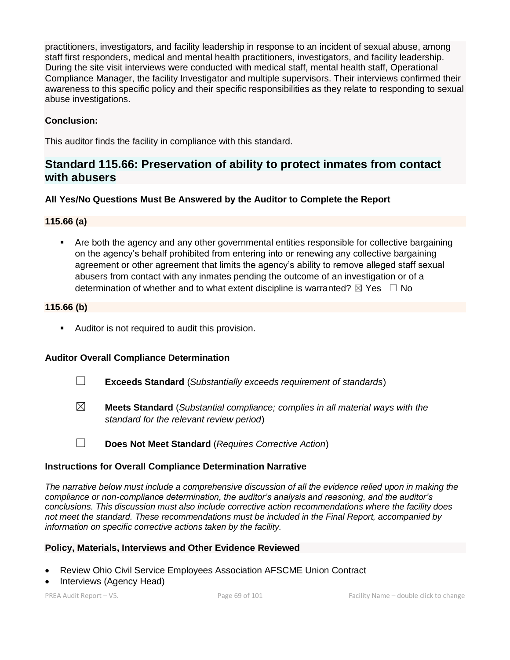practitioners, investigators, and facility leadership in response to an incident of sexual abuse, among staff first responders, medical and mental health practitioners, investigators, and facility leadership. During the site visit interviews were conducted with medical staff, mental health staff, Operational Compliance Manager, the facility Investigator and multiple supervisors. Their interviews confirmed their awareness to this specific policy and their specific responsibilities as they relate to responding to sexual abuse investigations.

## **Conclusion:**

This auditor finds the facility in compliance with this standard.

# **Standard 115.66: Preservation of ability to protect inmates from contact with abusers**

## **All Yes/No Questions Must Be Answered by the Auditor to Complete the Report**

## **115.66 (a)**

■ Are both the agency and any other governmental entities responsible for collective bargaining on the agency's behalf prohibited from entering into or renewing any collective bargaining agreement or other agreement that limits the agency's ability to remove alleged staff sexual abusers from contact with any inmates pending the outcome of an investigation or of a determination of whether and to what extent discipline is warranted?  $\boxtimes$  Yes  $\Box$  No

#### **115.66 (b)**

■ Auditor is not required to audit this provision.

# **Auditor Overall Compliance Determination**

- ☐ **Exceeds Standard** (*Substantially exceeds requirement of standards*)
- ☒ **Meets Standard** (*Substantial compliance; complies in all material ways with the standard for the relevant review period*)
- ☐ **Does Not Meet Standard** (*Requires Corrective Action*)

#### **Instructions for Overall Compliance Determination Narrative**

*The narrative below must include a comprehensive discussion of all the evidence relied upon in making the compliance or non-compliance determination, the auditor's analysis and reasoning, and the auditor's conclusions. This discussion must also include corrective action recommendations where the facility does not meet the standard. These recommendations must be included in the Final Report, accompanied by information on specific corrective actions taken by the facility.*

#### **Policy, Materials, Interviews and Other Evidence Reviewed**

- Review Ohio Civil Service Employees Association AFSCME Union Contract
- Interviews (Agency Head)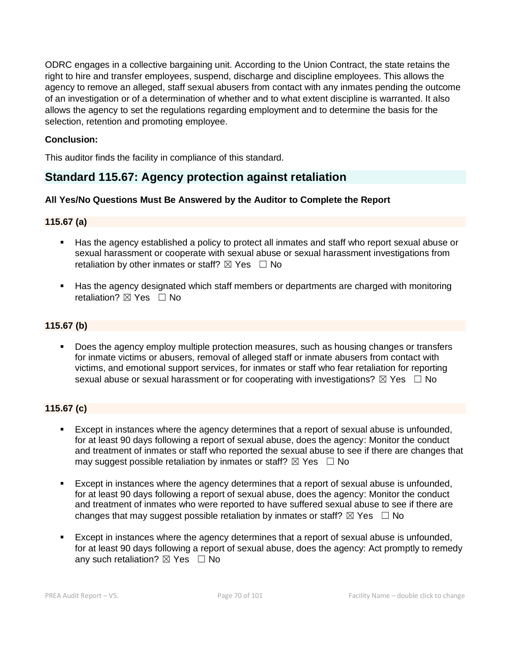ODRC engages in a collective bargaining unit. According to the Union Contract, the state retains the right to hire and transfer employees, suspend, discharge and discipline employees. This allows the agency to remove an alleged, staff sexual abusers from contact with any inmates pending the outcome of an investigation or of a determination of whether and to what extent discipline is warranted. It also allows the agency to set the regulations regarding employment and to determine the basis for the selection, retention and promoting employee.

## **Conclusion:**

This auditor finds the facility in compliance of this standard.

# **Standard 115.67: Agency protection against retaliation**

#### **All Yes/No Questions Must Be Answered by the Auditor to Complete the Report**

## **115.67 (a)**

- Has the agency established a policy to protect all inmates and staff who report sexual abuse or sexual harassment or cooperate with sexual abuse or sexual harassment investigations from retaliation by other inmates or staff?  $\boxtimes$  Yes  $\Box$  No
- Has the agency designated which staff members or departments are charged with monitoring retaliation?  $\nabla$  Yes  $\Box$  No

## **115.67 (b)**

■ Does the agency employ multiple protection measures, such as housing changes or transfers for inmate victims or abusers, removal of alleged staff or inmate abusers from contact with victims, and emotional support services, for inmates or staff who fear retaliation for reporting sexual abuse or sexual harassment or for cooperating with investigations?  $\boxtimes$  Yes  $\Box$  No

## **115.67 (c)**

- Except in instances where the agency determines that a report of sexual abuse is unfounded, for at least 90 days following a report of sexual abuse, does the agency: Monitor the conduct and treatment of inmates or staff who reported the sexual abuse to see if there are changes that may suggest possible retaliation by inmates or staff?  $\boxtimes$  Yes  $\Box$  No
- Except in instances where the agency determines that a report of sexual abuse is unfounded, for at least 90 days following a report of sexual abuse, does the agency: Monitor the conduct and treatment of inmates who were reported to have suffered sexual abuse to see if there are changes that may suggest possible retaliation by inmates or staff?  $\boxtimes$  Yes  $\Box$  No
- Except in instances where the agency determines that a report of sexual abuse is unfounded, for at least 90 days following a report of sexual abuse, does the agency: Act promptly to remedy any such retaliation?  $\boxtimes$  Yes  $\Box$  No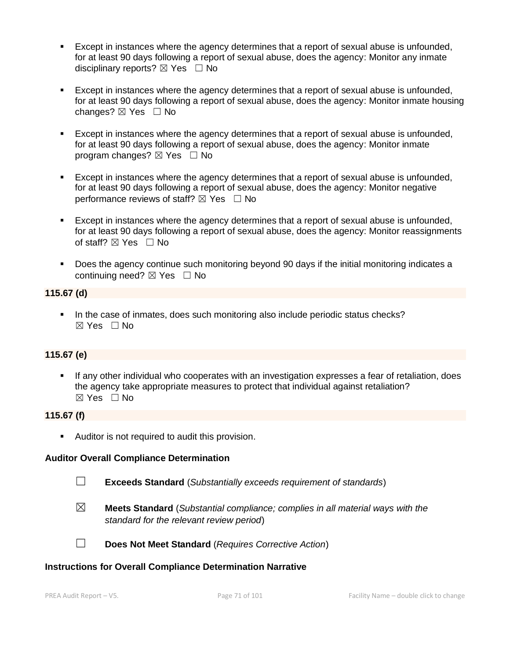- Except in instances where the agency determines that a report of sexual abuse is unfounded, for at least 90 days following a report of sexual abuse, does the agency: Monitor any inmate disciplinary reports?  $\boxtimes$  Yes  $\Box$  No
- Except in instances where the agency determines that a report of sexual abuse is unfounded, for at least 90 days following a report of sexual abuse, does the agency: Monitor inmate housing changes? ☒ Yes ☐ No
- Except in instances where the agency determines that a report of sexual abuse is unfounded, for at least 90 days following a report of sexual abuse, does the agency: Monitor inmate program changes?  $\boxtimes$  Yes  $\Box$  No
- Except in instances where the agency determines that a report of sexual abuse is unfounded, for at least 90 days following a report of sexual abuse, does the agency: Monitor negative performance reviews of staff?  $\boxtimes$  Yes  $\Box$  No
- Except in instances where the agency determines that a report of sexual abuse is unfounded, for at least 90 days following a report of sexual abuse, does the agency: Monitor reassignments of staff?  $\boxtimes$  Yes  $\Box$  No
- Does the agency continue such monitoring beyond 90 days if the initial monitoring indicates a continuing need?  $\boxtimes$  Yes  $\Box$  No

#### **115.67 (d)**

▪ In the case of inmates, does such monitoring also include periodic status checks? ☒ Yes ☐ No

#### **115.67 (e)**

If any other individual who cooperates with an investigation expresses a fear of retaliation, does the agency take appropriate measures to protect that individual against retaliation? ☒ Yes ☐ No

#### **115.67 (f)**

■ Auditor is not required to audit this provision.

#### **Auditor Overall Compliance Determination**

☐ **Exceeds Standard** (*Substantially exceeds requirement of standards*)

☒ **Meets Standard** (*Substantial compliance; complies in all material ways with the standard for the relevant review period*)



☐ **Does Not Meet Standard** (*Requires Corrective Action*)

#### **Instructions for Overall Compliance Determination Narrative**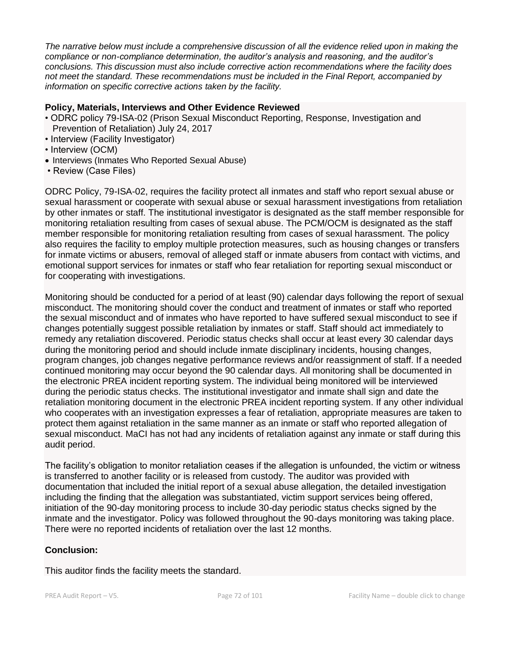*The narrative below must include a comprehensive discussion of all the evidence relied upon in making the compliance or non-compliance determination, the auditor's analysis and reasoning, and the auditor's conclusions. This discussion must also include corrective action recommendations where the facility does not meet the standard. These recommendations must be included in the Final Report, accompanied by information on specific corrective actions taken by the facility.*

#### **Policy, Materials, Interviews and Other Evidence Reviewed**

- ODRC policy 79-ISA-02 (Prison Sexual Misconduct Reporting, Response, Investigation and Prevention of Retaliation) July 24, 2017
- Interview (Facility Investigator)
- Interview (OCM)
- Interviews (Inmates Who Reported Sexual Abuse)
- Review (Case Files)

ODRC Policy, 79-ISA-02, requires the facility protect all inmates and staff who report sexual abuse or sexual harassment or cooperate with sexual abuse or sexual harassment investigations from retaliation by other inmates or staff. The institutional investigator is designated as the staff member responsible for monitoring retaliation resulting from cases of sexual abuse. The PCM/OCM is designated as the staff member responsible for monitoring retaliation resulting from cases of sexual harassment. The policy also requires the facility to employ multiple protection measures, such as housing changes or transfers for inmate victims or abusers, removal of alleged staff or inmate abusers from contact with victims, and emotional support services for inmates or staff who fear retaliation for reporting sexual misconduct or for cooperating with investigations.

Monitoring should be conducted for a period of at least (90) calendar days following the report of sexual misconduct. The monitoring should cover the conduct and treatment of inmates or staff who reported the sexual misconduct and of inmates who have reported to have suffered sexual misconduct to see if changes potentially suggest possible retaliation by inmates or staff. Staff should act immediately to remedy any retaliation discovered. Periodic status checks shall occur at least every 30 calendar days during the monitoring period and should include inmate disciplinary incidents, housing changes, program changes, job changes negative performance reviews and/or reassignment of staff. If a needed continued monitoring may occur beyond the 90 calendar days. All monitoring shall be documented in the electronic PREA incident reporting system. The individual being monitored will be interviewed during the periodic status checks. The institutional investigator and inmate shall sign and date the retaliation monitoring document in the electronic PREA incident reporting system. If any other individual who cooperates with an investigation expresses a fear of retaliation, appropriate measures are taken to protect them against retaliation in the same manner as an inmate or staff who reported allegation of sexual misconduct. MaCI has not had any incidents of retaliation against any inmate or staff during this audit period.

The facility's obligation to monitor retaliation ceases if the allegation is unfounded, the victim or witness is transferred to another facility or is released from custody. The auditor was provided with documentation that included the initial report of a sexual abuse allegation, the detailed investigation including the finding that the allegation was substantiated, victim support services being offered, initiation of the 90-day monitoring process to include 30-day periodic status checks signed by the inmate and the investigator. Policy was followed throughout the 90-days monitoring was taking place. There were no reported incidents of retaliation over the last 12 months.

#### **Conclusion:**

This auditor finds the facility meets the standard.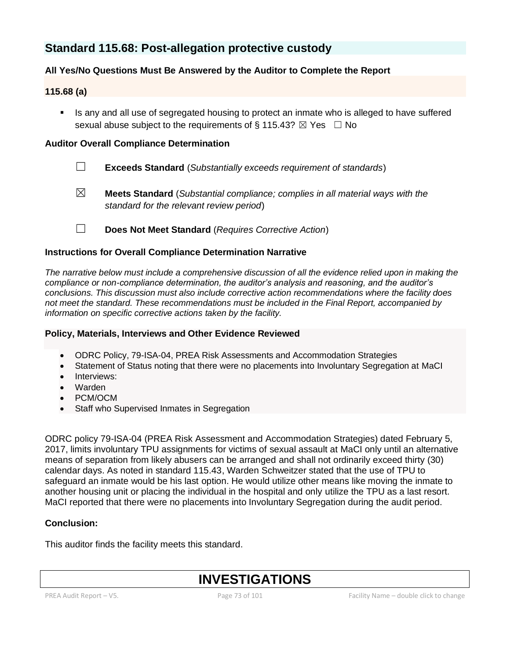# **Standard 115.68: Post-allegation protective custody**

## **All Yes/No Questions Must Be Answered by the Auditor to Complete the Report**

## **115.68 (a)**

Is any and all use of segregated housing to protect an inmate who is alleged to have suffered sexual abuse subject to the requirements of  $\S 115.43$ ?  $\boxtimes$  Yes  $\Box$  No

### **Auditor Overall Compliance Determination**

- ☐ **Exceeds Standard** (*Substantially exceeds requirement of standards*)
- ☒ **Meets Standard** (*Substantial compliance; complies in all material ways with the standard for the relevant review period*)
- ☐ **Does Not Meet Standard** (*Requires Corrective Action*)

## **Instructions for Overall Compliance Determination Narrative**

*The narrative below must include a comprehensive discussion of all the evidence relied upon in making the compliance or non-compliance determination, the auditor's analysis and reasoning, and the auditor's conclusions. This discussion must also include corrective action recommendations where the facility does not meet the standard. These recommendations must be included in the Final Report, accompanied by information on specific corrective actions taken by the facility.*

#### **Policy, Materials, Interviews and Other Evidence Reviewed**

- ODRC Policy, 79-ISA-04, PREA Risk Assessments and Accommodation Strategies
- Statement of Status noting that there were no placements into Involuntary Segregation at MaCI
- Interviews:
- Warden
- PCM/OCM
- Staff who Supervised Inmates in Segregation

ODRC policy 79-ISA-04 (PREA Risk Assessment and Accommodation Strategies) dated February 5, 2017, limits involuntary TPU assignments for victims of sexual assault at MaCI only until an alternative means of separation from likely abusers can be arranged and shall not ordinarily exceed thirty (30) calendar days. As noted in standard 115.43, Warden Schweitzer stated that the use of TPU to safeguard an inmate would be his last option. He would utilize other means like moving the inmate to another housing unit or placing the individual in the hospital and only utilize the TPU as a last resort. MaCI reported that there were no placements into Involuntary Segregation during the audit period.

## **Conclusion:**

This auditor finds the facility meets this standard.

# **INVESTIGATIONS**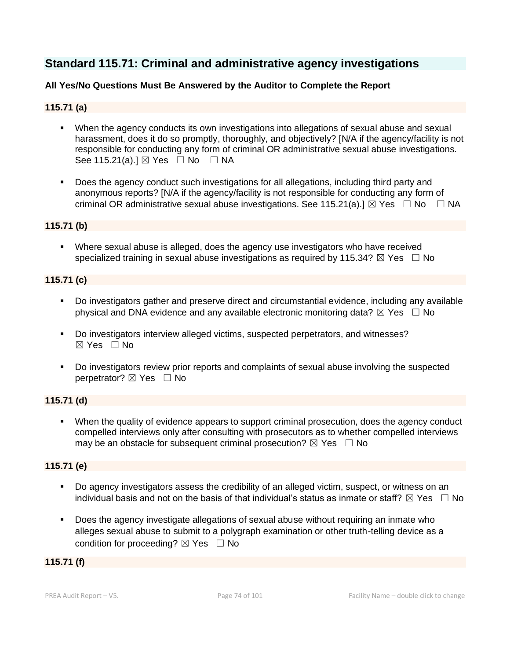# **Standard 115.71: Criminal and administrative agency investigations**

## **All Yes/No Questions Must Be Answered by the Auditor to Complete the Report**

## **115.71 (a)**

- When the agency conducts its own investigations into allegations of sexual abuse and sexual harassment, does it do so promptly, thoroughly, and objectively? [N/A if the agency/facility is not responsible for conducting any form of criminal OR administrative sexual abuse investigations. See 115.21(a).]  $\boxtimes$  Yes  $\Box$  No  $\Box$  NA
- Does the agency conduct such investigations for all allegations, including third party and anonymous reports? [N/A if the agency/facility is not responsible for conducting any form of criminal OR administrative sexual abuse investigations. See 115.21(a).]  $\boxtimes$  Yes  $\Box$  No  $\Box$  NA

#### **115.71 (b)**

**EXECT** Where sexual abuse is alleged, does the agency use investigators who have received specialized training in sexual abuse investigations as required by 115.34?  $\boxtimes$  Yes  $\Box$  No

#### **115.71 (c)**

- Do investigators gather and preserve direct and circumstantial evidence, including any available physical and DNA evidence and any available electronic monitoring data?  $\boxtimes$  Yes  $\Box$  No
- Do investigators interview alleged victims, suspected perpetrators, and witnesses? ☒ Yes ☐ No
- Do investigators review prior reports and complaints of sexual abuse involving the suspected perpetrator? ⊠ Yes □ No

#### **115.71 (d)**

■ When the quality of evidence appears to support criminal prosecution, does the agency conduct compelled interviews only after consulting with prosecutors as to whether compelled interviews may be an obstacle for subsequent criminal prosecution?  $\boxtimes$  Yes  $\Box$  No

## **115.71 (e)**

- Do agency investigators assess the credibility of an alleged victim, suspect, or witness on an individual basis and not on the basis of that individual's status as inmate or staff?  $\boxtimes$  Yes  $\Box$  No
- Does the agency investigate allegations of sexual abuse without requiring an inmate who alleges sexual abuse to submit to a polygraph examination or other truth-telling device as a condition for proceeding?  $\boxtimes$  Yes  $\Box$  No

#### **115.71 (f)**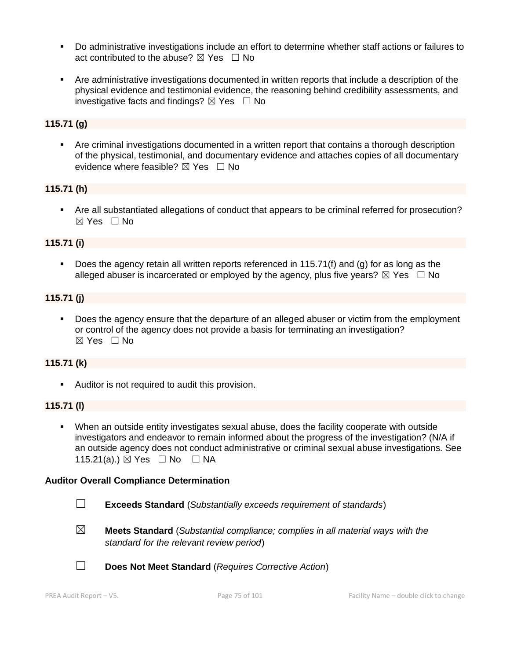- Do administrative investigations include an effort to determine whether staff actions or failures to act contributed to the abuse?  $\boxtimes$  Yes  $\Box$  No
- Are administrative investigations documented in written reports that include a description of the physical evidence and testimonial evidence, the reasoning behind credibility assessments, and investigative facts and findings?  $\boxtimes$  Yes  $\Box$  No

## **115.71 (g)**

■ Are criminal investigations documented in a written report that contains a thorough description of the physical, testimonial, and documentary evidence and attaches copies of all documentary evidence where feasible?  $\boxtimes$  Yes  $\Box$  No

#### **115.71 (h)**

■ Are all substantiated allegations of conduct that appears to be criminal referred for prosecution? ☒ Yes ☐ No

#### **115.71 (i)**

Does the agency retain all written reports referenced in 115.71(f) and (g) for as long as the alleged abuser is incarcerated or employed by the agency, plus five years?  $\boxtimes$  Yes  $\Box$  No

#### **115.71 (j)**

▪ Does the agency ensure that the departure of an alleged abuser or victim from the employment or control of the agency does not provide a basis for terminating an investigation? ☒ Yes ☐ No

#### **115.71 (k)**

■ Auditor is not required to audit this provision.

#### **115.71 (l)**

▪ When an outside entity investigates sexual abuse, does the facility cooperate with outside investigators and endeavor to remain informed about the progress of the investigation? (N/A if an outside agency does not conduct administrative or criminal sexual abuse investigations. See 115.21(a).) ⊠ Yes □ No □ NA

#### **Auditor Overall Compliance Determination**

- ☐ **Exceeds Standard** (*Substantially exceeds requirement of standards*)
- ☒ **Meets Standard** (*Substantial compliance; complies in all material ways with the standard for the relevant review period*)
- ☐ **Does Not Meet Standard** (*Requires Corrective Action*)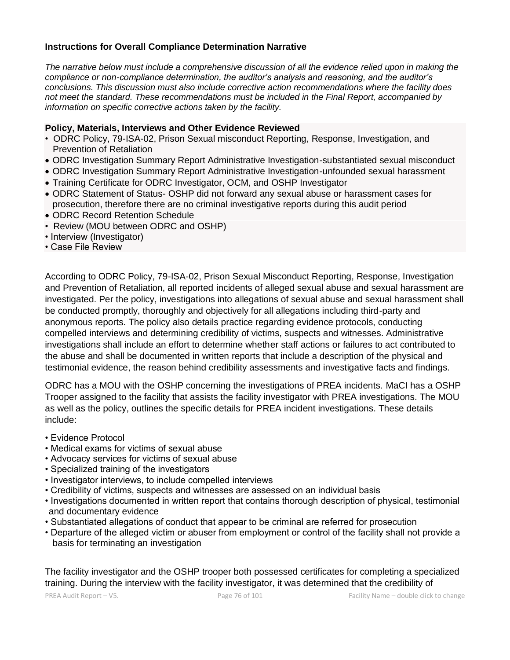#### **Instructions for Overall Compliance Determination Narrative**

*The narrative below must include a comprehensive discussion of all the evidence relied upon in making the compliance or non-compliance determination, the auditor's analysis and reasoning, and the auditor's conclusions. This discussion must also include corrective action recommendations where the facility does not meet the standard. These recommendations must be included in the Final Report, accompanied by information on specific corrective actions taken by the facility.*

#### **Policy, Materials, Interviews and Other Evidence Reviewed**

- ODRC Policy, 79-ISA-02, Prison Sexual misconduct Reporting, Response, Investigation, and Prevention of Retaliation
- ODRC Investigation Summary Report Administrative Investigation-substantiated sexual misconduct
- ODRC Investigation Summary Report Administrative Investigation-unfounded sexual harassment
- Training Certificate for ODRC Investigator, OCM, and OSHP Investigator
- ODRC Statement of Status- OSHP did not forward any sexual abuse or harassment cases for prosecution, therefore there are no criminal investigative reports during this audit period
- ODRC Record Retention Schedule
- Review (MOU between ODRC and OSHP)
- Interview (Investigator)
- Case File Review

According to ODRC Policy, 79-ISA-02, Prison Sexual Misconduct Reporting, Response, Investigation and Prevention of Retaliation, all reported incidents of alleged sexual abuse and sexual harassment are investigated. Per the policy, investigations into allegations of sexual abuse and sexual harassment shall be conducted promptly, thoroughly and objectively for all allegations including third-party and anonymous reports. The policy also details practice regarding evidence protocols, conducting compelled interviews and determining credibility of victims, suspects and witnesses. Administrative investigations shall include an effort to determine whether staff actions or failures to act contributed to the abuse and shall be documented in written reports that include a description of the physical and testimonial evidence, the reason behind credibility assessments and investigative facts and findings.

ODRC has a MOU with the OSHP concerning the investigations of PREA incidents. MaCI has a OSHP Trooper assigned to the facility that assists the facility investigator with PREA investigations. The MOU as well as the policy, outlines the specific details for PREA incident investigations. These details include:

- Evidence Protocol
- Medical exams for victims of sexual abuse
- Advocacy services for victims of sexual abuse
- Specialized training of the investigators
- Investigator interviews, to include compelled interviews
- Credibility of victims, suspects and witnesses are assessed on an individual basis
- Investigations documented in written report that contains thorough description of physical, testimonial and documentary evidence
- Substantiated allegations of conduct that appear to be criminal are referred for prosecution
- Departure of the alleged victim or abuser from employment or control of the facility shall not provide a basis for terminating an investigation

The facility investigator and the OSHP trooper both possessed certificates for completing a specialized training. During the interview with the facility investigator, it was determined that the credibility of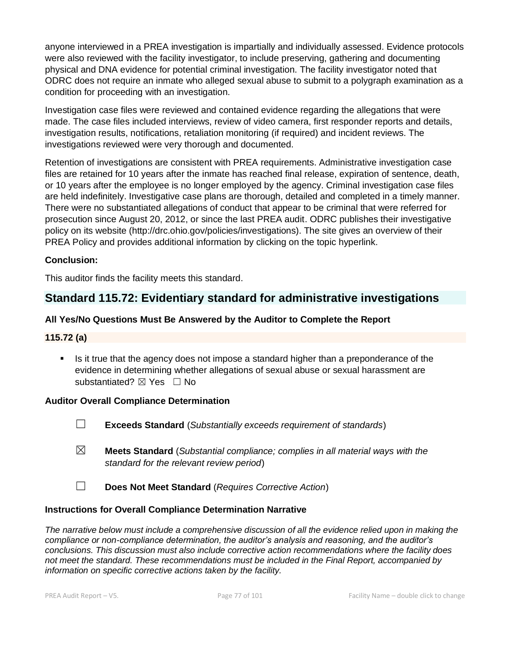anyone interviewed in a PREA investigation is impartially and individually assessed. Evidence protocols were also reviewed with the facility investigator, to include preserving, gathering and documenting physical and DNA evidence for potential criminal investigation. The facility investigator noted that ODRC does not require an inmate who alleged sexual abuse to submit to a polygraph examination as a condition for proceeding with an investigation.

Investigation case files were reviewed and contained evidence regarding the allegations that were made. The case files included interviews, review of video camera, first responder reports and details, investigation results, notifications, retaliation monitoring (if required) and incident reviews. The investigations reviewed were very thorough and documented.

Retention of investigations are consistent with PREA requirements. Administrative investigation case files are retained for 10 years after the inmate has reached final release, expiration of sentence, death, or 10 years after the employee is no longer employed by the agency. Criminal investigation case files are held indefinitely. Investigative case plans are thorough, detailed and completed in a timely manner. There were no substantiated allegations of conduct that appear to be criminal that were referred for prosecution since August 20, 2012, or since the last PREA audit. ODRC publishes their investigative policy on its website (http://drc.ohio.gov/policies/investigations). The site gives an overview of their PREA Policy and provides additional information by clicking on the topic hyperlink.

## **Conclusion:**

This auditor finds the facility meets this standard.

## **Standard 115.72: Evidentiary standard for administrative investigations**

## **All Yes/No Questions Must Be Answered by the Auditor to Complete the Report**

#### **115.72 (a)**

Is it true that the agency does not impose a standard higher than a preponderance of the evidence in determining whether allegations of sexual abuse or sexual harassment are substantiated? ⊠ Yes □ No

#### **Auditor Overall Compliance Determination**

- ☐ **Exceeds Standard** (*Substantially exceeds requirement of standards*)
- ☒ **Meets Standard** (*Substantial compliance; complies in all material ways with the standard for the relevant review period*)
- ☐ **Does Not Meet Standard** (*Requires Corrective Action*)

#### **Instructions for Overall Compliance Determination Narrative**

*The narrative below must include a comprehensive discussion of all the evidence relied upon in making the compliance or non-compliance determination, the auditor's analysis and reasoning, and the auditor's conclusions. This discussion must also include corrective action recommendations where the facility does not meet the standard. These recommendations must be included in the Final Report, accompanied by information on specific corrective actions taken by the facility.*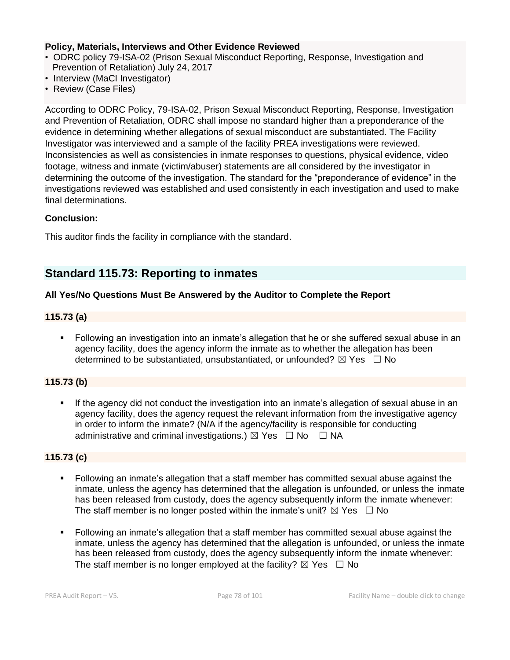#### **Policy, Materials, Interviews and Other Evidence Reviewed**

- ODRC policy 79-ISA-02 (Prison Sexual Misconduct Reporting, Response, Investigation and Prevention of Retaliation) July 24, 2017
- Interview (MaCI Investigator)
- Review (Case Files)

According to ODRC Policy, 79-ISA-02, Prison Sexual Misconduct Reporting, Response, Investigation and Prevention of Retaliation, ODRC shall impose no standard higher than a preponderance of the evidence in determining whether allegations of sexual misconduct are substantiated. The Facility Investigator was interviewed and a sample of the facility PREA investigations were reviewed. Inconsistencies as well as consistencies in inmate responses to questions, physical evidence, video footage, witness and inmate (victim/abuser) statements are all considered by the investigator in determining the outcome of the investigation. The standard for the "preponderance of evidence" in the investigations reviewed was established and used consistently in each investigation and used to make final determinations.

#### **Conclusion:**

This auditor finds the facility in compliance with the standard.

## **Standard 115.73: Reporting to inmates**

#### **All Yes/No Questions Must Be Answered by the Auditor to Complete the Report**

#### **115.73 (a)**

■ Following an investigation into an inmate's allegation that he or she suffered sexual abuse in an agency facility, does the agency inform the inmate as to whether the allegation has been determined to be substantiated, unsubstantiated, or unfounded?  $\boxtimes$  Yes  $\Box$  No

#### **115.73 (b)**

If the agency did not conduct the investigation into an inmate's allegation of sexual abuse in an agency facility, does the agency request the relevant information from the investigative agency in order to inform the inmate? (N/A if the agency/facility is responsible for conducting administrative and criminal investigations.)  $\boxtimes$  Yes  $\Box$  No  $\Box$  NA

#### **115.73 (c)**

- Following an inmate's allegation that a staff member has committed sexual abuse against the inmate, unless the agency has determined that the allegation is unfounded, or unless the inmate has been released from custody, does the agency subsequently inform the inmate whenever: The staff member is no longer posted within the inmate's unit?  $\boxtimes$  Yes  $\Box$  No
- Following an inmate's allegation that a staff member has committed sexual abuse against the inmate, unless the agency has determined that the allegation is unfounded, or unless the inmate has been released from custody, does the agency subsequently inform the inmate whenever: The staff member is no longer employed at the facility?  $\boxtimes$  Yes  $\Box$  No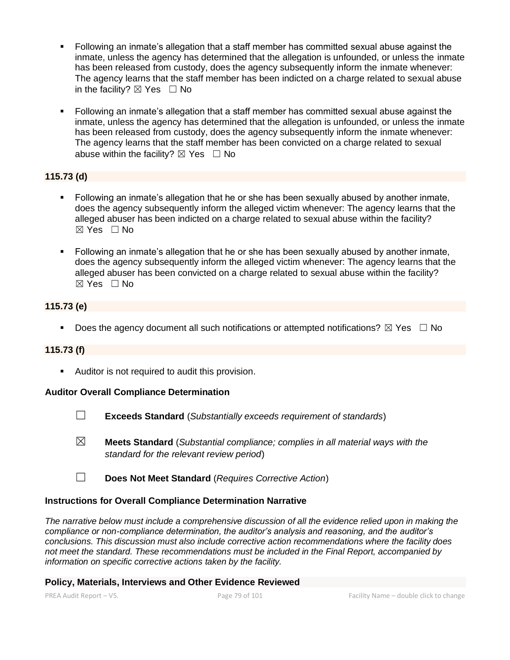- Following an inmate's allegation that a staff member has committed sexual abuse against the inmate, unless the agency has determined that the allegation is unfounded, or unless the inmate has been released from custody, does the agency subsequently inform the inmate whenever: The agency learns that the staff member has been indicted on a charge related to sexual abuse in the facility?  $\boxtimes$  Yes  $\Box$  No
- Following an inmate's allegation that a staff member has committed sexual abuse against the inmate, unless the agency has determined that the allegation is unfounded, or unless the inmate has been released from custody, does the agency subsequently inform the inmate whenever: The agency learns that the staff member has been convicted on a charge related to sexual abuse within the facility?  $\boxtimes$  Yes  $\Box$  No

## **115.73 (d)**

- Following an inmate's allegation that he or she has been sexually abused by another inmate, does the agency subsequently inform the alleged victim whenever: The agency learns that the alleged abuser has been indicted on a charge related to sexual abuse within the facility? ☒ Yes ☐ No
- Following an inmate's allegation that he or she has been sexually abused by another inmate, does the agency subsequently inform the alleged victim whenever: The agency learns that the alleged abuser has been convicted on a charge related to sexual abuse within the facility? ☒ Yes ☐ No

## **115.73 (e)**

**•** Does the agency document all such notifications or attempted notifications?  $\boxtimes$  Yes  $\Box$  No

#### **115.73 (f)**

■ Auditor is not required to audit this provision.

#### **Auditor Overall Compliance Determination**

- ☐ **Exceeds Standard** (*Substantially exceeds requirement of standards*)
- ☒ **Meets Standard** (*Substantial compliance; complies in all material ways with the standard for the relevant review period*)
- ☐ **Does Not Meet Standard** (*Requires Corrective Action*)

#### **Instructions for Overall Compliance Determination Narrative**

*The narrative below must include a comprehensive discussion of all the evidence relied upon in making the compliance or non-compliance determination, the auditor's analysis and reasoning, and the auditor's conclusions. This discussion must also include corrective action recommendations where the facility does not meet the standard. These recommendations must be included in the Final Report, accompanied by information on specific corrective actions taken by the facility.*

#### **Policy, Materials, Interviews and Other Evidence Reviewed**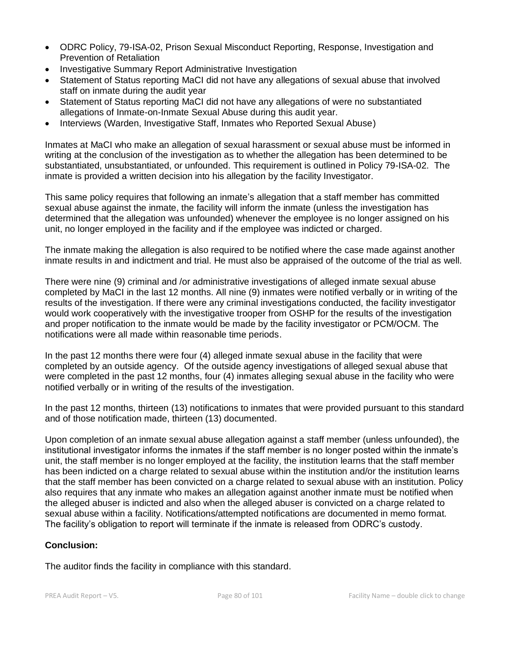- ODRC Policy, 79-ISA-02, Prison Sexual Misconduct Reporting, Response, Investigation and Prevention of Retaliation
- Investigative Summary Report Administrative Investigation
- Statement of Status reporting MaCI did not have any allegations of sexual abuse that involved staff on inmate during the audit year
- Statement of Status reporting MaCI did not have any allegations of were no substantiated allegations of Inmate-on-Inmate Sexual Abuse during this audit year.
- Interviews (Warden, Investigative Staff, Inmates who Reported Sexual Abuse)

Inmates at MaCI who make an allegation of sexual harassment or sexual abuse must be informed in writing at the conclusion of the investigation as to whether the allegation has been determined to be substantiated, unsubstantiated, or unfounded. This requirement is outlined in Policy 79-ISA-02. The inmate is provided a written decision into his allegation by the facility Investigator.

This same policy requires that following an inmate's allegation that a staff member has committed sexual abuse against the inmate, the facility will inform the inmate (unless the investigation has determined that the allegation was unfounded) whenever the employee is no longer assigned on his unit, no longer employed in the facility and if the employee was indicted or charged.

The inmate making the allegation is also required to be notified where the case made against another inmate results in and indictment and trial. He must also be appraised of the outcome of the trial as well.

There were nine (9) criminal and /or administrative investigations of alleged inmate sexual abuse completed by MaCI in the last 12 months. All nine (9) inmates were notified verbally or in writing of the results of the investigation. If there were any criminal investigations conducted, the facility investigator would work cooperatively with the investigative trooper from OSHP for the results of the investigation and proper notification to the inmate would be made by the facility investigator or PCM/OCM. The notifications were all made within reasonable time periods.

In the past 12 months there were four (4) alleged inmate sexual abuse in the facility that were completed by an outside agency. Of the outside agency investigations of alleged sexual abuse that were completed in the past 12 months, four (4) inmates alleging sexual abuse in the facility who were notified verbally or in writing of the results of the investigation.

In the past 12 months, thirteen (13) notifications to inmates that were provided pursuant to this standard and of those notification made, thirteen (13) documented.

Upon completion of an inmate sexual abuse allegation against a staff member (unless unfounded), the institutional investigator informs the inmates if the staff member is no longer posted within the inmate's unit, the staff member is no longer employed at the facility, the institution learns that the staff member has been indicted on a charge related to sexual abuse within the institution and/or the institution learns that the staff member has been convicted on a charge related to sexual abuse with an institution. Policy also requires that any inmate who makes an allegation against another inmate must be notified when the alleged abuser is indicted and also when the alleged abuser is convicted on a charge related to sexual abuse within a facility. Notifications/attempted notifications are documented in memo format. The facility's obligation to report will terminate if the inmate is released from ODRC's custody.

## **Conclusion:**

The auditor finds the facility in compliance with this standard.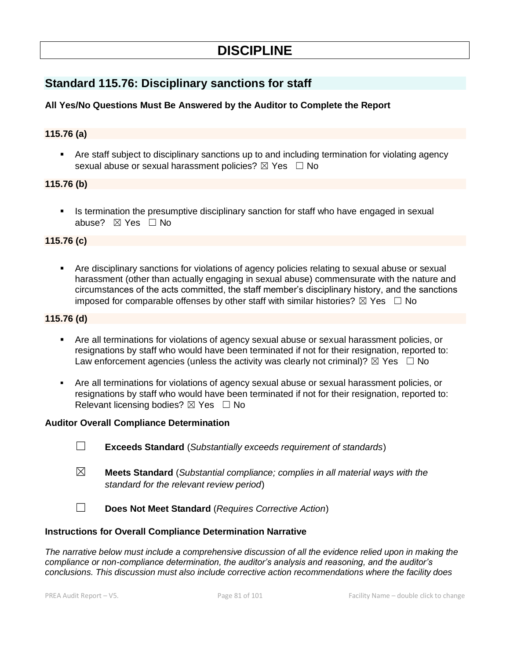# **DISCIPLINE**

# **Standard 115.76: Disciplinary sanctions for staff**

## **All Yes/No Questions Must Be Answered by the Auditor to Complete the Report**

#### **115.76 (a)**

Are staff subject to disciplinary sanctions up to and including termination for violating agency sexual abuse or sexual harassment policies? ⊠ Yes □ No

#### **115.76 (b)**

Is termination the presumptive disciplinary sanction for staff who have engaged in sexual abuse? ☒ Yes ☐ No

#### **115.76 (c)**

Are disciplinary sanctions for violations of agency policies relating to sexual abuse or sexual harassment (other than actually engaging in sexual abuse) commensurate with the nature and circumstances of the acts committed, the staff member's disciplinary history, and the sanctions imposed for comparable offenses by other staff with similar histories?  $\boxtimes$  Yes  $\Box$  No

#### **115.76 (d)**

- Are all terminations for violations of agency sexual abuse or sexual harassment policies, or resignations by staff who would have been terminated if not for their resignation, reported to: Law enforcement agencies (unless the activity was clearly not criminal)?  $\boxtimes$  Yes  $\Box$  No
- Are all terminations for violations of agency sexual abuse or sexual harassment policies, or resignations by staff who would have been terminated if not for their resignation, reported to: Relevant licensing bodies?  $\boxtimes$  Yes  $\Box$  No

#### **Auditor Overall Compliance Determination**

- ☐ **Exceeds Standard** (*Substantially exceeds requirement of standards*)
- ☒ **Meets Standard** (*Substantial compliance; complies in all material ways with the standard for the relevant review period*)
- ☐ **Does Not Meet Standard** (*Requires Corrective Action*)

#### **Instructions for Overall Compliance Determination Narrative**

*The narrative below must include a comprehensive discussion of all the evidence relied upon in making the compliance or non-compliance determination, the auditor's analysis and reasoning, and the auditor's conclusions. This discussion must also include corrective action recommendations where the facility does*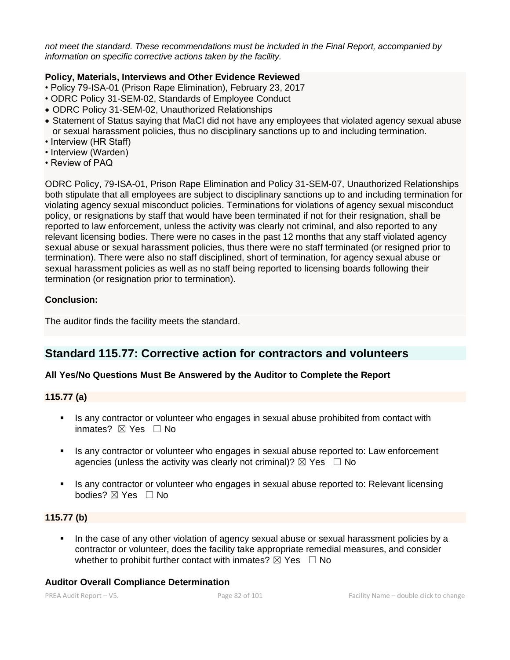*not meet the standard. These recommendations must be included in the Final Report, accompanied by information on specific corrective actions taken by the facility.*

#### **Policy, Materials, Interviews and Other Evidence Reviewed**

- Policy 79-ISA-01 (Prison Rape Elimination), February 23, 2017
- ODRC Policy 31-SEM-02, Standards of Employee Conduct
- ODRC Policy 31-SEM-02, Unauthorized Relationships
- Statement of Status saying that MaCI did not have any employees that violated agency sexual abuse or sexual harassment policies, thus no disciplinary sanctions up to and including termination.
- Interview (HR Staff)
- Interview (Warden)
- Review of PAQ

ODRC Policy, 79-ISA-01, Prison Rape Elimination and Policy 31-SEM-07, Unauthorized Relationships both stipulate that all employees are subject to disciplinary sanctions up to and including termination for violating agency sexual misconduct policies. Terminations for violations of agency sexual misconduct policy, or resignations by staff that would have been terminated if not for their resignation, shall be reported to law enforcement, unless the activity was clearly not criminal, and also reported to any relevant licensing bodies. There were no cases in the past 12 months that any staff violated agency sexual abuse or sexual harassment policies, thus there were no staff terminated (or resigned prior to termination). There were also no staff disciplined, short of termination, for agency sexual abuse or sexual harassment policies as well as no staff being reported to licensing boards following their termination (or resignation prior to termination).

#### **Conclusion:**

The auditor finds the facility meets the standard.

## **Standard 115.77: Corrective action for contractors and volunteers**

#### **All Yes/No Questions Must Be Answered by the Auditor to Complete the Report**

#### **115.77 (a)**

- **EXECT** Is any contractor or volunteer who engages in sexual abuse prohibited from contact with inmates? **⊠** Yes □ No
- Is any contractor or volunteer who engages in sexual abuse reported to: Law enforcement agencies (unless the activity was clearly not criminal)?  $\boxtimes$  Yes  $\Box$  No
- Is any contractor or volunteer who engages in sexual abuse reported to: Relevant licensing bodies? ⊠ Yes □ No

#### **115.77 (b)**

In the case of any other violation of agency sexual abuse or sexual harassment policies by a contractor or volunteer, does the facility take appropriate remedial measures, and consider whether to prohibit further contact with inmates?  $\boxtimes$  Yes  $\Box$  No

#### **Auditor Overall Compliance Determination**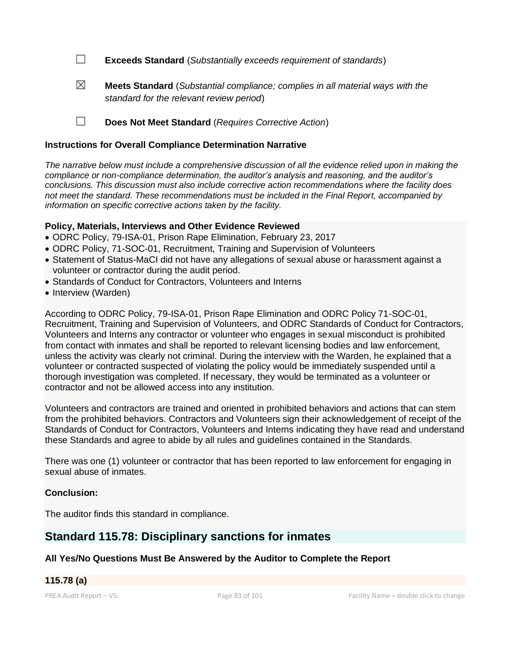☐ **Exceeds Standard** (*Substantially exceeds requirement of standards*)

☒ **Meets Standard** (*Substantial compliance; complies in all material ways with the standard for the relevant review period*)

☐ **Does Not Meet Standard** (*Requires Corrective Action*)

#### **Instructions for Overall Compliance Determination Narrative**

*The narrative below must include a comprehensive discussion of all the evidence relied upon in making the compliance or non-compliance determination, the auditor's analysis and reasoning, and the auditor's conclusions. This discussion must also include corrective action recommendations where the facility does not meet the standard. These recommendations must be included in the Final Report, accompanied by information on specific corrective actions taken by the facility.*

#### **Policy, Materials, Interviews and Other Evidence Reviewed**

- ODRC Policy, 79-ISA-01, Prison Rape Elimination, February 23, 2017
- ODRC Policy, 71-SOC-01, Recruitment, Training and Supervision of Volunteers
- Statement of Status-MaCI did not have any allegations of sexual abuse or harassment against a volunteer or contractor during the audit period.
- Standards of Conduct for Contractors, Volunteers and Interns
- Interview (Warden)

According to ODRC Policy, 79-ISA-01, Prison Rape Elimination and ODRC Policy 71-SOC-01, Recruitment, Training and Supervision of Volunteers, and ODRC Standards of Conduct for Contractors, Volunteers and Interns any contractor or volunteer who engages in sexual misconduct is prohibited from contact with inmates and shall be reported to relevant licensing bodies and law enforcement, unless the activity was clearly not criminal. During the interview with the Warden, he explained that a volunteer or contracted suspected of violating the policy would be immediately suspended until a thorough investigation was completed. If necessary, they would be terminated as a volunteer or contractor and not be allowed access into any institution.

Volunteers and contractors are trained and oriented in prohibited behaviors and actions that can stem from the prohibited behaviors. Contractors and Volunteers sign their acknowledgement of receipt of the Standards of Conduct for Contractors, Volunteers and Interns indicating they have read and understand these Standards and agree to abide by all rules and guidelines contained in the Standards.

There was one (1) volunteer or contractor that has been reported to law enforcement for engaging in sexual abuse of inmates.

#### **Conclusion:**

The auditor finds this standard in compliance.

# **Standard 115.78: Disciplinary sanctions for inmates**

#### **All Yes/No Questions Must Be Answered by the Auditor to Complete the Report**

## **115.78 (a)**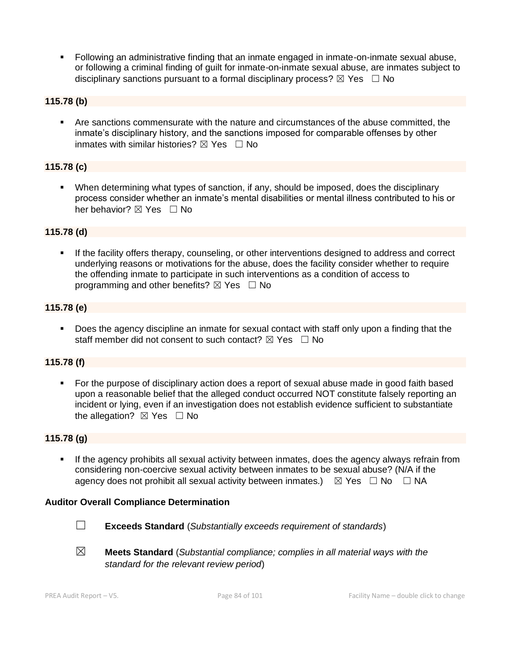▪ Following an administrative finding that an inmate engaged in inmate-on-inmate sexual abuse, or following a criminal finding of guilt for inmate-on-inmate sexual abuse, are inmates subject to disciplinary sanctions pursuant to a formal disciplinary process?  $\boxtimes$  Yes  $\Box$  No

#### **115.78 (b)**

▪ Are sanctions commensurate with the nature and circumstances of the abuse committed, the inmate's disciplinary history, and the sanctions imposed for comparable offenses by other inmates with similar histories?  $\boxtimes$  Yes  $\Box$  No

## **115.78 (c)**

▪ When determining what types of sanction, if any, should be imposed, does the disciplinary process consider whether an inmate's mental disabilities or mental illness contributed to his or her behavior? ⊠ Yes □ No

#### **115.78 (d)**

If the facility offers therapy, counseling, or other interventions designed to address and correct underlying reasons or motivations for the abuse, does the facility consider whether to require the offending inmate to participate in such interventions as a condition of access to programming and other benefits?  $\boxtimes$  Yes  $\Box$  No

#### **115.78 (e)**

■ Does the agency discipline an inmate for sexual contact with staff only upon a finding that the staff member did not consent to such contact?  $\boxtimes$  Yes  $\Box$  No

#### **115.78 (f)**

■ For the purpose of disciplinary action does a report of sexual abuse made in good faith based upon a reasonable belief that the alleged conduct occurred NOT constitute falsely reporting an incident or lying, even if an investigation does not establish evidence sufficient to substantiate the allegation?  $\boxtimes$  Yes  $\Box$  No

#### **115.78 (g)**

**.** If the agency prohibits all sexual activity between inmates, does the agency always refrain from considering non-coercive sexual activity between inmates to be sexual abuse? (N/A if the agency does not prohibit all sexual activity between inmates.)  $\boxtimes$  Yes  $\Box$  No  $\Box$  NA

#### **Auditor Overall Compliance Determination**



☐ **Exceeds Standard** (*Substantially exceeds requirement of standards*)

☒ **Meets Standard** (*Substantial compliance; complies in all material ways with the standard for the relevant review period*)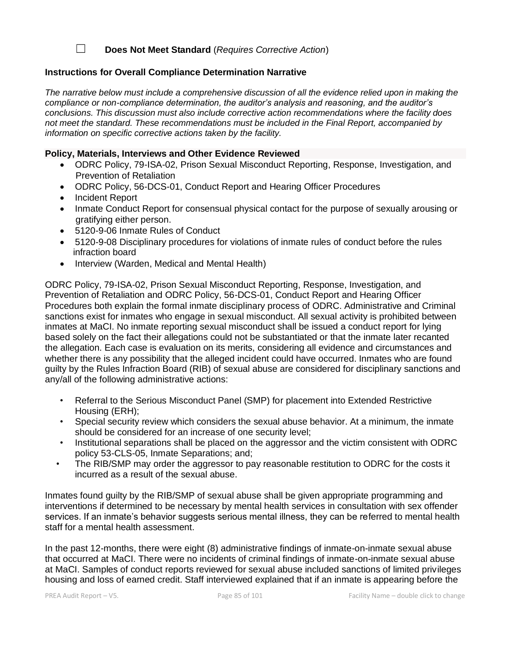☐ **Does Not Meet Standard** (*Requires Corrective Action*)

#### **Instructions for Overall Compliance Determination Narrative**

*The narrative below must include a comprehensive discussion of all the evidence relied upon in making the compliance or non-compliance determination, the auditor's analysis and reasoning, and the auditor's conclusions. This discussion must also include corrective action recommendations where the facility does not meet the standard. These recommendations must be included in the Final Report, accompanied by information on specific corrective actions taken by the facility.*

### **Policy, Materials, Interviews and Other Evidence Reviewed**

- ODRC Policy, 79-ISA-02, Prison Sexual Misconduct Reporting, Response, Investigation, and Prevention of Retaliation
- ODRC Policy, 56-DCS-01, Conduct Report and Hearing Officer Procedures
- Incident Report
- Inmate Conduct Report for consensual physical contact for the purpose of sexually arousing or gratifying either person.
- 5120-9-06 Inmate Rules of Conduct
- 5120-9-08 Disciplinary procedures for violations of inmate rules of conduct before the rules infraction board
- Interview (Warden, Medical and Mental Health)

ODRC Policy, 79-ISA-02, Prison Sexual Misconduct Reporting, Response, Investigation, and Prevention of Retaliation and ODRC Policy, 56-DCS-01, Conduct Report and Hearing Officer Procedures both explain the formal inmate disciplinary process of ODRC. Administrative and Criminal sanctions exist for inmates who engage in sexual misconduct. All sexual activity is prohibited between inmates at MaCI. No inmate reporting sexual misconduct shall be issued a conduct report for lying based solely on the fact their allegations could not be substantiated or that the inmate later recanted the allegation. Each case is evaluation on its merits, considering all evidence and circumstances and whether there is any possibility that the alleged incident could have occurred. Inmates who are found guilty by the Rules Infraction Board (RIB) of sexual abuse are considered for disciplinary sanctions and any/all of the following administrative actions:

- Referral to the Serious Misconduct Panel (SMP) for placement into Extended Restrictive Housing (ERH);
- Special security review which considers the sexual abuse behavior. At a minimum, the inmate should be considered for an increase of one security level;
- Institutional separations shall be placed on the aggressor and the victim consistent with ODRC policy 53-CLS-05, Inmate Separations; and;
- The RIB/SMP may order the aggressor to pay reasonable restitution to ODRC for the costs it incurred as a result of the sexual abuse.

Inmates found guilty by the RIB/SMP of sexual abuse shall be given appropriate programming and interventions if determined to be necessary by mental health services in consultation with sex offender services. If an inmate's behavior suggests serious mental illness, they can be referred to mental health staff for a mental health assessment.

In the past 12-months, there were eight (8) administrative findings of inmate-on-inmate sexual abuse that occurred at MaCI. There were no incidents of criminal findings of inmate-on-inmate sexual abuse at MaCI. Samples of conduct reports reviewed for sexual abuse included sanctions of limited privileges housing and loss of earned credit. Staff interviewed explained that if an inmate is appearing before the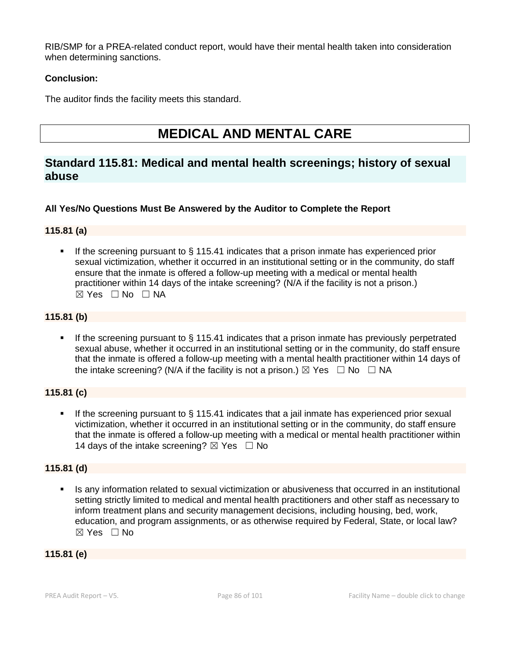RIB/SMP for a PREA-related conduct report, would have their mental health taken into consideration when determining sanctions.

## **Conclusion:**

The auditor finds the facility meets this standard.

# **MEDICAL AND MENTAL CARE**

## **Standard 115.81: Medical and mental health screenings; history of sexual abuse**

## **All Yes/No Questions Must Be Answered by the Auditor to Complete the Report**

## **115.81 (a)**

■ If the screening pursuant to § 115.41 indicates that a prison inmate has experienced prior sexual victimization, whether it occurred in an institutional setting or in the community, do staff ensure that the inmate is offered a follow-up meeting with a medical or mental health practitioner within 14 days of the intake screening? (N/A if the facility is not a prison.) ☒ Yes ☐ No ☐ NA

## **115.81 (b)**

**.** If the screening pursuant to  $\S$  115.41 indicates that a prison inmate has previously perpetrated sexual abuse, whether it occurred in an institutional setting or in the community, do staff ensure that the inmate is offered a follow-up meeting with a mental health practitioner within 14 days of the intake screening? (N/A if the facility is not a prison.)  $\boxtimes$  Yes  $\Box$  No  $\Box$  NA

## **115.81 (c)**

If the screening pursuant to  $\S$  115.41 indicates that a jail inmate has experienced prior sexual victimization, whether it occurred in an institutional setting or in the community, do staff ensure that the inmate is offered a follow-up meeting with a medical or mental health practitioner within 14 days of the intake screening?  $\boxtimes$  Yes  $\Box$  No

## **115.81 (d)**

Is any information related to sexual victimization or abusiveness that occurred in an institutional setting strictly limited to medical and mental health practitioners and other staff as necessary to inform treatment plans and security management decisions, including housing, bed, work, education, and program assignments, or as otherwise required by Federal, State, or local law? ☒ Yes ☐ No

## **115.81 (e)**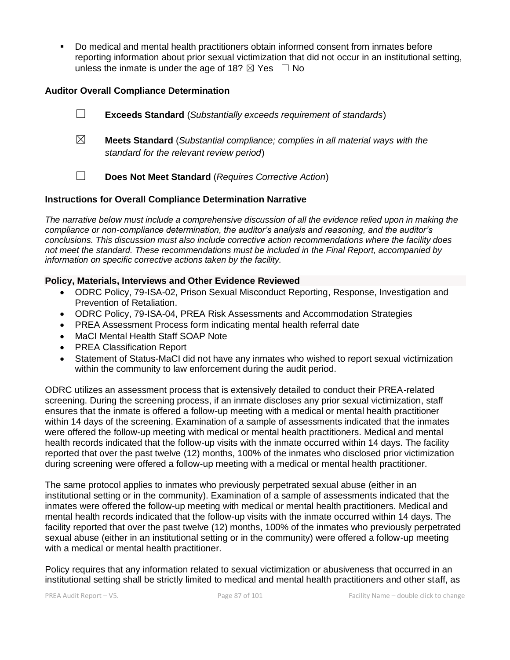Do medical and mental health practitioners obtain informed consent from inmates before reporting information about prior sexual victimization that did not occur in an institutional setting, unless the inmate is under the age of 18?  $\boxtimes$  Yes  $\Box$  No

#### **Auditor Overall Compliance Determination**

☐ **Exceeds Standard** (*Substantially exceeds requirement of standards*) ☒ **Meets Standard** (*Substantial compliance; complies in all material ways with the standard for the relevant review period*)

☐ **Does Not Meet Standard** (*Requires Corrective Action*)

#### **Instructions for Overall Compliance Determination Narrative**

*The narrative below must include a comprehensive discussion of all the evidence relied upon in making the compliance or non-compliance determination, the auditor's analysis and reasoning, and the auditor's conclusions. This discussion must also include corrective action recommendations where the facility does not meet the standard. These recommendations must be included in the Final Report, accompanied by information on specific corrective actions taken by the facility.*

#### **Policy, Materials, Interviews and Other Evidence Reviewed**

- ODRC Policy, 79-ISA-02, Prison Sexual Misconduct Reporting, Response, Investigation and Prevention of Retaliation.
- ODRC Policy, 79-ISA-04, PREA Risk Assessments and Accommodation Strategies
- PREA Assessment Process form indicating mental health referral date
- MaCI Mental Health Staff SOAP Note
- PREA Classification Report
- Statement of Status-MaCI did not have any inmates who wished to report sexual victimization within the community to law enforcement during the audit period.

ODRC utilizes an assessment process that is extensively detailed to conduct their PREA-related screening. During the screening process, if an inmate discloses any prior sexual victimization, staff ensures that the inmate is offered a follow-up meeting with a medical or mental health practitioner within 14 days of the screening. Examination of a sample of assessments indicated that the inmates were offered the follow-up meeting with medical or mental health practitioners. Medical and mental health records indicated that the follow-up visits with the inmate occurred within 14 days. The facility reported that over the past twelve (12) months, 100% of the inmates who disclosed prior victimization during screening were offered a follow-up meeting with a medical or mental health practitioner.

The same protocol applies to inmates who previously perpetrated sexual abuse (either in an institutional setting or in the community). Examination of a sample of assessments indicated that the inmates were offered the follow-up meeting with medical or mental health practitioners. Medical and mental health records indicated that the follow-up visits with the inmate occurred within 14 days. The facility reported that over the past twelve (12) months, 100% of the inmates who previously perpetrated sexual abuse (either in an institutional setting or in the community) were offered a follow-up meeting with a medical or mental health practitioner.

Policy requires that any information related to sexual victimization or abusiveness that occurred in an institutional setting shall be strictly limited to medical and mental health practitioners and other staff, as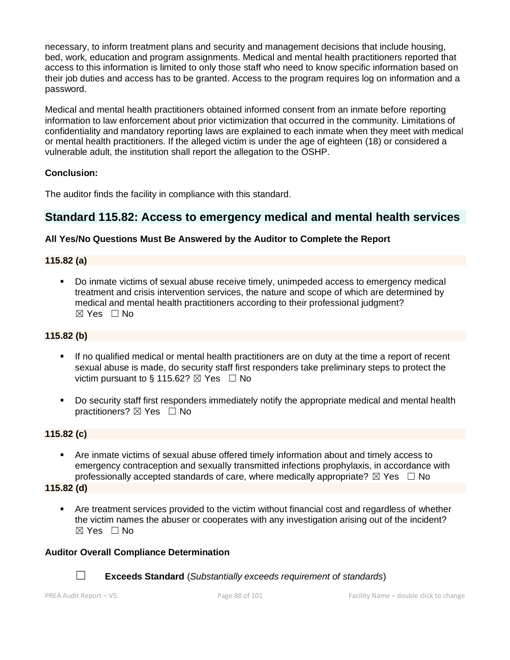necessary, to inform treatment plans and security and management decisions that include housing, bed, work, education and program assignments. Medical and mental health practitioners reported that access to this information is limited to only those staff who need to know specific information based on their job duties and access has to be granted. Access to the program requires log on information and a password.

Medical and mental health practitioners obtained informed consent from an inmate before reporting information to law enforcement about prior victimization that occurred in the community. Limitations of confidentiality and mandatory reporting laws are explained to each inmate when they meet with medical or mental health practitioners. If the alleged victim is under the age of eighteen (18) or considered a vulnerable adult, the institution shall report the allegation to the OSHP.

#### **Conclusion:**

The auditor finds the facility in compliance with this standard.

# **Standard 115.82: Access to emergency medical and mental health services**

## **All Yes/No Questions Must Be Answered by the Auditor to Complete the Report**

#### **115.82 (a)**

Do inmate victims of sexual abuse receive timely, unimpeded access to emergency medical treatment and crisis intervention services, the nature and scope of which are determined by medical and mental health practitioners according to their professional judgment?  $\boxtimes$  Yes  $\Box$  No

### **115.82 (b)**

- **.** If no qualified medical or mental health practitioners are on duty at the time a report of recent sexual abuse is made, do security staff first responders take preliminary steps to protect the victim pursuant to § 115.62?  $\boxtimes$  Yes  $\Box$  No
- Do security staff first responders immediately notify the appropriate medical and mental health practitioners?  $\boxtimes$  Yes  $\Box$  No

#### **115.82 (c)**

▪ Are inmate victims of sexual abuse offered timely information about and timely access to emergency contraception and sexually transmitted infections prophylaxis, in accordance with professionally accepted standards of care, where medically appropriate?  $\boxtimes$  Yes  $\Box$  No

**115.82 (d)**

**•** Are treatment services provided to the victim without financial cost and regardless of whether the victim names the abuser or cooperates with any investigation arising out of the incident?  $\boxtimes$  Yes  $\Box$  No

#### **Auditor Overall Compliance Determination**



☐ **Exceeds Standard** (*Substantially exceeds requirement of standards*)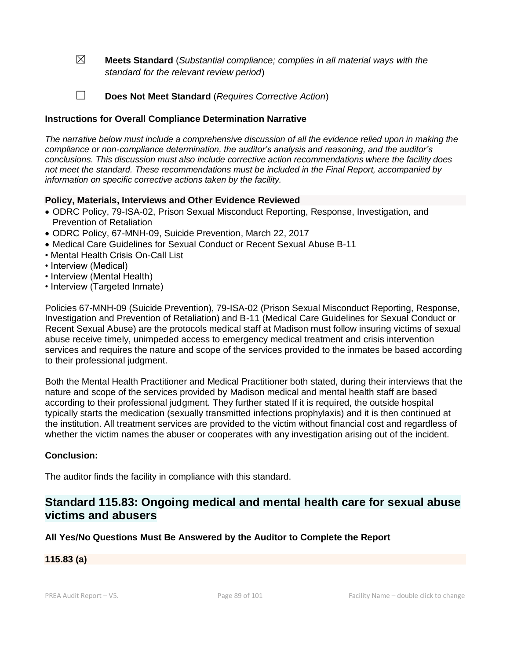☒ **Meets Standard** (*Substantial compliance; complies in all material ways with the standard for the relevant review period*)

☐ **Does Not Meet Standard** (*Requires Corrective Action*)

#### **Instructions for Overall Compliance Determination Narrative**

*The narrative below must include a comprehensive discussion of all the evidence relied upon in making the compliance or non-compliance determination, the auditor's analysis and reasoning, and the auditor's conclusions. This discussion must also include corrective action recommendations where the facility does not meet the standard. These recommendations must be included in the Final Report, accompanied by information on specific corrective actions taken by the facility.*

#### **Policy, Materials, Interviews and Other Evidence Reviewed**

- ODRC Policy, 79-ISA-02, Prison Sexual Misconduct Reporting, Response, Investigation, and Prevention of Retaliation
- ODRC Policy, 67-MNH-09, Suicide Prevention, March 22, 2017
- Medical Care Guidelines for Sexual Conduct or Recent Sexual Abuse B-11
- Mental Health Crisis On-Call List
- Interview (Medical)
- Interview (Mental Health)
- Interview (Targeted Inmate)

Policies 67-MNH-09 (Suicide Prevention), 79-ISA-02 (Prison Sexual Misconduct Reporting, Response, Investigation and Prevention of Retaliation) and B-11 (Medical Care Guidelines for Sexual Conduct or Recent Sexual Abuse) are the protocols medical staff at Madison must follow insuring victims of sexual abuse receive timely, unimpeded access to emergency medical treatment and crisis intervention services and requires the nature and scope of the services provided to the inmates be based according to their professional judgment.

Both the Mental Health Practitioner and Medical Practitioner both stated, during their interviews that the nature and scope of the services provided by Madison medical and mental health staff are based according to their professional judgment. They further stated If it is required, the outside hospital typically starts the medication (sexually transmitted infections prophylaxis) and it is then continued at the institution. All treatment services are provided to the victim without financial cost and regardless of whether the victim names the abuser or cooperates with any investigation arising out of the incident.

#### **Conclusion:**

The auditor finds the facility in compliance with this standard.

# **Standard 115.83: Ongoing medical and mental health care for sexual abuse victims and abusers**

#### **All Yes/No Questions Must Be Answered by the Auditor to Complete the Report**

#### **115.83 (a)**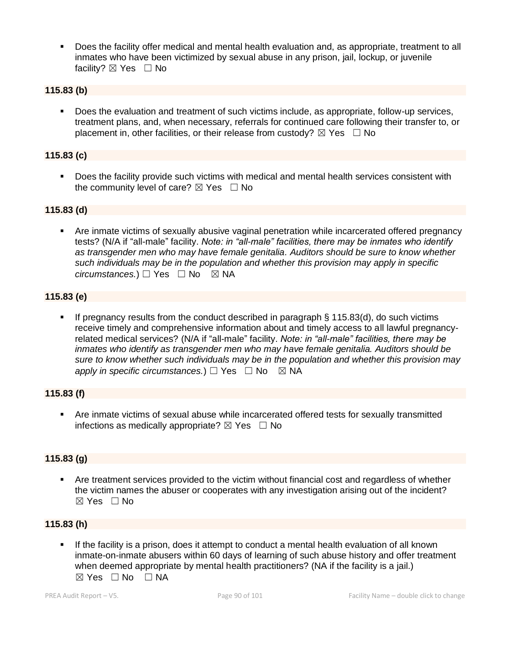Does the facility offer medical and mental health evaluation and, as appropriate, treatment to all inmates who have been victimized by sexual abuse in any prison, jail, lockup, or juvenile facility?  $\boxtimes$  Yes  $\Box$  No

#### **115.83 (b)**

▪ Does the evaluation and treatment of such victims include, as appropriate, follow-up services, treatment plans, and, when necessary, referrals for continued care following their transfer to, or placement in, other facilities, or their release from custody?  $\boxtimes$  Yes  $\Box$  No

#### **115.83 (c)**

▪ Does the facility provide such victims with medical and mental health services consistent with the community level of care?  $\boxtimes$  Yes  $\Box$  No

#### **115.83 (d)**

**•** Are inmate victims of sexually abusive vaginal penetration while incarcerated offered pregnancy tests? (N/A if "all-male" facility. *Note: in "all-male" facilities, there may be inmates who identify as transgender men who may have female genitalia. Auditors should be sure to know whether such individuals may be in the population and whether this provision may apply in specific circumstances.*) □ Yes □ No ⊠ NA

#### **115.83 (e)**

**•** If pregnancy results from the conduct described in paragraph  $\S$  115.83(d), do such victims receive timely and comprehensive information about and timely access to all lawful pregnancyrelated medical services? (N/A if "all-male" facility. *Note: in "all-male" facilities, there may be inmates who identify as transgender men who may have female genitalia. Auditors should be sure to know whether such individuals may be in the population and whether this provision may apply in specific circumstances.*) □ Yes □ No ⊠ NA

#### **115.83 (f)**

Are inmate victims of sexual abuse while incarcerated offered tests for sexually transmitted infections as medically appropriate?  $\boxtimes$  Yes  $\Box$  No

#### **115.83 (g)**

**•** Are treatment services provided to the victim without financial cost and regardless of whether the victim names the abuser or cooperates with any investigation arising out of the incident?  $\boxtimes$  Yes  $\Box$  No

#### **115.83 (h)**

If the facility is a prison, does it attempt to conduct a mental health evaluation of all known inmate-on-inmate abusers within 60 days of learning of such abuse history and offer treatment when deemed appropriate by mental health practitioners? (NA if the facility is a jail.)  $\boxtimes$  Yes  $\Box$  No  $\Box$  NA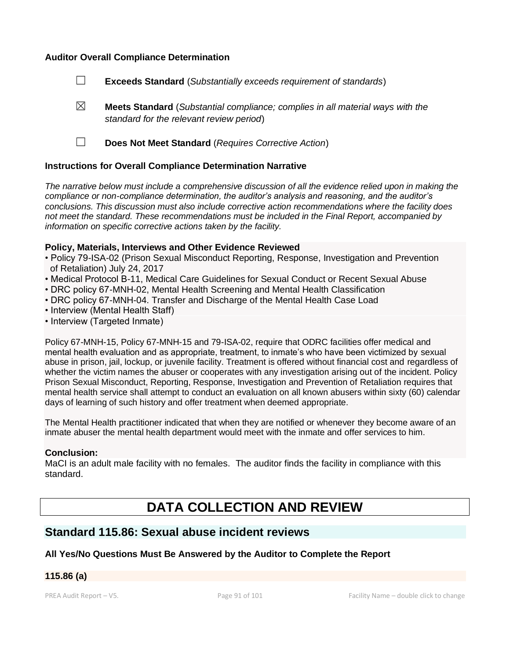#### **Auditor Overall Compliance Determination**

- ☐ **Exceeds Standard** (*Substantially exceeds requirement of standards*)
- ☒ **Meets Standard** (*Substantial compliance; complies in all material ways with the standard for the relevant review period*)
- ☐ **Does Not Meet Standard** (*Requires Corrective Action*)

#### **Instructions for Overall Compliance Determination Narrative**

*The narrative below must include a comprehensive discussion of all the evidence relied upon in making the compliance or non-compliance determination, the auditor's analysis and reasoning, and the auditor's conclusions. This discussion must also include corrective action recommendations where the facility does not meet the standard. These recommendations must be included in the Final Report, accompanied by information on specific corrective actions taken by the facility.*

#### **Policy, Materials, Interviews and Other Evidence Reviewed**

- Policy 79-ISA-02 (Prison Sexual Misconduct Reporting, Response, Investigation and Prevention of Retaliation) July 24, 2017
- Medical Protocol B-11, Medical Care Guidelines for Sexual Conduct or Recent Sexual Abuse
- DRC policy 67-MNH-02, Mental Health Screening and Mental Health Classification
- DRC policy 67-MNH-04. Transfer and Discharge of the Mental Health Case Load
- Interview (Mental Health Staff)
- Interview (Targeted Inmate)

Policy 67-MNH-15, Policy 67-MNH-15 and 79-ISA-02, require that ODRC facilities offer medical and mental health evaluation and as appropriate, treatment, to inmate's who have been victimized by sexual abuse in prison, jail, lockup, or juvenile facility. Treatment is offered without financial cost and regardless of whether the victim names the abuser or cooperates with any investigation arising out of the incident. Policy Prison Sexual Misconduct, Reporting, Response, Investigation and Prevention of Retaliation requires that mental health service shall attempt to conduct an evaluation on all known abusers within sixty (60) calendar days of learning of such history and offer treatment when deemed appropriate.

The Mental Health practitioner indicated that when they are notified or whenever they become aware of an inmate abuser the mental health department would meet with the inmate and offer services to him.

#### **Conclusion:**

MaCI is an adult male facility with no females. The auditor finds the facility in compliance with this standard.

# **DATA COLLECTION AND REVIEW**

## **Standard 115.86: Sexual abuse incident reviews**

#### **All Yes/No Questions Must Be Answered by the Auditor to Complete the Report**

## **115.86 (a)**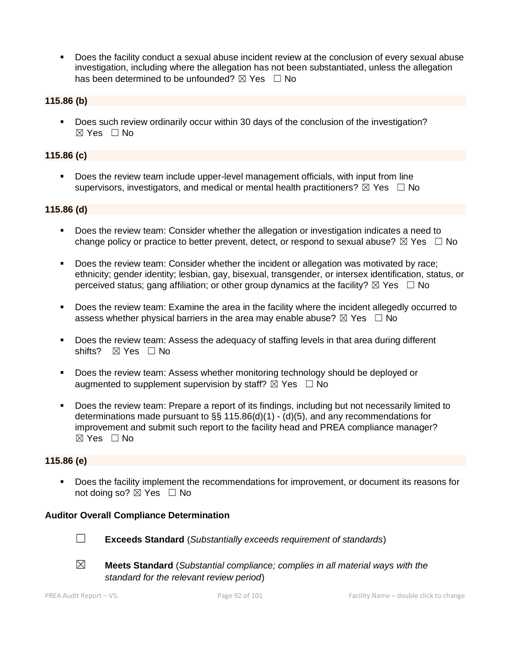Does the facility conduct a sexual abuse incident review at the conclusion of every sexual abuse investigation, including where the allegation has not been substantiated, unless the allegation has been determined to be unfounded?  $\boxtimes$  Yes  $\Box$  No

#### **115.86 (b)**

▪ Does such review ordinarily occur within 30 days of the conclusion of the investigation?  $\boxtimes$  Yes  $\Box$  No

#### **115.86 (c)**

Does the review team include upper-level management officials, with input from line supervisors, investigators, and medical or mental health practitioners?  $\boxtimes$  Yes  $\Box$  No

#### **115.86 (d)**

- Does the review team: Consider whether the allegation or investigation indicates a need to change policy or practice to better prevent, detect, or respond to sexual abuse?  $\boxtimes$  Yes  $\Box$  No
- Does the review team: Consider whether the incident or allegation was motivated by race; ethnicity; gender identity; lesbian, gay, bisexual, transgender, or intersex identification, status, or perceived status; gang affiliation; or other group dynamics at the facility?  $\boxtimes$  Yes  $\Box$  No
- Does the review team: Examine the area in the facility where the incident allegedly occurred to assess whether physical barriers in the area may enable abuse?  $\boxtimes$  Yes  $\Box$  No
- Does the review team: Assess the adequacy of staffing levels in that area during different shifts? ⊠ Yes □ No
- Does the review team: Assess whether monitoring technology should be deployed or augmented to supplement supervision by staff?  $\boxtimes$  Yes  $\Box$  No
- Does the review team: Prepare a report of its findings, including but not necessarily limited to determinations made pursuant to  $\S\S 115.86(d)(1) - (d)(5)$ , and any recommendations for improvement and submit such report to the facility head and PREA compliance manager?  $\boxtimes$  Yes  $\Box$  No

#### **115.86 (e)**

Does the facility implement the recommendations for improvement, or document its reasons for not doing so?  $\boxtimes$  Yes  $\Box$  No

#### **Auditor Overall Compliance Determination**



- ☐ **Exceeds Standard** (*Substantially exceeds requirement of standards*)
- ☒ **Meets Standard** (*Substantial compliance; complies in all material ways with the standard for the relevant review period*)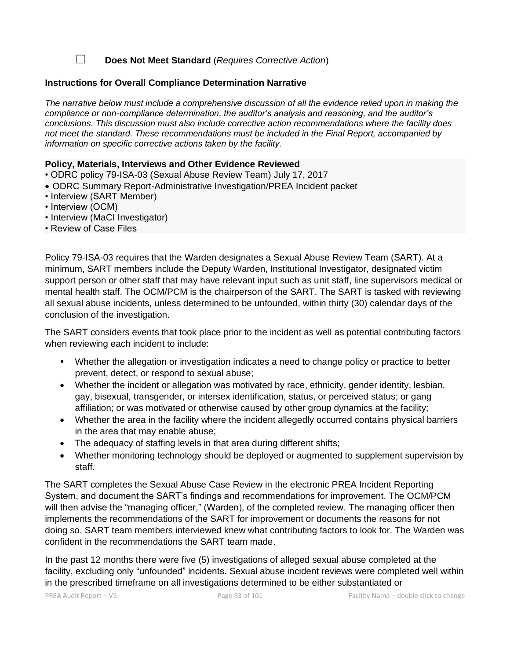☐ **Does Not Meet Standard** (*Requires Corrective Action*)

#### **Instructions for Overall Compliance Determination Narrative**

*The narrative below must include a comprehensive discussion of all the evidence relied upon in making the compliance or non-compliance determination, the auditor's analysis and reasoning, and the auditor's conclusions. This discussion must also include corrective action recommendations where the facility does not meet the standard. These recommendations must be included in the Final Report, accompanied by information on specific corrective actions taken by the facility.*

#### **Policy, Materials, Interviews and Other Evidence Reviewed**

- ODRC policy 79-ISA-03 (Sexual Abuse Review Team) July 17, 2017
- ODRC Summary Report-Administrative Investigation/PREA Incident packet
- Interview (SART Member)
- Interview (OCM)
- Interview (MaCI Investigator)
- Review of Case Files

Policy 79-ISA-03 requires that the Warden designates a Sexual Abuse Review Team (SART). At a minimum, SART members include the Deputy Warden, Institutional Investigator, designated victim support person or other staff that may have relevant input such as unit staff, line supervisors medical or mental health staff. The OCM/PCM is the chairperson of the SART. The SART is tasked with reviewing all sexual abuse incidents, unless determined to be unfounded, within thirty (30) calendar days of the conclusion of the investigation.

The SART considers events that took place prior to the incident as well as potential contributing factors when reviewing each incident to include:

- Whether the allegation or investigation indicates a need to change policy or practice to better prevent, detect, or respond to sexual abuse;
- Whether the incident or allegation was motivated by race, ethnicity, gender identity, lesbian, gay, bisexual, transgender, or intersex identification, status, or perceived status; or gang affiliation; or was motivated or otherwise caused by other group dynamics at the facility;
- Whether the area in the facility where the incident allegedly occurred contains physical barriers in the area that may enable abuse;
- The adequacy of staffing levels in that area during different shifts;
- Whether monitoring technology should be deployed or augmented to supplement supervision by staff.

The SART completes the Sexual Abuse Case Review in the electronic PREA Incident Reporting System, and document the SART's findings and recommendations for improvement. The OCM/PCM will then advise the "managing officer," (Warden), of the completed review. The managing officer then implements the recommendations of the SART for improvement or documents the reasons for not doing so. SART team members interviewed knew what contributing factors to look for. The Warden was confident in the recommendations the SART team made.

In the past 12 months there were five (5) investigations of alleged sexual abuse completed at the facility, excluding only "unfounded" incidents. Sexual abuse incident reviews were completed well within in the prescribed timeframe on all investigations determined to be either substantiated or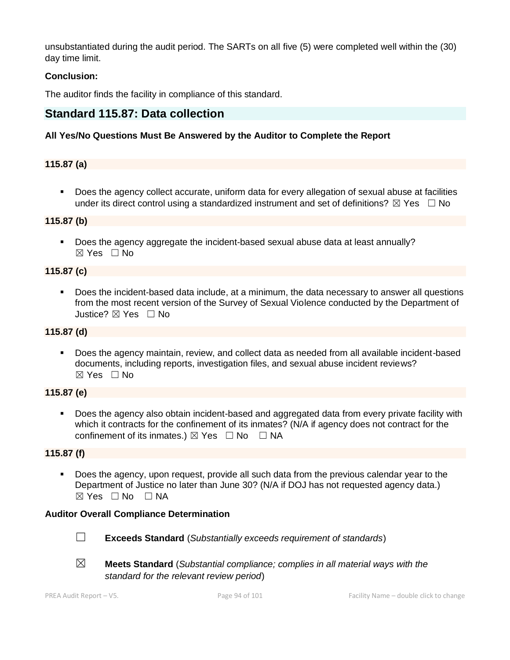unsubstantiated during the audit period. The SARTs on all five (5) were completed well within the (30) day time limit.

## **Conclusion:**

The auditor finds the facility in compliance of this standard.

# **Standard 115.87: Data collection**

## **All Yes/No Questions Must Be Answered by the Auditor to Complete the Report**

## **115.87 (a)**

Does the agency collect accurate, uniform data for every allegation of sexual abuse at facilities under its direct control using a standardized instrument and set of definitions?  $\boxtimes$  Yes  $\Box$  No

#### **115.87 (b)**

▪ Does the agency aggregate the incident-based sexual abuse data at least annually? ☒ Yes ☐ No

#### **115.87 (c)**

Does the incident-based data include, at a minimum, the data necessary to answer all questions from the most recent version of the Survey of Sexual Violence conducted by the Department of Justice? ☒ Yes ☐ No

## **115.87 (d)**

▪ Does the agency maintain, review, and collect data as needed from all available incident-based documents, including reports, investigation files, and sexual abuse incident reviews? ☒ Yes ☐ No

#### **115.87 (e)**

Does the agency also obtain incident-based and aggregated data from every private facility with which it contracts for the confinement of its inmates? (N/A if agency does not contract for the confinement of its inmates.)  $\boxtimes$  Yes  $\Box$  No  $\Box$  NA

#### **115.87 (f)**

▪ Does the agency, upon request, provide all such data from the previous calendar year to the Department of Justice no later than June 30? (N/A if DOJ has not requested agency data.)  $\boxtimes$  Yes  $\Box$  No  $\Box$  NA

#### **Auditor Overall Compliance Determination**



- ☐ **Exceeds Standard** (*Substantially exceeds requirement of standards*)
- 
- ☒ **Meets Standard** (*Substantial compliance; complies in all material ways with the standard for the relevant review period*)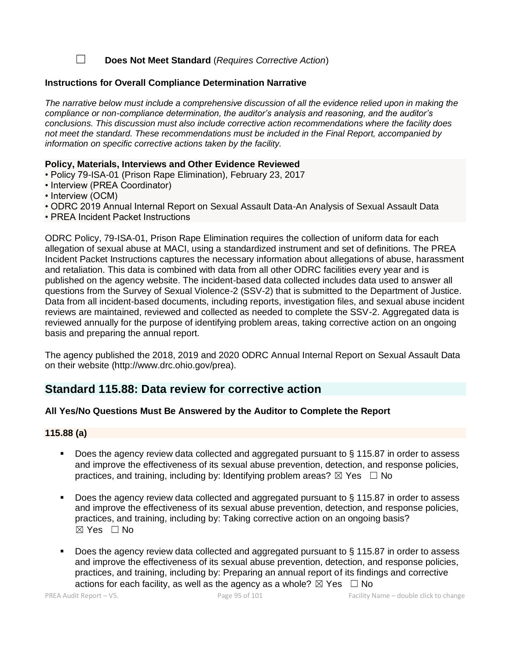☐ **Does Not Meet Standard** (*Requires Corrective Action*)

#### **Instructions for Overall Compliance Determination Narrative**

*The narrative below must include a comprehensive discussion of all the evidence relied upon in making the compliance or non-compliance determination, the auditor's analysis and reasoning, and the auditor's conclusions. This discussion must also include corrective action recommendations where the facility does not meet the standard. These recommendations must be included in the Final Report, accompanied by information on specific corrective actions taken by the facility.*

#### **Policy, Materials, Interviews and Other Evidence Reviewed**

- Policy 79-ISA-01 (Prison Rape Elimination), February 23, 2017
- Interview (PREA Coordinator)
- Interview (OCM)
- ODRC 2019 Annual Internal Report on Sexual Assault Data-An Analysis of Sexual Assault Data
- PREA Incident Packet Instructions

ODRC Policy, 79-ISA-01, Prison Rape Elimination requires the collection of uniform data for each allegation of sexual abuse at MACI, using a standardized instrument and set of definitions. The PREA Incident Packet Instructions captures the necessary information about allegations of abuse, harassment and retaliation. This data is combined with data from all other ODRC facilities every year and is published on the agency website. The incident-based data collected includes data used to answer all questions from the Survey of Sexual Violence-2 (SSV-2) that is submitted to the Department of Justice. Data from all incident-based documents, including reports, investigation files, and sexual abuse incident reviews are maintained, reviewed and collected as needed to complete the SSV-2. Aggregated data is reviewed annually for the purpose of identifying problem areas, taking corrective action on an ongoing basis and preparing the annual report.

The agency published the 2018, 2019 and 2020 ODRC Annual Internal Report on Sexual Assault Data on their website (http://www.drc.ohio.gov/prea).

## **Standard 115.88: Data review for corrective action**

#### **All Yes/No Questions Must Be Answered by the Auditor to Complete the Report**

#### **115.88 (a)**

- Does the agency review data collected and aggregated pursuant to  $\S$  115.87 in order to assess and improve the effectiveness of its sexual abuse prevention, detection, and response policies, practices, and training, including by: Identifying problem areas?  $\boxtimes$  Yes  $\Box$  No
- Does the agency review data collected and aggregated pursuant to § 115.87 in order to assess and improve the effectiveness of its sexual abuse prevention, detection, and response policies, practices, and training, including by: Taking corrective action on an ongoing basis? ☒ Yes ☐ No
- Does the agency review data collected and aggregated pursuant to § 115.87 in order to assess and improve the effectiveness of its sexual abuse prevention, detection, and response policies, practices, and training, including by: Preparing an annual report of its findings and corrective actions for each facility, as well as the agency as a whole?  $\boxtimes$  Yes  $\Box$  No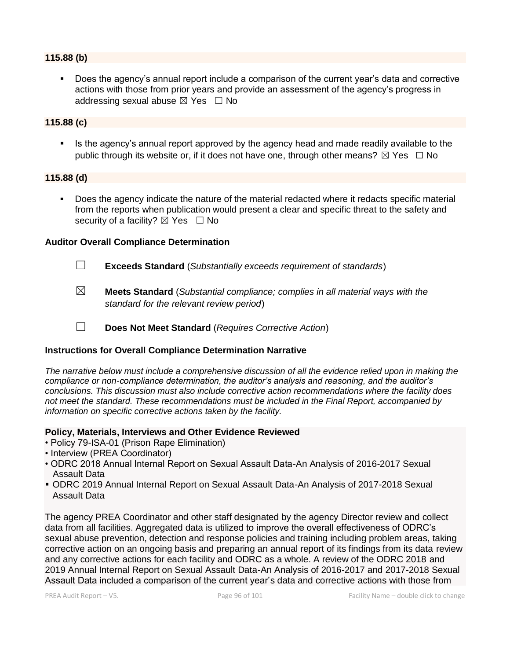#### **115.88 (b)**

Does the agency's annual report include a comparison of the current year's data and corrective actions with those from prior years and provide an assessment of the agency's progress in addressing sexual abuse  $\boxtimes$  Yes  $\Box$  No

#### **115.88 (c)**

**Example 1** Is the agency's annual report approved by the agency head and made readily available to the public through its website or, if it does not have one, through other means?  $\boxtimes$  Yes  $\Box$  No

#### **115.88 (d)**

▪ Does the agency indicate the nature of the material redacted where it redacts specific material from the reports when publication would present a clear and specific threat to the safety and security of a facility?  $\boxtimes$  Yes  $\Box$  No

#### **Auditor Overall Compliance Determination**

- ☐ **Exceeds Standard** (*Substantially exceeds requirement of standards*)
- ☒ **Meets Standard** (*Substantial compliance; complies in all material ways with the standard for the relevant review period*)
- ☐ **Does Not Meet Standard** (*Requires Corrective Action*)

#### **Instructions for Overall Compliance Determination Narrative**

*The narrative below must include a comprehensive discussion of all the evidence relied upon in making the compliance or non-compliance determination, the auditor's analysis and reasoning, and the auditor's conclusions. This discussion must also include corrective action recommendations where the facility does not meet the standard. These recommendations must be included in the Final Report, accompanied by information on specific corrective actions taken by the facility.*

#### **Policy, Materials, Interviews and Other Evidence Reviewed**

- Policy 79-ISA-01 (Prison Rape Elimination)
- Interview (PREA Coordinator)
- ODRC 2018 Annual Internal Report on Sexual Assault Data-An Analysis of 2016-2017 Sexual Assault Data
- ODRC 2019 Annual Internal Report on Sexual Assault Data-An Analysis of 2017-2018 Sexual Assault Data

The agency PREA Coordinator and other staff designated by the agency Director review and collect data from all facilities. Aggregated data is utilized to improve the overall effectiveness of ODRC's sexual abuse prevention, detection and response policies and training including problem areas, taking corrective action on an ongoing basis and preparing an annual report of its findings from its data review and any corrective actions for each facility and ODRC as a whole. A review of the ODRC 2018 and 2019 Annual Internal Report on Sexual Assault Data-An Analysis of 2016-2017 and 2017-2018 Sexual Assault Data included a comparison of the current year's data and corrective actions with those from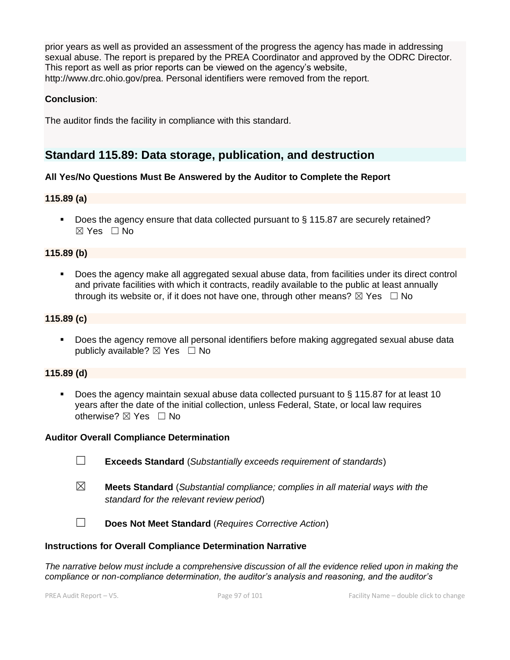prior years as well as provided an assessment of the progress the agency has made in addressing sexual abuse. The report is prepared by the PREA Coordinator and approved by the ODRC Director. This report as well as prior reports can be viewed on the agency's website, http://www.drc.ohio.gov/prea. Personal identifiers were removed from the report.

### **Conclusion**:

The auditor finds the facility in compliance with this standard.

# **Standard 115.89: Data storage, publication, and destruction**

## **All Yes/No Questions Must Be Answered by the Auditor to Complete the Report**

#### **115.89 (a)**

■ Does the agency ensure that data collected pursuant to § 115.87 are securely retained?  $\boxtimes$  Yes  $\Box$  No

#### **115.89 (b)**

▪ Does the agency make all aggregated sexual abuse data, from facilities under its direct control and private facilities with which it contracts, readily available to the public at least annually through its website or, if it does not have one, through other means?  $\boxtimes$  Yes  $\Box$  No

#### **115.89 (c)**

**•** Does the agency remove all personal identifiers before making aggregated sexual abuse data publicly available?  $\boxtimes$  Yes  $\Box$  No

#### **115.89 (d)**

Does the agency maintain sexual abuse data collected pursuant to  $\S$  115.87 for at least 10 years after the date of the initial collection, unless Federal, State, or local law requires otherwise?  $\boxtimes$  Yes  $\Box$  No

#### **Auditor Overall Compliance Determination**



- ☒ **Meets Standard** (*Substantial compliance; complies in all material ways with the standard for the relevant review period*)
- ☐ **Does Not Meet Standard** (*Requires Corrective Action*)

#### **Instructions for Overall Compliance Determination Narrative**

*The narrative below must include a comprehensive discussion of all the evidence relied upon in making the compliance or non-compliance determination, the auditor's analysis and reasoning, and the auditor's*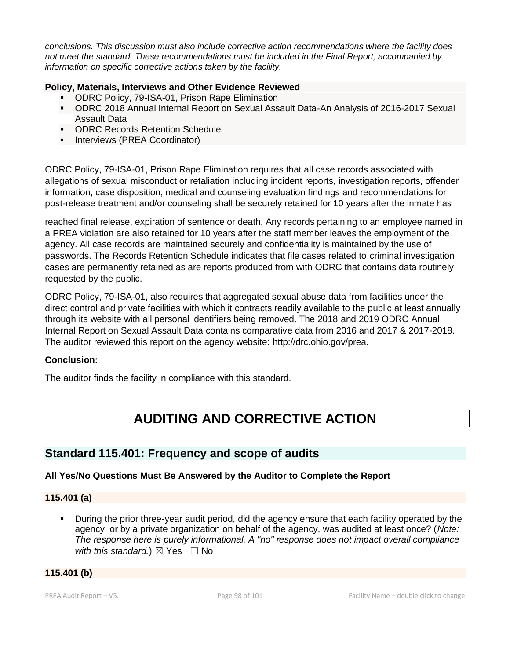*conclusions. This discussion must also include corrective action recommendations where the facility does not meet the standard. These recommendations must be included in the Final Report, accompanied by information on specific corrective actions taken by the facility.*

## **Policy, Materials, Interviews and Other Evidence Reviewed**

- ODRC Policy, 79-ISA-01, Prison Rape Elimination
- ODRC 2018 Annual Internal Report on Sexual Assault Data-An Analysis of 2016-2017 Sexual Assault Data
- ODRC Records Retention Schedule
- **·** Interviews (PREA Coordinator)

ODRC Policy, 79-ISA-01, Prison Rape Elimination requires that all case records associated with allegations of sexual misconduct or retaliation including incident reports, investigation reports, offender information, case disposition, medical and counseling evaluation findings and recommendations for post-release treatment and/or counseling shall be securely retained for 10 years after the inmate has

reached final release, expiration of sentence or death. Any records pertaining to an employee named in a PREA violation are also retained for 10 years after the staff member leaves the employment of the agency. All case records are maintained securely and confidentiality is maintained by the use of passwords. The Records Retention Schedule indicates that file cases related to criminal investigation cases are permanently retained as are reports produced from with ODRC that contains data routinely requested by the public.

ODRC Policy, 79-ISA-01, also requires that aggregated sexual abuse data from facilities under the direct control and private facilities with which it contracts readily available to the public at least annually through its website with all personal identifiers being removed. The 2018 and 2019 ODRC Annual Internal Report on Sexual Assault Data contains comparative data from 2016 and 2017 & 2017-2018. The auditor reviewed this report on the agency website: http://drc.ohio.gov/prea.

#### **Conclusion:**

The auditor finds the facility in compliance with this standard.

# **AUDITING AND CORRECTIVE ACTION**

# **Standard 115.401: Frequency and scope of audits**

## **All Yes/No Questions Must Be Answered by the Auditor to Complete the Report**

**115.401 (a)**

**•** During the prior three-year audit period, did the agency ensure that each facility operated by the agency, or by a private organization on behalf of the agency, was audited at least once? (*Note: The response here is purely informational. A "no" response does not impact overall compliance with this standard.*)  $\boxtimes$  Yes  $\Box$  No

#### **115.401 (b)**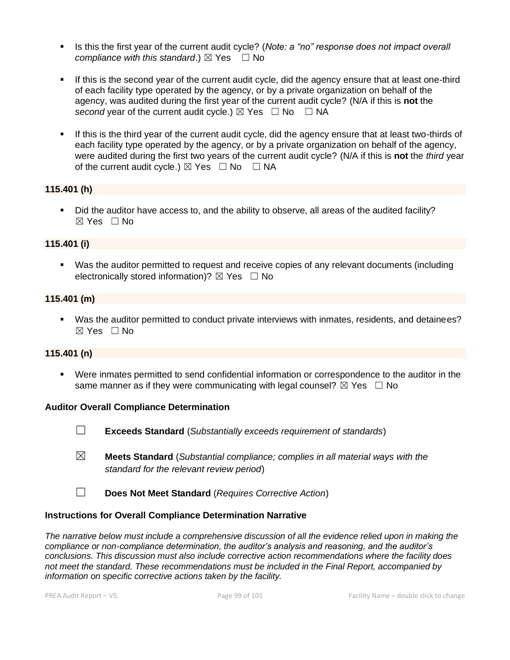- **EXECT** Is this the first year of the current audit cycle? (*Note: a "no" response does not impact overall compliance with this standard.*)  $\boxtimes$  Yes  $\Box$  No
- **.** If this is the second year of the current audit cycle, did the agency ensure that at least one-third of each facility type operated by the agency, or by a private organization on behalf of the agency, was audited during the first year of the current audit cycle? (N/A if this is **not** the *second* year of the current audit cycle.)  $\boxtimes$  Yes  $\Box$  No  $\Box$  NA
- If this is the third year of the current audit cycle, did the agency ensure that at least two-thirds of each facility type operated by the agency, or by a private organization on behalf of the agency, were audited during the first two years of the current audit cycle? (N/A if this is **not** the *third* year of the current audit cycle.)  $\boxtimes$  Yes  $\Box$  No  $\Box$  NA

#### **115.401 (h)**

▪ Did the auditor have access to, and the ability to observe, all areas of the audited facility? ☒ Yes ☐ No

#### **115.401 (i)**

▪ Was the auditor permitted to request and receive copies of any relevant documents (including electronically stored information)?  $\boxtimes$  Yes  $\Box$  No

#### **115.401 (m)**

▪ Was the auditor permitted to conduct private interviews with inmates, residents, and detainees? ☒ Yes ☐ No

#### **115.401 (n)**

▪ Were inmates permitted to send confidential information or correspondence to the auditor in the same manner as if they were communicating with legal counsel?  $\boxtimes$  Yes  $\Box$  No

#### **Auditor Overall Compliance Determination**

- ☐ **Exceeds Standard** (*Substantially exceeds requirement of standards*)
- ☒ **Meets Standard** (*Substantial compliance; complies in all material ways with the standard for the relevant review period*)
- ☐ **Does Not Meet Standard** (*Requires Corrective Action*)

#### **Instructions for Overall Compliance Determination Narrative**

*The narrative below must include a comprehensive discussion of all the evidence relied upon in making the compliance or non-compliance determination, the auditor's analysis and reasoning, and the auditor's conclusions. This discussion must also include corrective action recommendations where the facility does not meet the standard. These recommendations must be included in the Final Report, accompanied by information on specific corrective actions taken by the facility.*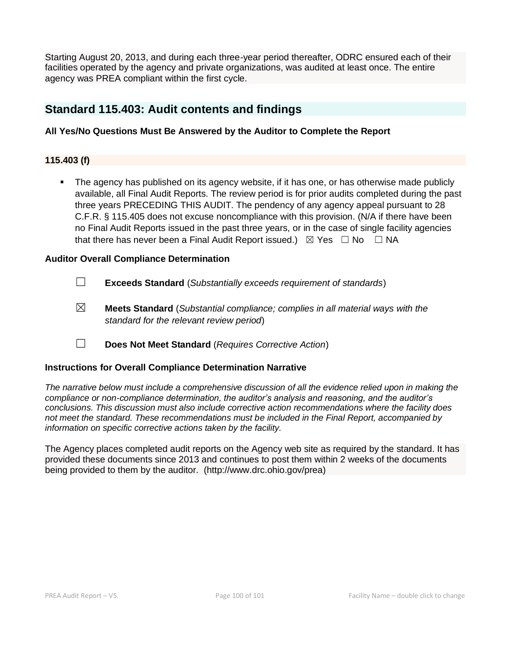Starting August 20, 2013, and during each three-year period thereafter, ODRC ensured each of their facilities operated by the agency and private organizations, was audited at least once. The entire agency was PREA compliant within the first cycle.

# **Standard 115.403: Audit contents and findings**

## **All Yes/No Questions Must Be Answered by the Auditor to Complete the Report**

### **115.403 (f)**

The agency has published on its agency website, if it has one, or has otherwise made publicly available, all Final Audit Reports. The review period is for prior audits completed during the past three years PRECEDING THIS AUDIT. The pendency of any agency appeal pursuant to 28 C.F.R. § 115.405 does not excuse noncompliance with this provision. (N/A if there have been no Final Audit Reports issued in the past three years, or in the case of single facility agencies that there has never been a Final Audit Report issued.)  $\boxtimes$  Yes  $\Box$  No  $\Box$  NA

## **Auditor Overall Compliance Determination**

- ☐ **Exceeds Standard** (*Substantially exceeds requirement of standards*)
- ☒ **Meets Standard** (*Substantial compliance; complies in all material ways with the standard for the relevant review period*)
- ☐ **Does Not Meet Standard** (*Requires Corrective Action*)

#### **Instructions for Overall Compliance Determination Narrative**

*The narrative below must include a comprehensive discussion of all the evidence relied upon in making the compliance or non-compliance determination, the auditor's analysis and reasoning, and the auditor's conclusions. This discussion must also include corrective action recommendations where the facility does not meet the standard. These recommendations must be included in the Final Report, accompanied by information on specific corrective actions taken by the facility.*

The Agency places completed audit reports on the Agency web site as required by the standard. It has provided these documents since 2013 and continues to post them within 2 weeks of the documents being provided to them by the auditor. (http://www.drc.ohio.gov/prea)